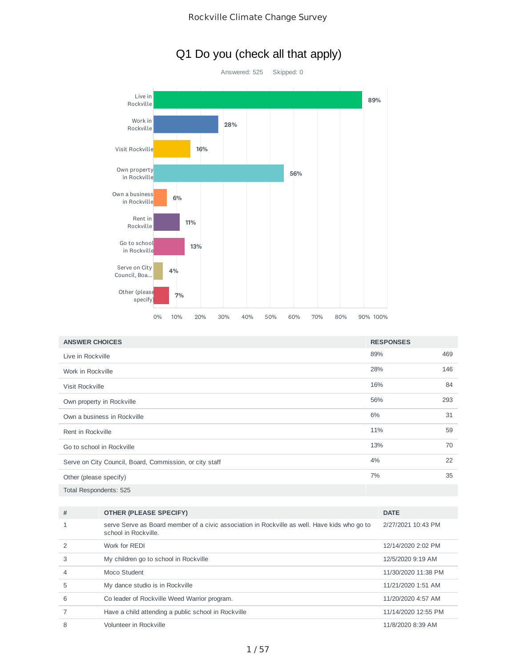## Q1 Do you (check all that apply)



| <b>ANSWER CHOICES</b>                                   | <b>RESPONSES</b> |     |
|---------------------------------------------------------|------------------|-----|
| Live in Rockville                                       | 89%              | 469 |
| Work in Rockville                                       | 28%              | 146 |
| Visit Rockville                                         | 16%              | 84  |
| Own property in Rockville                               | 56%              | 293 |
| Own a business in Rockville                             | 6%               | 31  |
| Rent in Rockville                                       | 11%              | 59  |
| Go to school in Rockville                               | 13%              | 70  |
| Serve on City Council, Board, Commission, or city staff | 4%               | 22  |
| Other (please specify)                                  | 7%               | 35  |
| Total Respondents: 525                                  |                  |     |

| # | <b>OTHER (PLEASE SPECIFY)</b>                                                                                        | <b>DATE</b>         |
|---|----------------------------------------------------------------------------------------------------------------------|---------------------|
| 1 | serve Serve as Board member of a civic association in Rockville as well. Have kids who go to<br>school in Rockville. | 2/27/2021 10:43 PM  |
| 2 | Work for REDI                                                                                                        | 12/14/2020 2:02 PM  |
| 3 | My children go to school in Rockville                                                                                | 12/5/2020 9:19 AM   |
| 4 | Moco Student                                                                                                         | 11/30/2020 11:38 PM |
| 5 | My dance studio is in Rockville                                                                                      | 11/21/2020 1:51 AM  |
| 6 | Co leader of Rockville Weed Warrior program.                                                                         | 11/20/2020 4:57 AM  |
|   | Have a child attending a public school in Rockville                                                                  | 11/14/2020 12:55 PM |
| 8 | Volunteer in Rockville                                                                                               | 11/8/2020 8:39 AM   |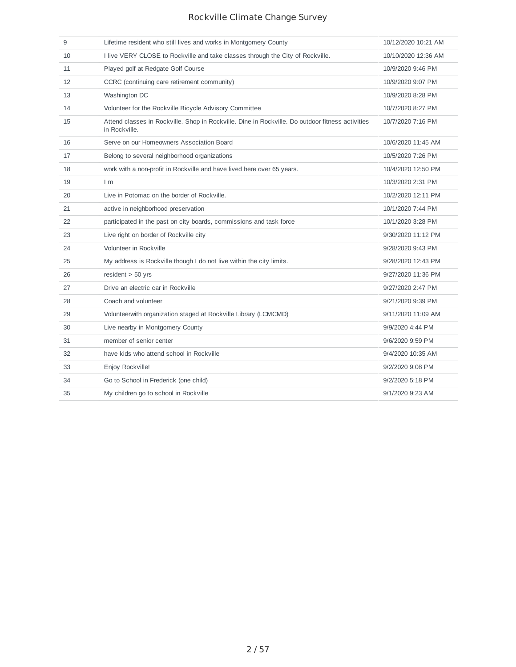| 9  | Lifetime resident who still lives and works in Montgomery County                                                  | 10/12/2020 10:21 AM |
|----|-------------------------------------------------------------------------------------------------------------------|---------------------|
| 10 | I live VERY CLOSE to Rockville and take classes through the City of Rockville.                                    | 10/10/2020 12:36 AM |
| 11 | Played golf at Redgate Golf Course                                                                                | 10/9/2020 9:46 PM   |
| 12 | CCRC (continuing care retirement community)                                                                       | 10/9/2020 9:07 PM   |
| 13 | Washington DC                                                                                                     | 10/9/2020 8:28 PM   |
| 14 | Volunteer for the Rockville Bicycle Advisory Committee                                                            | 10/7/2020 8:27 PM   |
| 15 | Attend classes in Rockville. Shop in Rockville. Dine in Rockville. Do outdoor fitness activities<br>in Rockville. | 10/7/2020 7:16 PM   |
| 16 | Serve on our Homeowners Association Board                                                                         | 10/6/2020 11:45 AM  |
| 17 | Belong to several neighborhood organizations                                                                      | 10/5/2020 7:26 PM   |
| 18 | work with a non-profit in Rockville and have lived here over 65 years.                                            | 10/4/2020 12:50 PM  |
| 19 | 1 <sub>m</sub>                                                                                                    | 10/3/2020 2:31 PM   |
| 20 | Live in Potomac on the border of Rockville.                                                                       | 10/2/2020 12:11 PM  |
| 21 | active in neighborhood preservation                                                                               | 10/1/2020 7:44 PM   |
| 22 | participated in the past on city boards, commissions and task force                                               | 10/1/2020 3:28 PM   |
| 23 | Live right on border of Rockville city                                                                            | 9/30/2020 11:12 PM  |
| 24 | Volunteer in Rockville                                                                                            | 9/28/2020 9:43 PM   |
| 25 | My address is Rockville though I do not live within the city limits.                                              | 9/28/2020 12:43 PM  |
| 26 | $resident > 50$ yrs                                                                                               | 9/27/2020 11:36 PM  |
| 27 | Drive an electric car in Rockville                                                                                | 9/27/2020 2:47 PM   |
| 28 | Coach and volunteer                                                                                               | 9/21/2020 9:39 PM   |
| 29 | Volunteerwith organization staged at Rockville Library (LCMCMD)                                                   | 9/11/2020 11:09 AM  |
| 30 | Live nearby in Montgomery County                                                                                  | 9/9/2020 4:44 PM    |
| 31 | member of senior center                                                                                           | 9/6/2020 9:59 PM    |
| 32 | have kids who attend school in Rockville                                                                          | 9/4/2020 10:35 AM   |
| 33 | Enjoy Rockville!                                                                                                  | 9/2/2020 9:08 PM    |
| 34 | Go to School in Frederick (one child)                                                                             | 9/2/2020 5:18 PM    |
| 35 | My children go to school in Rockville                                                                             | 9/1/2020 9:23 AM    |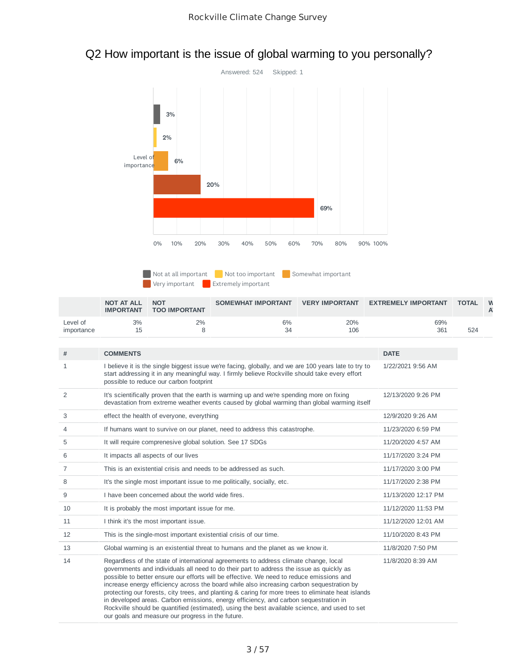

# Q2 How important is the issue of global warming to you personally?

Not at all important Not too important Somewhat important

**Extremely important** Extremely important

|                        | <b>NOT AT ALL</b><br><b>IMPORTANT</b> | <b>NOT</b><br><b>TOO IMPORTANT</b> | <b>SOMEWHAT IMPORTANT</b> | <b>VERY IMPORTANT</b> | <b>EXTREMELY IMPORTANT</b> | <b>TOTAL</b> |  |
|------------------------|---------------------------------------|------------------------------------|---------------------------|-----------------------|----------------------------|--------------|--|
| Level of<br>importance | 3%                                    | 2%                                 | 6%<br>34                  | 20%<br>106            | 69%<br>361                 | 524          |  |

| #              | <b>COMMENTS</b>                                                                                                                                                                                                                                                                                                                                                                                                                                                                                                                                                                                                                                                                                                               | <b>DATE</b>         |
|----------------|-------------------------------------------------------------------------------------------------------------------------------------------------------------------------------------------------------------------------------------------------------------------------------------------------------------------------------------------------------------------------------------------------------------------------------------------------------------------------------------------------------------------------------------------------------------------------------------------------------------------------------------------------------------------------------------------------------------------------------|---------------------|
| 1              | I believe it is the single biggest issue we're facing, globally, and we are 100 years late to try to<br>start addressing it in any meaningful way. I firmly believe Rockville should take every effort<br>possible to reduce our carbon footprint                                                                                                                                                                                                                                                                                                                                                                                                                                                                             | 1/22/2021 9:56 AM   |
| $\overline{c}$ | It's scientifically proven that the earth is warming up and we're spending more on fixing<br>devastation from extreme weather events caused by global warming than global warming itself                                                                                                                                                                                                                                                                                                                                                                                                                                                                                                                                      | 12/13/2020 9:26 PM  |
| 3              | effect the health of everyone, everything                                                                                                                                                                                                                                                                                                                                                                                                                                                                                                                                                                                                                                                                                     | 12/9/2020 9:26 AM   |
| 4              | If humans want to survive on our planet, need to address this catastrophe.                                                                                                                                                                                                                                                                                                                                                                                                                                                                                                                                                                                                                                                    | 11/23/2020 6:59 PM  |
| 5              | It will require comprenesive global solution. See 17 SDGs                                                                                                                                                                                                                                                                                                                                                                                                                                                                                                                                                                                                                                                                     | 11/20/2020 4:57 AM  |
| 6              | It impacts all aspects of our lives                                                                                                                                                                                                                                                                                                                                                                                                                                                                                                                                                                                                                                                                                           | 11/17/2020 3:24 PM  |
| 7              | This is an existential crisis and needs to be addressed as such.                                                                                                                                                                                                                                                                                                                                                                                                                                                                                                                                                                                                                                                              | 11/17/2020 3:00 PM  |
| 8              | It's the single most important issue to me politically, socially, etc.                                                                                                                                                                                                                                                                                                                                                                                                                                                                                                                                                                                                                                                        | 11/17/2020 2:38 PM  |
| 9              | I have been concerned about the world wide fires.                                                                                                                                                                                                                                                                                                                                                                                                                                                                                                                                                                                                                                                                             | 11/13/2020 12:17 PM |
| 10             | It is probably the most important issue for me.                                                                                                                                                                                                                                                                                                                                                                                                                                                                                                                                                                                                                                                                               | 11/12/2020 11:53 PM |
| 11             | I think it's the most important issue.                                                                                                                                                                                                                                                                                                                                                                                                                                                                                                                                                                                                                                                                                        | 11/12/2020 12:01 AM |
| 12             | This is the single-most important existential crisis of our time.                                                                                                                                                                                                                                                                                                                                                                                                                                                                                                                                                                                                                                                             | 11/10/2020 8:43 PM  |
| 13             | Global warming is an existential threat to humans and the planet as we know it.                                                                                                                                                                                                                                                                                                                                                                                                                                                                                                                                                                                                                                               | 11/8/2020 7:50 PM   |
| 14             | Regardless of the state of international agreements to address climate change, local<br>governments and individuals all need to do their part to address the issue as quickly as<br>possible to better ensure our efforts will be effective. We need to reduce emissions and<br>increase energy efficiency across the board while also increasing carbon sequestration by<br>protecting our forests, city trees, and planting & caring for more trees to eliminate heat islands<br>in developed areas. Carbon emissions, energy efficiency, and carbon sequestration in<br>Rockville should be quantified (estimated), using the best available science, and used to set<br>our goals and measure our progress in the future. | 11/8/2020 8:39 AM   |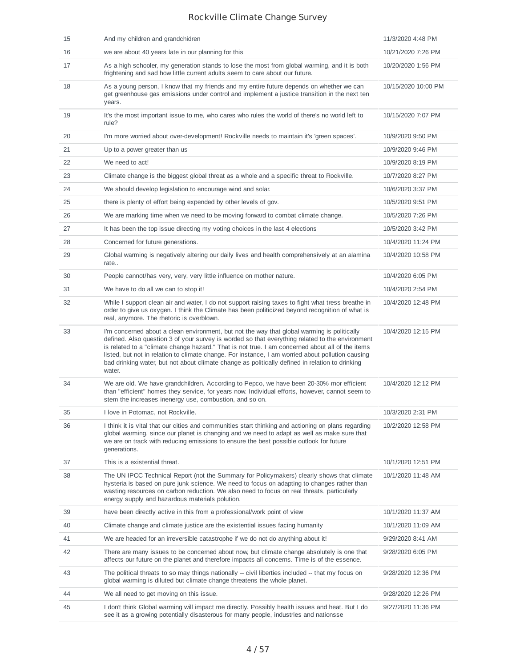| 15 | And my children and grandchidren                                                                                                                                                                                                                                                                                                                                                                                                                                                                                     | 11/3/2020 4:48 PM   |
|----|----------------------------------------------------------------------------------------------------------------------------------------------------------------------------------------------------------------------------------------------------------------------------------------------------------------------------------------------------------------------------------------------------------------------------------------------------------------------------------------------------------------------|---------------------|
| 16 | we are about 40 years late in our planning for this                                                                                                                                                                                                                                                                                                                                                                                                                                                                  | 10/21/2020 7:26 PM  |
| 17 | As a high schooler, my generation stands to lose the most from global warming, and it is both<br>frightening and sad how little current adults seem to care about our future.                                                                                                                                                                                                                                                                                                                                        | 10/20/2020 1:56 PM  |
| 18 | As a young person, I know that my friends and my entire future depends on whether we can<br>get greenhouse gas emissions under control and implement a justice transition in the next ten<br>years.                                                                                                                                                                                                                                                                                                                  | 10/15/2020 10:00 PM |
| 19 | It's the most important issue to me, who cares who rules the world of there's no world left to<br>rule?                                                                                                                                                                                                                                                                                                                                                                                                              | 10/15/2020 7:07 PM  |
| 20 | I'm more worried about over-development! Rockville needs to maintain it's 'green spaces'.                                                                                                                                                                                                                                                                                                                                                                                                                            | 10/9/2020 9:50 PM   |
| 21 | Up to a power greater than us                                                                                                                                                                                                                                                                                                                                                                                                                                                                                        | 10/9/2020 9:46 PM   |
| 22 | We need to act!                                                                                                                                                                                                                                                                                                                                                                                                                                                                                                      | 10/9/2020 8:19 PM   |
| 23 | Climate change is the biggest global threat as a whole and a specific threat to Rockville.                                                                                                                                                                                                                                                                                                                                                                                                                           | 10/7/2020 8:27 PM   |
| 24 | We should develop legislation to encourage wind and solar.                                                                                                                                                                                                                                                                                                                                                                                                                                                           | 10/6/2020 3:37 PM   |
| 25 | there is plenty of effort being expended by other levels of gov.                                                                                                                                                                                                                                                                                                                                                                                                                                                     | 10/5/2020 9:51 PM   |
| 26 | We are marking time when we need to be moving forward to combat climate change.                                                                                                                                                                                                                                                                                                                                                                                                                                      | 10/5/2020 7:26 PM   |
| 27 | It has been the top issue directing my voting choices in the last 4 elections                                                                                                                                                                                                                                                                                                                                                                                                                                        | 10/5/2020 3:42 PM   |
| 28 | Concerned for future generations.                                                                                                                                                                                                                                                                                                                                                                                                                                                                                    | 10/4/2020 11:24 PM  |
| 29 | Global warming is negatively altering our daily lives and health comprehensively at an alamina<br>rate                                                                                                                                                                                                                                                                                                                                                                                                               | 10/4/2020 10:58 PM  |
| 30 | People cannot/has very, very, very little influence on mother nature.                                                                                                                                                                                                                                                                                                                                                                                                                                                | 10/4/2020 6:05 PM   |
| 31 | We have to do all we can to stop it!                                                                                                                                                                                                                                                                                                                                                                                                                                                                                 | 10/4/2020 2:54 PM   |
| 32 | While I support clean air and water, I do not support raising taxes to fight what tress breathe in<br>order to give us oxygen. I think the Climate has been politicized beyond recognition of what is<br>real, anymore. The rhetoric is overblown.                                                                                                                                                                                                                                                                   | 10/4/2020 12:48 PM  |
| 33 | I'm concerned about a clean environment, but not the way that global warming is politically<br>defined. Also question 3 of your survey is worded so that everything related to the environment<br>is related to a "climate change hazard." That is not true. I am concerned about all of the items<br>listed, but not in relation to climate change. For instance, I am worried about pollution causing<br>bad drinking water, but not about climate change as politically defined in relation to drinking<br>water. | 10/4/2020 12:15 PM  |
| 34 | We are old. We have grandchildren. According to Pepco, we have been 20-30% mor efficient<br>than "efficient" homes they service, for years now. Individual efforts, however, cannot seem to<br>stem the increases inenergy use, combustion, and so on.                                                                                                                                                                                                                                                               | 10/4/2020 12:12 PM  |
| 35 | I love in Potomac, not Rockville.                                                                                                                                                                                                                                                                                                                                                                                                                                                                                    | 10/3/2020 2:31 PM   |
| 36 | I think it is vital that our cities and communities start thinking and actioning on plans regarding<br>global warming, since our planet is changing and we need to adapt as well as make sure that<br>we are on track with reducing emissions to ensure the best possible outlook for future<br>generations.                                                                                                                                                                                                         | 10/2/2020 12:58 PM  |
| 37 | This is a existential threat.                                                                                                                                                                                                                                                                                                                                                                                                                                                                                        | 10/1/2020 12:51 PM  |
| 38 | The UN IPCC Technical Report (not the Summary for Policymakers) clearly shows that climate<br>hysteria is based on pure junk science. We need to focus on adapting to changes rather than<br>wasting resources on carbon reduction. We also need to focus on real threats, particularly<br>energy supply and hazardous materials polution.                                                                                                                                                                           | 10/1/2020 11:48 AM  |
| 39 | have been directly active in this from a professional/work point of view                                                                                                                                                                                                                                                                                                                                                                                                                                             | 10/1/2020 11:37 AM  |
| 40 | Climate change and climate justice are the existential issues facing humanity                                                                                                                                                                                                                                                                                                                                                                                                                                        | 10/1/2020 11:09 AM  |
| 41 | We are headed for an irreversible catastrophe if we do not do anything about it!                                                                                                                                                                                                                                                                                                                                                                                                                                     | 9/29/2020 8:41 AM   |
| 42 | There are many issues to be concerned about now, but climate change absolutely is one that<br>affects our future on the planet and therefore impacts all concerns. Time is of the essence.                                                                                                                                                                                                                                                                                                                           | 9/28/2020 6:05 PM   |
| 43 | The political threats to so may things nationally -- civil liberties included -- that my focus on<br>global warming is diluted but climate change threatens the whole planet.                                                                                                                                                                                                                                                                                                                                        | 9/28/2020 12:36 PM  |
| 44 | We all need to get moving on this issue.                                                                                                                                                                                                                                                                                                                                                                                                                                                                             | 9/28/2020 12:26 PM  |
| 45 | I don't think Global warming will impact me directly. Possibly health issues and heat. But I do<br>see it as a growing potentially disasterous for many people, industries and nationsse                                                                                                                                                                                                                                                                                                                             | 9/27/2020 11:36 PM  |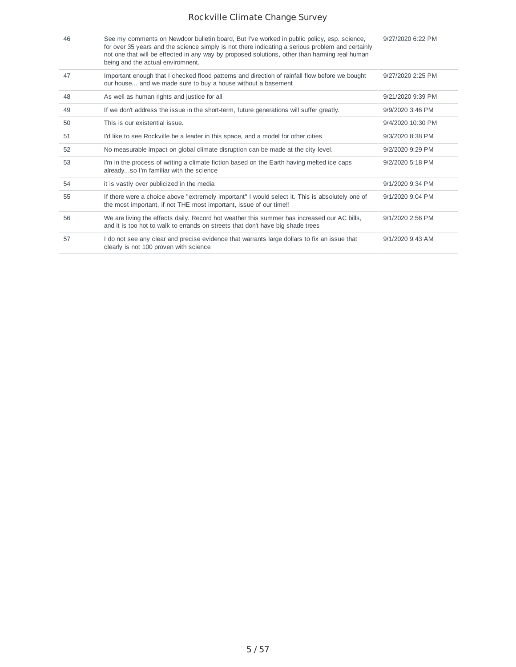| 46 | See my comments on Newdoor bulletin board, But I've worked in public policy, esp. science,<br>for over 35 years and the science simply is not there indicating a serious problem and certainly<br>not one that will be effected in any way by proposed solutions, other than harming real human<br>being and the actual enviromnent. | 9/27/2020 6:22 PM |
|----|--------------------------------------------------------------------------------------------------------------------------------------------------------------------------------------------------------------------------------------------------------------------------------------------------------------------------------------|-------------------|
| 47 | Important enough that I checked flood patterns and direction of rainfall flow before we bought<br>our house and we made sure to buy a house without a basement                                                                                                                                                                       | 9/27/2020 2:25 PM |
| 48 | As well as human rights and justice for all                                                                                                                                                                                                                                                                                          | 9/21/2020 9:39 PM |
| 49 | If we don't address the issue in the short-term, future generations will suffer greatly.                                                                                                                                                                                                                                             | 9/9/2020 3:46 PM  |
| 50 | This is our existential issue.                                                                                                                                                                                                                                                                                                       | 9/4/2020 10:30 PM |
| 51 | I'd like to see Rockville be a leader in this space, and a model for other cities.                                                                                                                                                                                                                                                   | 9/3/2020 8:38 PM  |
| 52 | No measurable impact on global climate disruption can be made at the city level.                                                                                                                                                                                                                                                     | 9/2/2020 9:29 PM  |
| 53 | I'm in the process of writing a climate fiction based on the Earth having melted ice caps<br>alreadyso I'm familiar with the science                                                                                                                                                                                                 | 9/2/2020 5:18 PM  |
| 54 | it is vastly over publicized in the media                                                                                                                                                                                                                                                                                            | 9/1/2020 9:34 PM  |
| 55 | If there were a choice above "extremely important" I would select it. This is absolutely one of<br>the most important, if not THE most important, issue of our time!!                                                                                                                                                                | 9/1/2020 9:04 PM  |
| 56 | We are living the effects daily. Record hot weather this summer has increased our AC bills,<br>and it is too hot to walk to errands on streets that don't have big shade trees                                                                                                                                                       | 9/1/2020 2:56 PM  |
| 57 | I do not see any clear and precise evidence that warrants large dollars to fix an issue that<br>clearly is not 100 proven with science                                                                                                                                                                                               | 9/1/2020 9:43 AM  |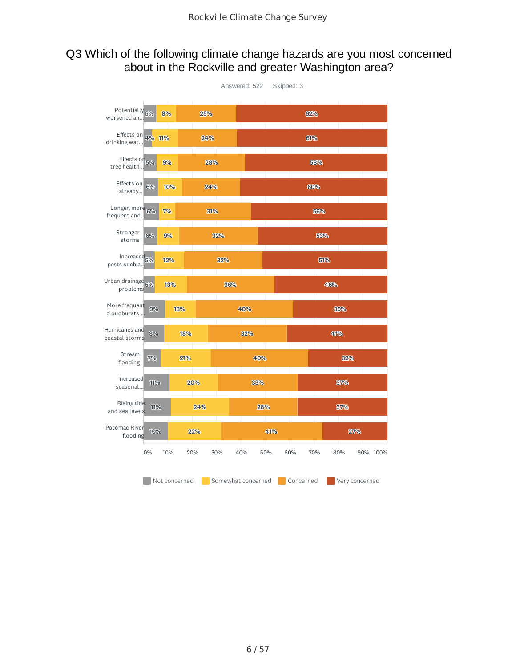### Q3 Which of the following climate change hazards are you most concerned about in the Rockville and greater Washington area?

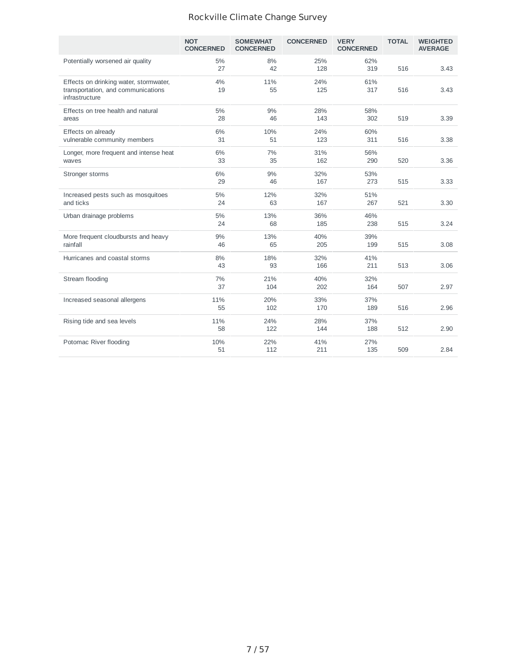|                                                                                                | <b>NOT</b><br><b>CONCERNED</b> | <b>SOMEWHAT</b><br><b>CONCERNED</b> | <b>CONCERNED</b> | <b>VERY</b><br><b>CONCERNED</b> | <b>TOTAL</b> | <b>WEIGHTED</b><br><b>AVERAGE</b> |
|------------------------------------------------------------------------------------------------|--------------------------------|-------------------------------------|------------------|---------------------------------|--------------|-----------------------------------|
| Potentially worsened air quality                                                               | 5%<br>27                       | 8%<br>42                            | 25%<br>128       | 62%<br>319                      | 516          | 3.43                              |
| Effects on drinking water, stormwater,<br>transportation, and communications<br>infrastructure | 4%<br>19                       | 11%<br>55                           | 24%<br>125       | 61%<br>317                      | 516          | 3.43                              |
| Effects on tree health and natural<br>areas                                                    | 5%<br>28                       | 9%<br>46                            | 28%<br>143       | 58%<br>302                      | 519          | 3.39                              |
| Effects on already<br>vulnerable community members                                             | 6%<br>31                       | 10%<br>51                           | 24%<br>123       | 60%<br>311                      | 516          | 3.38                              |
| Longer, more frequent and intense heat<br>waves                                                | 6%<br>33                       | 7%<br>35                            | 31%<br>162       | 56%<br>290                      | 520          | 3.36                              |
| Stronger storms                                                                                | 6%<br>29                       | 9%<br>46                            | 32%<br>167       | 53%<br>273                      | 515          | 3.33                              |
| Increased pests such as mosquitoes<br>and ticks                                                | 5%<br>24                       | 12%<br>63                           | 32%<br>167       | 51%<br>267                      | 521          | 3.30                              |
| Urban drainage problems                                                                        | 5%<br>24                       | 13%<br>68                           | 36%<br>185       | 46%<br>238                      | 515          | 3.24                              |
| More frequent cloudbursts and heavy<br>rainfall                                                | 9%<br>46                       | 13%<br>65                           | 40%<br>205       | 39%<br>199                      | 515          | 3.08                              |
| Hurricanes and coastal storms                                                                  | 8%<br>43                       | 18%<br>93                           | 32%<br>166       | 41%<br>211                      | 513          | 3.06                              |
| Stream flooding                                                                                | 7%<br>37                       | 21%<br>104                          | 40%<br>202       | 32%<br>164                      | 507          | 2.97                              |
| Increased seasonal allergens                                                                   | 11%<br>55                      | 20%<br>102                          | 33%<br>170       | 37%<br>189                      | 516          | 2.96                              |
| Rising tide and sea levels                                                                     | 11%<br>58                      | 24%<br>122                          | 28%<br>144       | 37%<br>188                      | 512          | 2.90                              |
| Potomac River flooding                                                                         | 10%<br>51                      | 22%<br>112                          | 41%<br>211       | 27%<br>135                      | 509          | 2.84                              |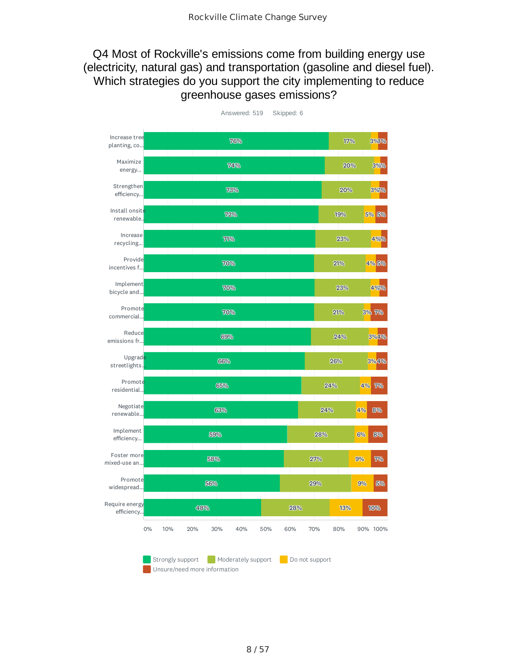## Q4 Most of Rockville's emissions come from building energy use (electricity, natural gas) and transportation (gasoline and diesel fuel). Which strategies do you support the city implementing to reduce greenhouse gases emissions?

| Increase tree<br>planting, co |    |                  |     |     |     |                                                    | 76% |     |     |     |                |     |     |     | 17% |    | 3%4%     |
|-------------------------------|----|------------------|-----|-----|-----|----------------------------------------------------|-----|-----|-----|-----|----------------|-----|-----|-----|-----|----|----------|
| Maximize<br>energy            |    |                  |     |     |     |                                                    | 74% |     |     |     |                |     |     |     | 20% |    | 3%%      |
| Strengthen<br>efficiency      |    |                  |     |     |     |                                                    | 73% |     |     |     |                |     |     |     | 20% |    | 3%%      |
| Install onsite<br>renewable.  |    |                  |     |     |     | 72%                                                |     |     |     |     |                |     |     |     | 19% |    | 5% 5%    |
| Increase<br>recycling         |    |                  |     |     |     | 71%                                                |     |     |     |     |                |     |     |     | 23% |    | 4%%      |
| Provide<br>incentives f       |    |                  |     |     |     | 70%                                                |     |     |     |     |                |     |     | 21% |     |    | 4%5%     |
| Implement<br>bicycle and      |    |                  |     |     |     | 70%                                                |     |     |     |     |                |     |     |     | 23% |    | 4969%    |
| Promote<br>commercial         |    |                  |     |     |     | 70%                                                |     |     |     |     |                |     |     | 21% |     |    | 3% 7%    |
| Reduce<br>emissions fr        |    |                  |     |     |     | 69%                                                |     |     |     |     |                |     |     | 24% |     |    | 3%4%     |
| Upgrade<br>streetlights.      |    |                  |     |     |     | 66%                                                |     |     |     |     |                |     |     | 26% |     |    | 3%4%     |
| Promote<br>residential        |    |                  |     |     |     | 65%                                                |     |     |     |     |                |     |     | 24% |     |    | 4% 7%    |
| Negotiate<br>renewable        |    |                  |     |     |     | 63%                                                |     |     |     |     |                |     | 24% |     |     | 4% | 8%       |
| Implement<br>efficiency       |    |                  |     |     | 59% |                                                    |     |     |     |     |                |     | 28% |     |     | 6% | 8%       |
| Foster more<br>mixed-use an   |    |                  |     |     | 58% |                                                    |     |     |     |     |                | 27% |     |     |     | 9% | 7%       |
| Promote<br>widespread         |    |                  |     |     | 56% |                                                    |     |     |     |     |                | 29% |     |     |     | 9% | 5%       |
| Require energy<br>efficiency  |    |                  |     | 48% |     |                                                    |     |     |     |     | 28%            |     |     |     | 13% |    | 10%      |
|                               | 0% | 10%              | 20% |     | 30% |                                                    |     | 40% | 50% | 60% |                | 70% |     | 80% |     |    | 90% 100% |
|                               |    | Strongly support |     |     |     | Moderately support<br>Unsure/need more information |     |     |     |     | Do not support |     |     |     |     |    |          |

Answered: 519 Skipped: 6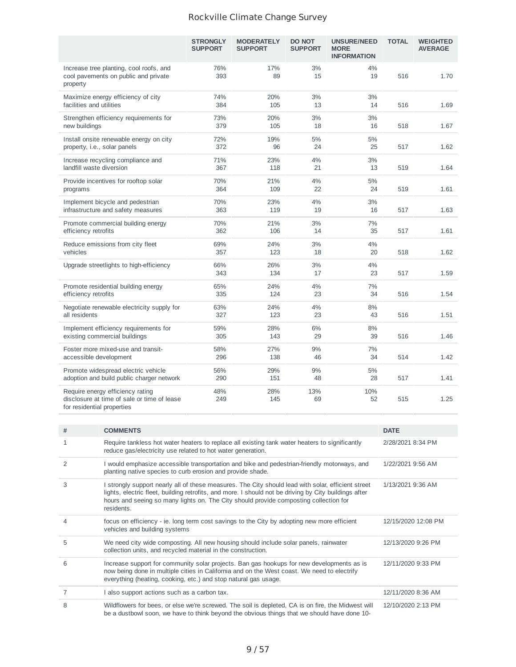|                                                                                                               | <b>STRONGLY</b><br><b>SUPPORT</b> | <b>MODERATELY</b><br><b>SUPPORT</b> | <b>DO NOT</b><br><b>SUPPORT</b> | <b>UNSURE/NEED</b><br><b>MORE</b><br><b>INFORMATION</b> | <b>TOTAL</b> | <b>WEIGHTED</b><br><b>AVERAGE</b> |
|---------------------------------------------------------------------------------------------------------------|-----------------------------------|-------------------------------------|---------------------------------|---------------------------------------------------------|--------------|-----------------------------------|
| Increase tree planting, cool roofs, and<br>cool pavements on public and private<br>property                   | 76%<br>393                        | 17%<br>89                           | 3%<br>15                        | 4%<br>19                                                | 516          | 1.70                              |
| Maximize energy efficiency of city<br>facilities and utilities                                                | 74%<br>384                        | 20%<br>105                          | 3%<br>13                        | 3%<br>14                                                | 516          | 1.69                              |
| Strengthen efficiency requirements for<br>new buildings                                                       | 73%<br>379                        | 20%<br>105                          | 3%<br>18                        | 3%<br>16                                                | 518          | 1.67                              |
| Install onsite renewable energy on city<br>property, i.e., solar panels                                       | 72%<br>372                        | 19%<br>96                           | 5%<br>24                        | 5%<br>25                                                | 517          | 1.62                              |
| Increase recycling compliance and<br>landfill waste diversion                                                 | 71%<br>367                        | 23%<br>118                          | 4%<br>21                        | 3%<br>13                                                | 519          | 1.64                              |
| Provide incentives for rooftop solar<br>programs                                                              | 70%<br>364                        | 21%<br>109                          | 4%<br>22                        | 5%<br>24                                                | 519          | 1.61                              |
| Implement bicycle and pedestrian<br>infrastructure and safety measures                                        | 70%<br>363                        | 23%<br>119                          | 4%<br>19                        | 3%<br>16                                                | 517          | 1.63                              |
| Promote commercial building energy<br>efficiency retrofits                                                    | 70%<br>362                        | 21%<br>106                          | 3%<br>14                        | 7%<br>35                                                | 517          | 1.61                              |
| Reduce emissions from city fleet<br>vehicles                                                                  | 69%<br>357                        | 24%<br>123                          | 3%<br>18                        | 4%<br>20                                                | 518          | 1.62                              |
| Upgrade streetlights to high-efficiency                                                                       | 66%<br>343                        | 26%<br>134                          | 3%<br>17                        | 4%<br>23                                                | 517          | 1.59                              |
| Promote residential building energy<br>efficiency retrofits                                                   | 65%<br>335                        | 24%<br>124                          | 4%<br>23                        | 7%<br>34                                                | 516          | 1.54                              |
| Negotiate renewable electricity supply for<br>all residents                                                   | 63%<br>327                        | 24%<br>123                          | 4%<br>23                        | 8%<br>43                                                | 516          | 1.51                              |
| Implement efficiency requirements for<br>existing commercial buildings                                        | 59%<br>305                        | 28%<br>143                          | 6%<br>29                        | 8%<br>39                                                | 516          | 1.46                              |
| Foster more mixed-use and transit-<br>accessible development                                                  | 58%<br>296                        | 27%<br>138                          | 9%<br>46                        | 7%<br>34                                                | 514          | 1.42                              |
| Promote widespread electric vehicle<br>adoption and build public charger network                              | 56%<br>290                        | 29%<br>151                          | 9%<br>48                        | 5%<br>28                                                | 517          | 1.41                              |
| Require energy efficiency rating<br>disclosure at time of sale or time of lease<br>for residential properties | 48%<br>249                        | 28%<br>145                          | 13%<br>69                       | 10%<br>52                                               | 515          | 1.25                              |

| #              | <b>COMMENTS</b>                                                                                                                                                                                                                                                                                                    | <b>DATE</b>         |
|----------------|--------------------------------------------------------------------------------------------------------------------------------------------------------------------------------------------------------------------------------------------------------------------------------------------------------------------|---------------------|
| $\mathbf{1}$   | Require tankless hot water heaters to replace all existing tank water heaters to significantly<br>reduce gas/electricity use related to hot water generation.                                                                                                                                                      | 2/28/2021 8:34 PM   |
| $\overline{2}$ | I would emphasize accessible transportation and bike and pedestrian-friendly motorways, and<br>planting native species to curb erosion and provide shade.                                                                                                                                                          | 1/22/2021 9:56 AM   |
| 3              | I strongly support nearly all of these measures. The City should lead with solar, efficient street<br>lights, electric fleet, building retrofits, and more. I should not be driving by City buildings after<br>hours and seeing so many lights on. The City should provide composting collection for<br>residents. | 1/13/2021 9:36 AM   |
| 4              | focus on efficiency - ie. long term cost savings to the City by adopting new more efficient<br>vehicles and building systems                                                                                                                                                                                       | 12/15/2020 12:08 PM |
| 5              | We need city wide composting. All new housing should include solar panels, rainwater<br>collection units, and recycled material in the construction.                                                                                                                                                               | 12/13/2020 9:26 PM  |
| 6              | Increase support for community solar projects. Ban gas hookups for new developments as is<br>now being done in multiple cities in California and on the West coast. We need to electrify<br>everything (heating, cooking, etc.) and stop natural gas usage.                                                        | 12/11/2020 9:33 PM  |
|                | I also support actions such as a carbon tax.                                                                                                                                                                                                                                                                       | 12/11/2020 8:36 AM  |
| 8              | Wildflowers for bees, or else we're screwed. The soil is depleted, CA is on fire, the Midwest will<br>be a dustbowl soon, we have to think beyond the obvious things that we should have done 10-                                                                                                                  | 12/10/2020 2:13 PM  |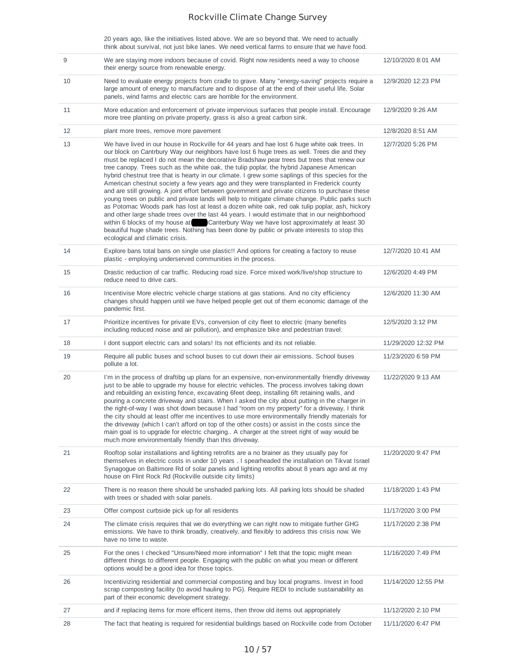20 years ago, like the initiatives listed above. We are so beyond that. We need to actually think about survival, not just bike lanes. We need vertical farms to ensure that we have food.

| 9  | We are staying more indoors because of covid. Right now residents need a way to choose<br>their energy source from renewable energy.                                                                                                                                                                                                                                                                                                                                                                                                                                                                                                                                                                                                                                                                                                                                                                                                                                                                                                                                                                                                                                                                                      | 12/10/2020 8:01 AM  |
|----|---------------------------------------------------------------------------------------------------------------------------------------------------------------------------------------------------------------------------------------------------------------------------------------------------------------------------------------------------------------------------------------------------------------------------------------------------------------------------------------------------------------------------------------------------------------------------------------------------------------------------------------------------------------------------------------------------------------------------------------------------------------------------------------------------------------------------------------------------------------------------------------------------------------------------------------------------------------------------------------------------------------------------------------------------------------------------------------------------------------------------------------------------------------------------------------------------------------------------|---------------------|
| 10 | Need to evaluate energy projects from cradle to grave. Many "energy-saving" projects require a<br>large amount of energy to manufacture and to dispose of at the end of their useful life. Solar<br>panels, wind farms and electric cars are horrible for the environment.                                                                                                                                                                                                                                                                                                                                                                                                                                                                                                                                                                                                                                                                                                                                                                                                                                                                                                                                                | 12/9/2020 12:23 PM  |
| 11 | More education and enforcement of private impervious surfaces that people install. Encourage<br>more tree planting on private property, grass is also a great carbon sink.                                                                                                                                                                                                                                                                                                                                                                                                                                                                                                                                                                                                                                                                                                                                                                                                                                                                                                                                                                                                                                                | 12/9/2020 9:26 AM   |
| 12 | plant more trees, remove more pavement                                                                                                                                                                                                                                                                                                                                                                                                                                                                                                                                                                                                                                                                                                                                                                                                                                                                                                                                                                                                                                                                                                                                                                                    | 12/8/2020 8:51 AM   |
| 13 | We have lived in our house in Rockville for 44 years and hae lost 6 huge white oak trees. In<br>our block on Cantrbury Way our neighbors have lost 6 huge trees as well. Trees die and they<br>must be replaced I do not mean the decorative Bradshaw pear trees but trees that renew our<br>tree canopy. Trees such as the white oak, the tulip poplar, the hybrid Japanese American<br>hybrid chestnut tree that is hearty in our climate. I grew some saplings of this species for the<br>American chestnut society a few years ago and they were transplanted in Frederick county<br>and are still growing. A joint effort between government and private citizens to purchase these<br>young trees on public and private lands will help to mitigate climate change. Public parks such<br>as Potomac Woods park has lost at least a dozen white oak, red oak tulip poplar, ash, hickory<br>and other large shade trees over the last 44 years. I would estimate that in our neighborhood<br>within 6 blocks of my house at Canterbury Way we have lost approximately at least 30<br>beautiful huge shade trees. Nothing has been done by public or private interests to stop this<br>ecological and climatic crisis. | 12/7/2020 5:26 PM   |
| 14 | Explore bans total bans on single use plastic!! And options for creating a factory to reuse<br>plastic - employing underserved communities in the process.                                                                                                                                                                                                                                                                                                                                                                                                                                                                                                                                                                                                                                                                                                                                                                                                                                                                                                                                                                                                                                                                | 12/7/2020 10:41 AM  |
| 15 | Drastic reduction of car traffic. Reducing road size. Force mixed work/live/shop structure to<br>reduce need to drive cars.                                                                                                                                                                                                                                                                                                                                                                                                                                                                                                                                                                                                                                                                                                                                                                                                                                                                                                                                                                                                                                                                                               | 12/6/2020 4:49 PM   |
| 16 | Incentivise More electric vehicle charge stations at gas stations. And no city efficiency<br>changes should happen until we have helped people get out of them economic damage of the<br>pandemic first.                                                                                                                                                                                                                                                                                                                                                                                                                                                                                                                                                                                                                                                                                                                                                                                                                                                                                                                                                                                                                  | 12/6/2020 11:30 AM  |
| 17 | Prioritize incentives for private EVs, conversion of city fleet to electric (many benefits<br>including reduced noise and air pollution), and emphasize bike and pedestrian travel.                                                                                                                                                                                                                                                                                                                                                                                                                                                                                                                                                                                                                                                                                                                                                                                                                                                                                                                                                                                                                                       | 12/5/2020 3:12 PM   |
| 18 | I dont support electric cars and solars! Its not efficients and its not reliable.                                                                                                                                                                                                                                                                                                                                                                                                                                                                                                                                                                                                                                                                                                                                                                                                                                                                                                                                                                                                                                                                                                                                         | 11/29/2020 12:32 PM |
| 19 | Require all public buses and school buses to cut down their air emissions. School buses<br>pollute a lot.                                                                                                                                                                                                                                                                                                                                                                                                                                                                                                                                                                                                                                                                                                                                                                                                                                                                                                                                                                                                                                                                                                                 | 11/23/2020 6:59 PM  |
| 20 | I'm in the process of draftibg up plans for an expensive, non-environmentally friendly driveway<br>just to be able to upgrade my house for electric vehicles. The process involves taking down<br>and rebuilding an existing fence, excavating 6feet deep, installing 6ft retaining walls, and<br>pouring a concrete driveway and stairs. When I asked the city about putting in the charger in<br>the right-of-way I was shot down because I had "room on my property" for a driveway. I think<br>the city should at least offer me incentives to use more environmentally friendly materials for<br>the driveway (which I can't afford on top of the other costs) or assist in the costs since the<br>main goal is to upgrade for electric charging A charger at the street right of way would be<br>much more environmentally friendly than this driveway.                                                                                                                                                                                                                                                                                                                                                             | 11/22/2020 9:13 AM  |
| 21 | Rooftop solar installations and lighting retrofits are a no brainer as they usually pay for<br>themselves in electric costs in under 10 years . I spearheaded the installation on Tikvat Israel<br>Synagogue on Baltimore Rd of solar panels and lighting retrofits about 8 years ago and at my<br>house on Flint Rock Rd (Rockville outside city limits)                                                                                                                                                                                                                                                                                                                                                                                                                                                                                                                                                                                                                                                                                                                                                                                                                                                                 | 11/20/2020 9:47 PM  |
| 22 | There is no reason there should be unshaded parking lots. All parking lots should be shaded<br>with trees or shaded with solar panels.                                                                                                                                                                                                                                                                                                                                                                                                                                                                                                                                                                                                                                                                                                                                                                                                                                                                                                                                                                                                                                                                                    | 11/18/2020 1:43 PM  |
| 23 | Offer compost curbside pick up for all residents                                                                                                                                                                                                                                                                                                                                                                                                                                                                                                                                                                                                                                                                                                                                                                                                                                                                                                                                                                                                                                                                                                                                                                          | 11/17/2020 3:00 PM  |
| 24 | The climate crisis requires that we do everything we can right now to mitigate further GHG<br>emissions. We have to think broadly, creatively, and flexibly to address this crisis now. We<br>have no time to waste.                                                                                                                                                                                                                                                                                                                                                                                                                                                                                                                                                                                                                                                                                                                                                                                                                                                                                                                                                                                                      | 11/17/2020 2:38 PM  |
| 25 | For the ones I checked "Unsure/Need more information" I felt that the topic might mean<br>different things to different people. Engaging with the public on what you mean or different<br>options would be a good idea for those topics.                                                                                                                                                                                                                                                                                                                                                                                                                                                                                                                                                                                                                                                                                                                                                                                                                                                                                                                                                                                  | 11/16/2020 7:49 PM  |
| 26 | Incentivizing residential and commercial composting and buy local programs. Invest in food<br>scrap composting facility (to avoid hauling to PG). Require REDI to include sustainability as<br>part of their economic development strategy.                                                                                                                                                                                                                                                                                                                                                                                                                                                                                                                                                                                                                                                                                                                                                                                                                                                                                                                                                                               | 11/14/2020 12:55 PM |
| 27 | and if replacing items for more efficent items, then throw old items out appropriately                                                                                                                                                                                                                                                                                                                                                                                                                                                                                                                                                                                                                                                                                                                                                                                                                                                                                                                                                                                                                                                                                                                                    | 11/12/2020 2:10 PM  |
| 28 | The fact that heating is required for residential buildings based on Rockville code from October                                                                                                                                                                                                                                                                                                                                                                                                                                                                                                                                                                                                                                                                                                                                                                                                                                                                                                                                                                                                                                                                                                                          | 11/11/2020 6:47 PM  |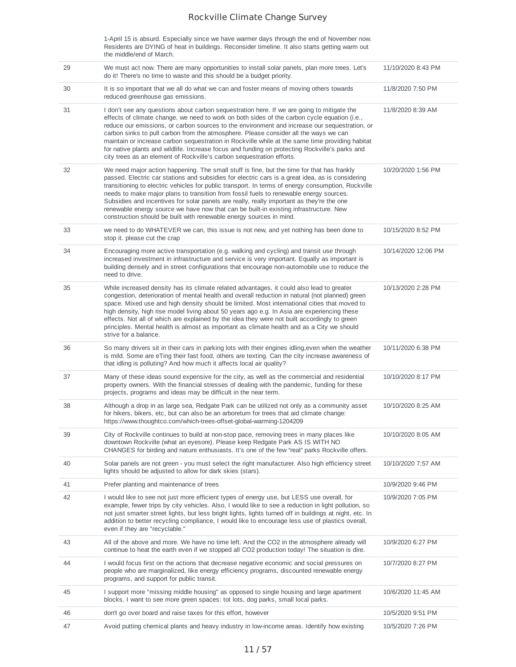|    | 1-April 15 is absurd. Especially since we have warmer days through the end of November now.<br>Residents are DYING of heat in buildings. Reconsider timeline. It also starts getting warm out<br>the middle/end of March.                                                                                                                                                                                                                                                                                                                                                                                                                                         |                     |
|----|-------------------------------------------------------------------------------------------------------------------------------------------------------------------------------------------------------------------------------------------------------------------------------------------------------------------------------------------------------------------------------------------------------------------------------------------------------------------------------------------------------------------------------------------------------------------------------------------------------------------------------------------------------------------|---------------------|
| 29 | We must act now. There are many opportunities to install solar panels, plan more trees. Let's<br>do it! There's no time to waste and this should be a budget priority.                                                                                                                                                                                                                                                                                                                                                                                                                                                                                            | 11/10/2020 8:43 PM  |
| 30 | It is so important that we all do what we can and foster means of moving others towards<br>reduced greenhouse gas emissions.                                                                                                                                                                                                                                                                                                                                                                                                                                                                                                                                      | 11/8/2020 7:50 PM   |
| 31 | I don't see any questions about carbon sequestration here. If we are going to mitigate the<br>effects of climate change, we need to work on both sides of the carbon cycle equation (i.e.,<br>reduce our emissions, or carbon sources to the environment and increase our sequestration, or<br>carbon sinks to pull carbon from the atmosphere. Please consider all the ways we can<br>maintain or increase carbon sequestration in Rockville while at the same time providing habitat<br>for native plants and wildlife. Increase focus and funding on protecting Rockville's parks and<br>city trees as an element of Rockville's carbon sequestration efforts. | 11/8/2020 8:39 AM   |
| 32 | We need major action happening. The small stuff is fine, but the time for that has frankly<br>passed. Electric car stations and subsidies for electric cars is a great idea, as is considering<br>transitioning to electric vehicles for public transport. In terms of energy consumption, Rockville<br>needs to make major plans to transition from fossil fuels to renewable energy sources.<br>Subsidies and incentives for solar panels are really, really important as they're the one<br>renewable energy source we have now that can be built-in existing infrastructure. New<br>construction should be built with renewable energy sources in mind.       | 10/20/2020 1:56 PM  |
| 33 | we need to do WHATEVER we can, this issue is not new, and yet nothing has been done to<br>stop it. please cut the crap                                                                                                                                                                                                                                                                                                                                                                                                                                                                                                                                            | 10/15/2020 8:52 PM  |
| 34 | Encouraging more active transportation (e.g. walking and cycling) and transit use through<br>increased investment in infrastructure and service is very important. Equally as important is<br>building densely and in street configurations that encourage non-automobile use to reduce the<br>need to drive.                                                                                                                                                                                                                                                                                                                                                     | 10/14/2020 12:06 PM |
| 35 | While increased density has its climate related advantages, it could also lead to greater<br>congestion, deterioration of mental health and overall reduction in natural (not planned) green<br>space. Mixed use and high density should be limited. Most international cities that moved to<br>high density, high rise model living about 50 years ago e.g. In Asia are experiencing these<br>effects. Not all of which are explained by the idea they were not built accordingly to green<br>principles. Mental health is almost as important as climate health and as a City we should<br>strive for a balance.                                                | 10/13/2020 2:28 PM  |
| 36 | So many drivers sit in their cars in parking lots with their engines idling, even when the weather<br>is mild. Some are eTing their fast food, others are texting. Can the city increase awareness of<br>that idling is polluting? And how much it affects local air quality?                                                                                                                                                                                                                                                                                                                                                                                     | 10/11/2020 6:38 PM  |
| 37 | Many of these ideas sound expensive for the city, as well as the commercial and residential<br>property owners. With the financial stresses of dealing with the pandemic, funding for these<br>projects, programs and ideas may be difficult in the near term.                                                                                                                                                                                                                                                                                                                                                                                                    | 10/10/2020 8:17 PM  |
| 38 | Although a drop in as large sea, Redgate Park can be utilized not only as a community asset<br>for hikers, bikers, etc, but can also be an arboretum for trees that aid climate change:<br>https://www.thoughtco.com/which-trees-offset-global-warming-1204209                                                                                                                                                                                                                                                                                                                                                                                                    | 10/10/2020 8:25 AM  |
| 39 | City of Rockville continues to build at non-stop pace, removing trees in many places like<br>downtown Rockville (what an eyesore). Please keep Redgate Park AS IS WITH NO<br>CHANGES for birding and nature enthusiasts. It's one of the few "real" parks Rockville offers.                                                                                                                                                                                                                                                                                                                                                                                       | 10/10/2020 8:05 AM  |
| 40 | Solar panels are not green - you must select the right manufacturer. Also high efficiency street<br>lights should be adjusted to allow for dark skies (stars).                                                                                                                                                                                                                                                                                                                                                                                                                                                                                                    | 10/10/2020 7:57 AM  |
| 41 | Prefer planting and maintenance of trees                                                                                                                                                                                                                                                                                                                                                                                                                                                                                                                                                                                                                          | 10/9/2020 9:46 PM   |
| 42 | I would like to see not just more efficient types of energy use, but LESS use overall, for<br>example, fewer trips by city vehicles. Also, I would like to see a reduction in light pollution, so<br>not just smarter street lights, but less bright lights, lights turned off in buildings at night, etc. In<br>addition to better recycling compliance, I would like to encourage less use of plastics overall,<br>even if they are "recyclable."                                                                                                                                                                                                               | 10/9/2020 7:05 PM   |
| 43 | All of the above and more. We have no time left. And the CO2 in the atmosphere already will<br>continue to heat the earth even if we stopped all CO2 production today! The situation is dire.                                                                                                                                                                                                                                                                                                                                                                                                                                                                     | 10/9/2020 6:27 PM   |
| 44 | I would focus first on the actions that decrease negative economic and social pressures on<br>people who are marginalized, like energy efficiency programs, discounted renewable energy<br>programs, and support for public transit.                                                                                                                                                                                                                                                                                                                                                                                                                              | 10/7/2020 8:27 PM   |
| 45 | I support more "missing middle housing" as opposed to single housing and large apartment<br>blocks. I want to see more green spaces: tot lots, dog parks, small local parks.                                                                                                                                                                                                                                                                                                                                                                                                                                                                                      | 10/6/2020 11:45 AM  |
| 46 | don't go over board and raise taxes for this effort, however                                                                                                                                                                                                                                                                                                                                                                                                                                                                                                                                                                                                      | 10/5/2020 9:51 PM   |
| 47 | Avoid putting chemical plants and heavy industry in low-income areas. Identify how existing                                                                                                                                                                                                                                                                                                                                                                                                                                                                                                                                                                       | 10/5/2020 7:26 PM   |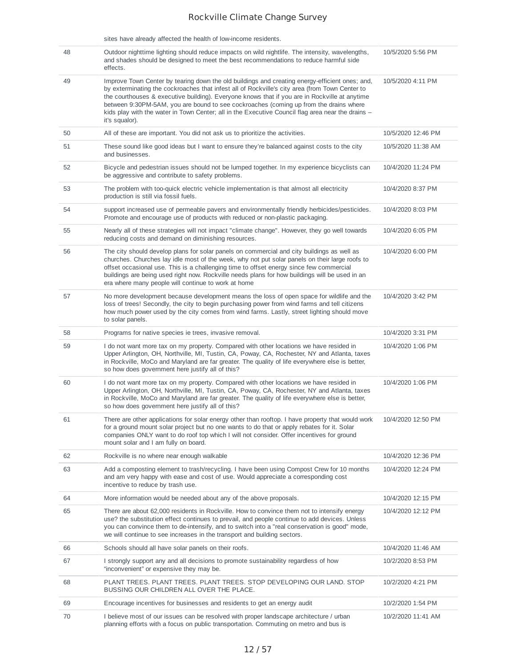|    | sites have already affected the health of low-income residents.                                                                                                                                                                                                                                                                                                                                                                                                                                                      |                    |
|----|----------------------------------------------------------------------------------------------------------------------------------------------------------------------------------------------------------------------------------------------------------------------------------------------------------------------------------------------------------------------------------------------------------------------------------------------------------------------------------------------------------------------|--------------------|
| 48 | Outdoor nighttime lighting should reduce impacts on wild nightlife. The intensity, wavelengths,<br>and shades should be designed to meet the best recommendations to reduce harmful side<br>effects.                                                                                                                                                                                                                                                                                                                 | 10/5/2020 5:56 PM  |
| 49 | Improve Town Center by tearing down the old buildings and creating energy-efficient ones; and,<br>by exterminating the cockroaches that infest all of Rockville's city area (from Town Center to<br>the courthouses $\&$ executive building). Everyone knows that if you are in Rockville at anytime<br>between 9:30PM-5AM, you are bound to see cockroaches (coming up from the drains where<br>kids play with the water in Town Center; all in the Executive Council flag area near the drains –<br>it's squalor). | 10/5/2020 4:11 PM  |
| 50 | All of these are important. You did not ask us to prioritize the activities.                                                                                                                                                                                                                                                                                                                                                                                                                                         | 10/5/2020 12:46 PM |
| 51 | These sound like good ideas but I want to ensure they're balanced against costs to the city<br>and businesses.                                                                                                                                                                                                                                                                                                                                                                                                       | 10/5/2020 11:38 AM |
| 52 | Bicycle and pedestrian issues should not be lumped together. In my experience bicyclists can<br>be aggressive and contribute to safety problems.                                                                                                                                                                                                                                                                                                                                                                     | 10/4/2020 11:24 PM |
| 53 | The problem with too-quick electric vehicle implementation is that almost all electricity<br>production is still via fossil fuels.                                                                                                                                                                                                                                                                                                                                                                                   | 10/4/2020 8:37 PM  |
| 54 | support increased use of permeable pavers and environmentally friendly herbicides/pesticides.<br>Promote and encourage use of products with reduced or non-plastic packaging.                                                                                                                                                                                                                                                                                                                                        | 10/4/2020 8:03 PM  |
| 55 | Nearly all of these strategies will not impact "climate change". However, they go well towards<br>reducing costs and demand on diminishing resources.                                                                                                                                                                                                                                                                                                                                                                | 10/4/2020 6:05 PM  |
| 56 | The city should develop plans for solar panels on commercial and city buildings as well as<br>churches. Churches lay idle most of the week, why not put solar panels on their large roofs to<br>offset occasional use. This is a challenging time to offset energy since few commercial<br>buildings are being used right now. Rockville needs plans for how buildings will be used in an<br>era where many people will continue to work at home                                                                     | 10/4/2020 6:00 PM  |
| 57 | No more development because development means the loss of open space for wildlife and the<br>loss of trees! Secondly, the city to begin purchasing power from wind farms and tell citizens<br>how much power used by the city comes from wind farms. Lastly, street lighting should move<br>to solar panels.                                                                                                                                                                                                         | 10/4/2020 3:42 PM  |
| 58 | Programs for native species ie trees, invasive removal.                                                                                                                                                                                                                                                                                                                                                                                                                                                              | 10/4/2020 3:31 PM  |
| 59 | I do not want more tax on my property. Compared with other locations we have resided in<br>Upper Arlington, OH, Northville, MI, Tustin, CA, Poway, CA, Rochester, NY and Atlanta, taxes<br>in Rockville, MoCo and Maryland are far greater. The quality of life everywhere else is better,<br>so how does government here justify all of this?                                                                                                                                                                       | 10/4/2020 1:06 PM  |
| 60 | I do not want more tax on my property. Compared with other locations we have resided in<br>Upper Arlington, OH, Northville, MI, Tustin, CA, Poway, CA, Rochester, NY and Atlanta, taxes<br>in Rockville, MoCo and Maryland are far greater. The quality of life everywhere else is better,<br>so how does government here justify all of this?                                                                                                                                                                       | 10/4/2020 1:06 PM  |
| 61 | There are other applications for solar energy other than rooftop. I have property that would work<br>for a ground mount solar project but no one wants to do that or apply rebates for it. Solar<br>companies ONLY want to do roof top which I will not consider. Offer incentives for ground<br>mount solar and I am fully on board.                                                                                                                                                                                | 10/4/2020 12:50 PM |
| 62 | Rockville is no where near enough walkable                                                                                                                                                                                                                                                                                                                                                                                                                                                                           | 10/4/2020 12:36 PM |
| 63 | Add a composting element to trash/recycling. I have been using Compost Crew for 10 months<br>and am very happy with ease and cost of use. Would appreciate a corresponding cost<br>incentive to reduce by trash use.                                                                                                                                                                                                                                                                                                 | 10/4/2020 12:24 PM |
| 64 | More information would be needed about any of the above proposals.                                                                                                                                                                                                                                                                                                                                                                                                                                                   | 10/4/2020 12:15 PM |
| 65 | There are about 62,000 residents in Rockville. How to convince them not to intensify energy<br>use? the substitution effect continues to prevail, and people continue to add devices. Unless<br>you can convince them to de-intensify, and to switch into a "real conservation is good" mode,<br>we will continue to see increases in the transport and building sectors.                                                                                                                                            | 10/4/2020 12:12 PM |
| 66 | Schools should all have solar panels on their roofs.                                                                                                                                                                                                                                                                                                                                                                                                                                                                 | 10/4/2020 11:46 AM |
| 67 | I strongly support any and all decisions to promote sustainability regardless of how<br>"inconvenient" or expensive they may be.                                                                                                                                                                                                                                                                                                                                                                                     | 10/2/2020 8:53 PM  |
| 68 | PLANT TREES. PLANT TREES. PLANT TREES. STOP DEVELOPING OUR LAND. STOP<br>BUSSING OUR CHILDREN ALL OVER THE PLACE.                                                                                                                                                                                                                                                                                                                                                                                                    | 10/2/2020 4:21 PM  |
| 69 | Encourage incentives for businesses and residents to get an energy audit                                                                                                                                                                                                                                                                                                                                                                                                                                             | 10/2/2020 1:54 PM  |
| 70 | I believe most of our issues can be resolved with proper landscape architecture / urban<br>planning efforts with a focus on public transportation. Commuting on metro and bus is                                                                                                                                                                                                                                                                                                                                     | 10/2/2020 11:41 AM |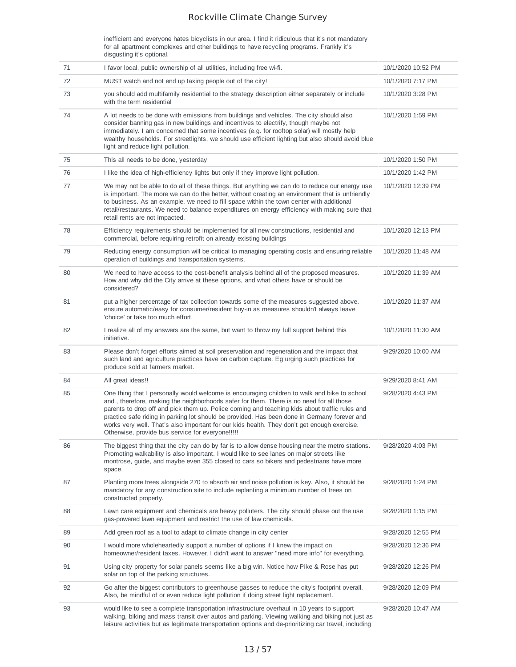inefficient and everyone hates bicyclists in our area. I find it ridiculous that it's not mandatory for all apartment complexes and other buildings to have recycling programs. Frankly it's disgusting it's optional.

| 71 | I favor local, public ownership of all utilities, including free wi-fi.                                                                                                                                                                                                                                                                                                                                                                                                                                                                     | 10/1/2020 10:52 PM |
|----|---------------------------------------------------------------------------------------------------------------------------------------------------------------------------------------------------------------------------------------------------------------------------------------------------------------------------------------------------------------------------------------------------------------------------------------------------------------------------------------------------------------------------------------------|--------------------|
| 72 | MUST watch and not end up taxing people out of the city!                                                                                                                                                                                                                                                                                                                                                                                                                                                                                    | 10/1/2020 7:17 PM  |
| 73 | you should add multifamily residential to the strategy description either separately or include<br>with the term residential                                                                                                                                                                                                                                                                                                                                                                                                                | 10/1/2020 3:28 PM  |
| 74 | A lot needs to be done with emissions from buildings and vehicles. The city should also<br>consider banning gas in new buildings and incentives to electrify, though maybe not<br>immediately. I am concerned that some incentives (e.g. for rooftop solar) will mostly help<br>wealthy households. For streetlights, we should use efficient lighting but also should avoid blue<br>light and reduce light pollution.                                                                                                                      | 10/1/2020 1:59 PM  |
| 75 | This all needs to be done, yesterday                                                                                                                                                                                                                                                                                                                                                                                                                                                                                                        | 10/1/2020 1:50 PM  |
| 76 | I like the idea of high-efficiency lights but only if they improve light pollution.                                                                                                                                                                                                                                                                                                                                                                                                                                                         | 10/1/2020 1:42 PM  |
| 77 | We may not be able to do all of these things. But anything we can do to reduce our energy use<br>is important. The more we can do the better, without creating an environment that is unfriendly<br>to business. As an example, we need to fill space within the town center with additional<br>retail/restaurants. We need to balance expenditures on energy efficiency with making sure that<br>retail rents are not impacted.                                                                                                            | 10/1/2020 12:39 PM |
| 78 | Efficiency requirements should be implemented for all new constructions, residential and<br>commercial, before requiring retrofit on already existing buildings                                                                                                                                                                                                                                                                                                                                                                             | 10/1/2020 12:13 PM |
| 79 | Reducing energy consumption will be critical to managing operating costs and ensuring reliable<br>operation of buildings and transportation systems.                                                                                                                                                                                                                                                                                                                                                                                        | 10/1/2020 11:48 AM |
| 80 | We need to have access to the cost-benefit analysis behind all of the proposed measures.<br>How and why did the City arrive at these options, and what others have or should be<br>considered?                                                                                                                                                                                                                                                                                                                                              | 10/1/2020 11:39 AM |
| 81 | put a higher percentage of tax collection towards some of the measures suggested above.<br>ensure automatic/easy for consumer/resident buy-in as measures shouldn't always leave<br>'choice' or take too much effort.                                                                                                                                                                                                                                                                                                                       | 10/1/2020 11:37 AM |
| 82 | I realize all of my answers are the same, but want to throw my full support behind this<br>initiative.                                                                                                                                                                                                                                                                                                                                                                                                                                      | 10/1/2020 11:30 AM |
| 83 | Please don't forget efforts aimed at soil preservation and regeneration and the impact that<br>such land and agriculture practices have on carbon capture. Eg urging such practices for<br>produce sold at farmers market.                                                                                                                                                                                                                                                                                                                  | 9/29/2020 10:00 AM |
| 84 | All great ideas!!                                                                                                                                                                                                                                                                                                                                                                                                                                                                                                                           | 9/29/2020 8:41 AM  |
| 85 | One thing that I personally would welcome is encouraging children to walk and bike to school<br>and, therefore, making the neighborhoods safer for them. There is no need for all those<br>parents to drop off and pick them up. Police coming and teaching kids about traffic rules and<br>practice safe riding in parking lot should be provided. Has been done in Germany forever and<br>works very well. That's also important for our kids health. They don't get enough exercise.<br>Otherwise, provide bus service for everyone!!!!! | 9/28/2020 4:43 PM  |
| 86 | The biggest thing that the city can do by far is to allow dense housing near the metro stations.<br>Promoting walkability is also important. I would like to see lanes on major streets like<br>montrose, guide, and maybe even 355 closed to cars so bikers and pedestrians have more<br>space.                                                                                                                                                                                                                                            | 9/28/2020 4:03 PM  |
| 87 | Planting more trees alongside 270 to absorb air and noise pollution is key. Also, it should be<br>mandatory for any construction site to include replanting a minimum number of trees on<br>constructed property.                                                                                                                                                                                                                                                                                                                           | 9/28/2020 1:24 PM  |
| 88 | Lawn care equipment and chemicals are heavy polluters. The city should phase out the use<br>gas-powered lawn equipment and restrict the use of law chemicals.                                                                                                                                                                                                                                                                                                                                                                               | 9/28/2020 1:15 PM  |
| 89 | Add green roof as a tool to adapt to climate change in city center                                                                                                                                                                                                                                                                                                                                                                                                                                                                          | 9/28/2020 12:55 PM |
| 90 | I would more wholeheartedly support a number of options if I knew the impact on<br>homeowner/resident taxes. However, I didn't want to answer "need more info" for everything.                                                                                                                                                                                                                                                                                                                                                              | 9/28/2020 12:36 PM |
| 91 | Using city property for solar panels seems like a big win. Notice how Pike & Rose has put<br>solar on top of the parking structures.                                                                                                                                                                                                                                                                                                                                                                                                        | 9/28/2020 12:26 PM |
| 92 | Go after the biggest contributors to greenhouse gasses to reduce the city's footprint overall.<br>Also, be mindful of or even reduce light pollution if doing street light replacement.                                                                                                                                                                                                                                                                                                                                                     | 9/28/2020 12:09 PM |
| 93 | would like to see a complete transportation infrastructure overhaul in 10 years to support<br>walking, biking and mass transit over autos and parking. Viewing walking and biking not just as<br>leisure activities but as legitimate transportation options and de-prioritizing car travel, including                                                                                                                                                                                                                                      | 9/28/2020 10:47 AM |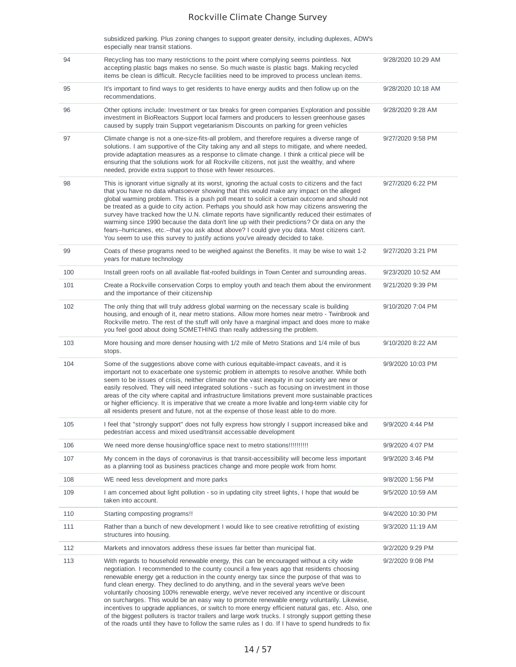| subsidized parking. Plus zoning changes to support greater density, including duplexes, ADW's |  |
|-----------------------------------------------------------------------------------------------|--|
| especially near transit stations.                                                             |  |

| 94  | Recycling has too many restrictions to the point where complying seems pointless. Not<br>accepting plastic bags makes no sense. So much waste is plastic bags. Making recycled<br>items be clean is difficult. Recycle facilities need to be improved to process unclean items.                                                                                                                                                                                                                                                                                                                                                                                                                                                                                                                                                                                                        | 9/28/2020 10:29 AM |
|-----|----------------------------------------------------------------------------------------------------------------------------------------------------------------------------------------------------------------------------------------------------------------------------------------------------------------------------------------------------------------------------------------------------------------------------------------------------------------------------------------------------------------------------------------------------------------------------------------------------------------------------------------------------------------------------------------------------------------------------------------------------------------------------------------------------------------------------------------------------------------------------------------|--------------------|
| 95  | It's important to find ways to get residents to have energy audits and then follow up on the<br>recommendations.                                                                                                                                                                                                                                                                                                                                                                                                                                                                                                                                                                                                                                                                                                                                                                       | 9/28/2020 10:18 AM |
| 96  | Other options include: Investment or tax breaks for green companies Exploration and possible<br>investment in BioReactors Support local farmers and producers to lessen greenhouse gases<br>caused by supply train Support vegetarianism Discounts on parking for green vehicles                                                                                                                                                                                                                                                                                                                                                                                                                                                                                                                                                                                                       | 9/28/2020 9:28 AM  |
| 97  | Climate change is not a one-size-fits-all problem, and therefore requires a diverse range of<br>solutions. I am supportive of the City taking any and all steps to mitigate, and where needed,<br>provide adaptation measures as a response to climate change. I think a critical piece will be<br>ensuring that the solutions work for all Rockville citizens, not just the wealthy, and where<br>needed, provide extra support to those with fewer resources.                                                                                                                                                                                                                                                                                                                                                                                                                        | 9/27/2020 9:58 PM  |
| 98  | This is ignorant virtue signally at its worst, ignoring the actual costs to citizens and the fact<br>that you have no data whatsoever showing that this would make any impact on the alleged<br>global warming problem. This is a push poll meant to solicit a certain outcome and should not<br>be treated as a guide to city action. Perhaps you should ask how may citizens answering the<br>survey have tracked how the U.N. climate reports have significantly reduced their estimates of<br>warming since 1990 because the data don't line up with their predictions? Or data on any the<br>fears--hurricanes, etc.--that you ask about above? I could give you data. Most citizens can't.<br>You seem to use this survey to justify actions you've already decided to take.                                                                                                     | 9/27/2020 6:22 PM  |
| 99  | Coats of these programs need to be weighed against the Benefits. It may be wise to wait 1-2<br>years for mature technology                                                                                                                                                                                                                                                                                                                                                                                                                                                                                                                                                                                                                                                                                                                                                             | 9/27/2020 3:21 PM  |
| 100 | Install green roofs on all available flat-roofed buildings in Town Center and surrounding areas.                                                                                                                                                                                                                                                                                                                                                                                                                                                                                                                                                                                                                                                                                                                                                                                       | 9/23/2020 10:52 AM |
| 101 | Create a Rockville conservation Corps to employ youth and teach them about the environment<br>and the importance of their citizenship                                                                                                                                                                                                                                                                                                                                                                                                                                                                                                                                                                                                                                                                                                                                                  | 9/21/2020 9:39 PM  |
| 102 | The only thing that will truly address global warming on the necessary scale is building<br>housing, and enough of it, near metro stations. Allow more homes near metro - Twinbrook and<br>Rockville metro. The rest of the stuff will only have a marginal impact and does more to make<br>you feel good about doing SOMETHING than really addressing the problem.                                                                                                                                                                                                                                                                                                                                                                                                                                                                                                                    | 9/10/2020 7:04 PM  |
| 103 | More housing and more denser housing with 1/2 mile of Metro Stations and 1/4 mile of bus<br>stops.                                                                                                                                                                                                                                                                                                                                                                                                                                                                                                                                                                                                                                                                                                                                                                                     | 9/10/2020 8:22 AM  |
| 104 | Some of the suggestions above come with curious equitable-impact caveats, and it is<br>important not to exacerbate one systemic problem in attempts to resolve another. While both<br>seem to be issues of crisis, neither climate nor the vast inequity in our society are new or<br>easily resolved. They will need integrated solutions - such as focusing on investment in those<br>areas of the city where capital and infrastructure limitations prevent more sustainable practices<br>or higher efficiency. It is imperative that we create a more livable and long-term viable city for<br>all residents present and future, not at the expense of those least able to do more.                                                                                                                                                                                                | 9/9/2020 10:03 PM  |
| 105 | I feel that "strongly support" does not fully express how strongly I support increased bike and<br>pedestrian access and mixed used/transit accessable development                                                                                                                                                                                                                                                                                                                                                                                                                                                                                                                                                                                                                                                                                                                     | 9/9/2020 4:44 PM   |
| 106 | We need more dense housing/office space next to metro stations!!!!!!!!!!!!                                                                                                                                                                                                                                                                                                                                                                                                                                                                                                                                                                                                                                                                                                                                                                                                             | 9/9/2020 4:07 PM   |
| 107 | My concern in the days of coronavirus is that transit-accessibility will become less important<br>as a planning tool as business practices change and more people work from homr.                                                                                                                                                                                                                                                                                                                                                                                                                                                                                                                                                                                                                                                                                                      | 9/9/2020 3:46 PM   |
| 108 | WE need less development and more parks                                                                                                                                                                                                                                                                                                                                                                                                                                                                                                                                                                                                                                                                                                                                                                                                                                                | 9/8/2020 1:56 PM   |
| 109 | I am concerned about light pollution - so in updating city street lights, I hope that would be<br>taken into account.                                                                                                                                                                                                                                                                                                                                                                                                                                                                                                                                                                                                                                                                                                                                                                  | 9/5/2020 10:59 AM  |
| 110 | Starting composting programs!!                                                                                                                                                                                                                                                                                                                                                                                                                                                                                                                                                                                                                                                                                                                                                                                                                                                         | 9/4/2020 10:30 PM  |
| 111 | Rather than a bunch of new development I would like to see creative retrofitting of existing<br>structures into housing.                                                                                                                                                                                                                                                                                                                                                                                                                                                                                                                                                                                                                                                                                                                                                               | 9/3/2020 11:19 AM  |
| 112 | Markets and innovators address these issues far better than municipal fiat.                                                                                                                                                                                                                                                                                                                                                                                                                                                                                                                                                                                                                                                                                                                                                                                                            | 9/2/2020 9:29 PM   |
| 113 | With regards to household renewable energy, this can be encouraged without a city wide<br>negotiation. I recommended to the county council a few years ago that residents choosing<br>renewable energy get a reduction in the county energy tax since the purpose of that was to<br>fund clean energy. They declined to do anything, and in the several years we've been<br>voluntarily choosing 100% renewable energy, we've never received any incentive or discount<br>on surcharges. This would be an easy way to promote renewable energy voluntarily. Likewise,<br>incentives to upgrade appliances, or switch to more energy efficient natural gas, etc. Also, one<br>of the biggest polluters is tractor trailers and large work trucks. I strongly support getting these<br>of the roads until they have to follow the same rules as I do. If I have to spend hundreds to fix | 9/2/2020 9:08 PM   |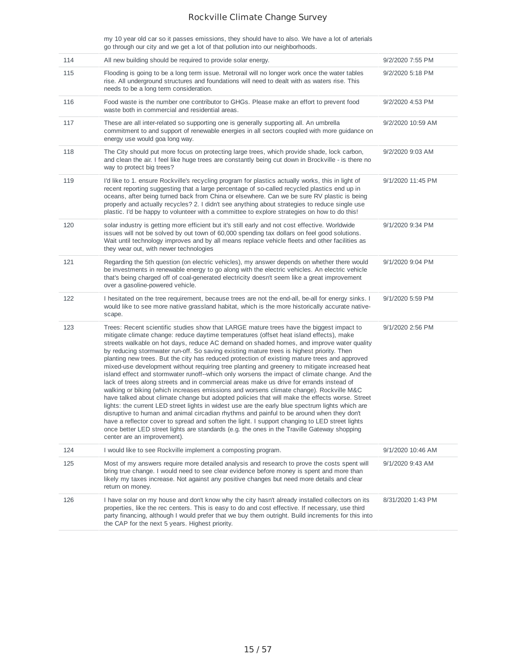my 10 year old car so it passes emissions, they should have to also. We have a lot of arterials go through our city and we get a lot of that pollution into our neighborhoods.

| All new building should be required to provide solar energy.                                                                                                                                                                                                                                                                                                                                                                                                                                                                                                                                                                                                                                                                                                                                                                                                                                                                                                                                                                                                                                                                                                                                                                                                                                                                                                                                               | 9/2/2020 7:55 PM  |
|------------------------------------------------------------------------------------------------------------------------------------------------------------------------------------------------------------------------------------------------------------------------------------------------------------------------------------------------------------------------------------------------------------------------------------------------------------------------------------------------------------------------------------------------------------------------------------------------------------------------------------------------------------------------------------------------------------------------------------------------------------------------------------------------------------------------------------------------------------------------------------------------------------------------------------------------------------------------------------------------------------------------------------------------------------------------------------------------------------------------------------------------------------------------------------------------------------------------------------------------------------------------------------------------------------------------------------------------------------------------------------------------------------|-------------------|
| Flooding is going to be a long term issue. Metrorail will no longer work once the water tables<br>rise. All underground structures and foundations will need to dealt with as waters rise. This<br>needs to be a long term consideration.                                                                                                                                                                                                                                                                                                                                                                                                                                                                                                                                                                                                                                                                                                                                                                                                                                                                                                                                                                                                                                                                                                                                                                  | 9/2/2020 5:18 PM  |
| Food waste is the number one contributor to GHGs. Please make an effort to prevent food<br>waste both in commercial and residential areas.                                                                                                                                                                                                                                                                                                                                                                                                                                                                                                                                                                                                                                                                                                                                                                                                                                                                                                                                                                                                                                                                                                                                                                                                                                                                 | 9/2/2020 4:53 PM  |
| These are all inter-related so supporting one is generally supporting all. An umbrella<br>commitment to and support of renewable energies in all sectors coupled with more guidance on<br>energy use would goa long way.                                                                                                                                                                                                                                                                                                                                                                                                                                                                                                                                                                                                                                                                                                                                                                                                                                                                                                                                                                                                                                                                                                                                                                                   | 9/2/2020 10:59 AM |
| The City should put more focus on protecting large trees, which provide shade, lock carbon,<br>and clean the air. I feel like huge trees are constantly being cut down in Brockville - is there no<br>way to protect big trees?                                                                                                                                                                                                                                                                                                                                                                                                                                                                                                                                                                                                                                                                                                                                                                                                                                                                                                                                                                                                                                                                                                                                                                            | 9/2/2020 9:03 AM  |
| I'd like to 1. ensure Rockville's recycling program for plastics actually works, this in light of<br>recent reporting suggesting that a large percentage of so-called recycled plastics end up in<br>oceans, after being turned back from China or elsewhere. Can we be sure RV plastic is being<br>properly and actually recycles? 2. I didn't see anything about strategies to reduce single use<br>plastic. I'd be happy to volunteer with a committee to explore strategies on how to do this!                                                                                                                                                                                                                                                                                                                                                                                                                                                                                                                                                                                                                                                                                                                                                                                                                                                                                                         | 9/1/2020 11:45 PM |
| solar industry is getting more efficient but it's still early and not cost effective. Worldwide<br>issues will not be solved by out town of 60,000 spending tax dollars on feel good solutions.<br>Wait until technology improves and by all means replace vehicle fleets and other facilities as<br>they wear out, with newer technologies                                                                                                                                                                                                                                                                                                                                                                                                                                                                                                                                                                                                                                                                                                                                                                                                                                                                                                                                                                                                                                                                | 9/1/2020 9:34 PM  |
| Regarding the 5th question (on electric vehicles), my answer depends on whether there would<br>be investments in renewable energy to go along with the electric vehicles. An electric vehicle<br>that's being charged off of coal-generated electricity doesn't seem like a great improvement<br>over a gasoline-powered vehicle.                                                                                                                                                                                                                                                                                                                                                                                                                                                                                                                                                                                                                                                                                                                                                                                                                                                                                                                                                                                                                                                                          | 9/1/2020 9:04 PM  |
| I hesitated on the tree requirement, because trees are not the end-all, be-all for energy sinks. I<br>would like to see more native grassland habitat, which is the more historically accurate native-<br>scape.                                                                                                                                                                                                                                                                                                                                                                                                                                                                                                                                                                                                                                                                                                                                                                                                                                                                                                                                                                                                                                                                                                                                                                                           | 9/1/2020 5:59 PM  |
| Trees: Recent scientific studies show that LARGE mature trees have the biggest impact to<br>mitigate climate change: reduce daytime temperatures (offset heat island effects), make<br>streets walkable on hot days, reduce AC demand on shaded homes, and improve water quality<br>by reducing stormwater run-off. So saving existing mature trees is highest priority. Then<br>planting new trees. But the city has reduced protection of existing mature trees and approved<br>mixed-use development without requiring tree planting and greenery to mitigate increased heat<br>island effect and stormwater runoff--which only worsens the impact of climate change. And the<br>lack of trees along streets and in commercial areas make us drive for errands instead of<br>walking or biking (which increases emissions and worsens climate change). Rockville M&C<br>have talked about climate change but adopted policies that will make the effects worse. Street<br>lights: the current LED street lights in widest use are the early blue spectrum lights which are<br>disruptive to human and animal circadian rhythms and painful to be around when they don't<br>have a reflector cover to spread and soften the light. I support changing to LED street lights<br>once better LED street lights are standards (e.g. the ones in the Traville Gateway shopping<br>center are an improvement). | 9/1/2020 2:56 PM  |
| I would like to see Rockville implement a composting program.                                                                                                                                                                                                                                                                                                                                                                                                                                                                                                                                                                                                                                                                                                                                                                                                                                                                                                                                                                                                                                                                                                                                                                                                                                                                                                                                              | 9/1/2020 10:46 AM |
| Most of my answers require more detailed analysis and research to prove the costs spent will<br>bring true change. I would need to see clear evidence before money is spent and more than<br>likely my taxes increase. Not against any positive changes but need more details and clear<br>return on money.                                                                                                                                                                                                                                                                                                                                                                                                                                                                                                                                                                                                                                                                                                                                                                                                                                                                                                                                                                                                                                                                                                | 9/1/2020 9:43 AM  |
| I have solar on my house and don't know why the city hasn't already installed collectors on its<br>properties, like the rec centers. This is easy to do and cost effective. If necessary, use third<br>party financing, although I would prefer that we buy them outright. Build increments for this into<br>the CAP for the next 5 years. Highest priority.                                                                                                                                                                                                                                                                                                                                                                                                                                                                                                                                                                                                                                                                                                                                                                                                                                                                                                                                                                                                                                               | 8/31/2020 1:43 PM |
|                                                                                                                                                                                                                                                                                                                                                                                                                                                                                                                                                                                                                                                                                                                                                                                                                                                                                                                                                                                                                                                                                                                                                                                                                                                                                                                                                                                                            |                   |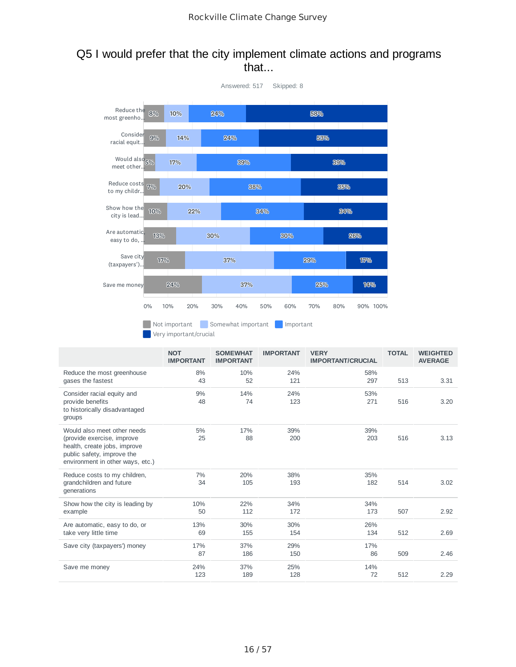## Q5 I would prefer that the city implement climate actions and programs that...



|                                                                                                                                                             | <b>NOT</b><br><b>IMPORTANT</b> | <b>SOMEWHAT</b><br><b>IMPORTANT</b> | <b>IMPORTANT</b> | <b>VERY</b><br><b>IMPORTANT/CRUCIAL</b> | <b>TOTAL</b> | <b>WEIGHTED</b><br><b>AVERAGE</b> |
|-------------------------------------------------------------------------------------------------------------------------------------------------------------|--------------------------------|-------------------------------------|------------------|-----------------------------------------|--------------|-----------------------------------|
| Reduce the most greenhouse<br>gases the fastest                                                                                                             | 8%<br>43                       | 10%<br>52                           | 24%<br>121       | 58%<br>297                              | 513          | 3.31                              |
| Consider racial equity and<br>provide benefits<br>to historically disadvantaged<br>groups                                                                   | 9%<br>48                       | 14%<br>74                           | 24%<br>123       | 53%<br>271                              | 516          | 3.20                              |
| Would also meet other needs<br>(provide exercise, improve<br>health, create jobs, improve<br>public safety, improve the<br>environment in other ways, etc.) | 5%<br>25                       | 17%<br>88                           | 39%<br>200       | 39%<br>203                              | 516          | 3.13                              |
| Reduce costs to my children,<br>grandchildren and future<br>generations                                                                                     | 7%<br>34                       | 20%<br>105                          | 38%<br>193       | 35%<br>182                              | 514          | 3.02                              |
| Show how the city is leading by<br>example                                                                                                                  | 10%<br>50                      | 22%<br>112                          | 34%<br>172       | 34%<br>173                              | 507          | 2.92                              |
| Are automatic, easy to do, or<br>take very little time                                                                                                      | 13%<br>69                      | 30%<br>155                          | 30%<br>154       | 26%<br>134                              | 512          | 2.69                              |
| Save city (taxpayers') money                                                                                                                                | 17%<br>87                      | 37%<br>186                          | 29%<br>150       | 17%<br>86                               | 509          | 2.46                              |
| Save me money                                                                                                                                               | 24%<br>123                     | 37%<br>189                          | 25%<br>128       | 14%<br>72                               | 512          | 2.29                              |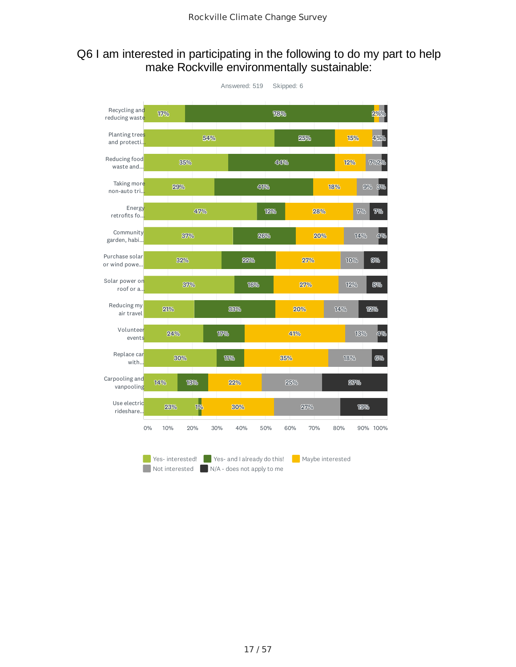### Q6 I am interested in participating in the following to do my part to help make Rockville environmentally sustainable:

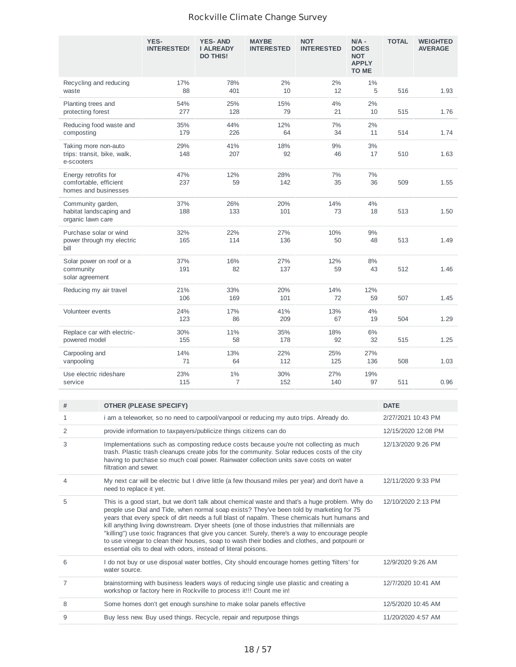|                                                                        | YES-<br><b>INTERESTED!</b> | <b>YES-AND</b><br><b>I ALREADY</b><br><b>DO THIS!</b> | <b>MAYBE</b><br><b>INTERESTED</b> | <b>NOT</b><br><b>INTERESTED</b> | $N/A -$<br><b>DOES</b><br><b>NOT</b><br><b>APPLY</b><br><b>TO ME</b> | <b>TOTAL</b> | <b>WEIGHTED</b><br><b>AVERAGE</b> |
|------------------------------------------------------------------------|----------------------------|-------------------------------------------------------|-----------------------------------|---------------------------------|----------------------------------------------------------------------|--------------|-----------------------------------|
| Recycling and reducing<br>waste                                        | 17%<br>88                  | 78%<br>401                                            | 2%<br>10                          | 2%<br>12                        | 1%<br>5                                                              | 516          | 1.93                              |
| Planting trees and<br>protecting forest                                | 54%<br>277                 | 25%<br>128                                            | 15%<br>79                         | 4%<br>21                        | 2%<br>10                                                             | 515          | 1.76                              |
| Reducing food waste and<br>composting                                  | 35%<br>179                 | 44%<br>226                                            | 12%<br>64                         | 7%<br>34                        | 2%<br>11                                                             | 514          | 1.74                              |
| Taking more non-auto<br>trips: transit, bike, walk,<br>e-scooters      | 29%<br>148                 | 41%<br>207                                            | 18%<br>92                         | 9%<br>46                        | 3%<br>17                                                             | 510          | 1.63                              |
| Energy retrofits for<br>comfortable, efficient<br>homes and businesses | 47%<br>237                 | 12%<br>59                                             | 28%<br>142                        | 7%<br>35                        | 7%<br>36                                                             | 509          | 1.55                              |
| Community garden,<br>habitat landscaping and<br>organic lawn care      | 37%<br>188                 | 26%<br>133                                            | 20%<br>101                        | 14%<br>73                       | 4%<br>18                                                             | 513          | 1.50                              |
| Purchase solar or wind<br>power through my electric<br>bill            | 32%<br>165                 | 22%<br>114                                            | 27%<br>136                        | 10%<br>50                       | 9%<br>48                                                             | 513          | 1.49                              |
| Solar power on roof or a<br>community<br>solar agreement               | 37%<br>191                 | 16%<br>82                                             | 27%<br>137                        | 12%<br>59                       | 8%<br>43                                                             | 512          | 1.46                              |
| Reducing my air travel                                                 | 21%<br>106                 | 33%<br>169                                            | 20%<br>101                        | 14%<br>72                       | 12%<br>59                                                            | 507          | 1.45                              |
| Volunteer events                                                       | 24%<br>123                 | 17%<br>86                                             | 41%<br>209                        | 13%<br>67                       | 4%<br>19                                                             | 504          | 1.29                              |
| Replace car with electric-<br>powered model                            | 30%<br>155                 | 11%<br>58                                             | 35%<br>178                        | 18%<br>92                       | 6%<br>32                                                             | 515          | 1.25                              |
| Carpooling and<br>vanpooling                                           | 14%<br>71                  | 13%<br>64                                             | 22%<br>112                        | 25%<br>125                      | 27%<br>136                                                           | 508          | 1.03                              |
| Use electric rideshare<br>service                                      | 23%<br>115                 | 1%<br>$\overline{7}$                                  | 30%<br>152                        | 27%<br>140                      | 19%<br>97                                                            | 511          | 0.96                              |

| # | <b>OTHER (PLEASE SPECIFY)</b>                                                                                                                                                                                                                                                                                                                                                                                                                                                                                                                                                                                                                                   | <b>DATE</b>         |
|---|-----------------------------------------------------------------------------------------------------------------------------------------------------------------------------------------------------------------------------------------------------------------------------------------------------------------------------------------------------------------------------------------------------------------------------------------------------------------------------------------------------------------------------------------------------------------------------------------------------------------------------------------------------------------|---------------------|
| 1 | i am a teleworker, so no need to carpool/vanpool or reducing my auto trips. Already do.                                                                                                                                                                                                                                                                                                                                                                                                                                                                                                                                                                         | 2/27/2021 10:43 PM  |
| 2 | provide information to taxpayers/publicize things citizens can do                                                                                                                                                                                                                                                                                                                                                                                                                                                                                                                                                                                               | 12/15/2020 12:08 PM |
| 3 | Implementations such as composting reduce costs because you're not collecting as much<br>trash. Plastic trash cleanups create jobs for the community. Solar reduces costs of the city<br>having to purchase so much coal power. Rainwater collection units save costs on water<br>filtration and sewer.                                                                                                                                                                                                                                                                                                                                                         | 12/13/2020 9:26 PM  |
| 4 | My next car will be electric but I drive little (a few thousand miles per year) and don't have a<br>need to replace it yet.                                                                                                                                                                                                                                                                                                                                                                                                                                                                                                                                     | 12/11/2020 9:33 PM  |
| 5 | This is a good start, but we don't talk about chemical waste and that's a huge problem. Why do<br>people use Dial and Tide, when normal soap exists? They've been told by marketing for 75<br>years that every speck of dirt needs a full blast of napalm. These chemicals hurt humans and<br>kill anything living downstream. Dryer sheets (one of those industries that millennials are<br>"killing") use toxic fragrances that give you cancer. Surely, there's a way to encourage people<br>to use vinegar to clean their houses, soap to wash their bodies and clothes, and potpourri or<br>essential oils to deal with odors, instead of literal poisons. | 12/10/2020 2:13 PM  |
| 6 | I do not buy or use disposal water bottles, City should encourage homes getting 'filters' for<br>water source.                                                                                                                                                                                                                                                                                                                                                                                                                                                                                                                                                  | 12/9/2020 9:26 AM   |
| 7 | brainstorming with business leaders ways of reducing single use plastic and creating a<br>workshop or factory here in Rockville to process it!!! Count me in!                                                                                                                                                                                                                                                                                                                                                                                                                                                                                                   | 12/7/2020 10:41 AM  |
| 8 | Some homes don't get enough sunshine to make solar panels effective                                                                                                                                                                                                                                                                                                                                                                                                                                                                                                                                                                                             | 12/5/2020 10:45 AM  |
| 9 | Buy less new. Buy used things. Recycle, repair and repurpose things                                                                                                                                                                                                                                                                                                                                                                                                                                                                                                                                                                                             | 11/20/2020 4:57 AM  |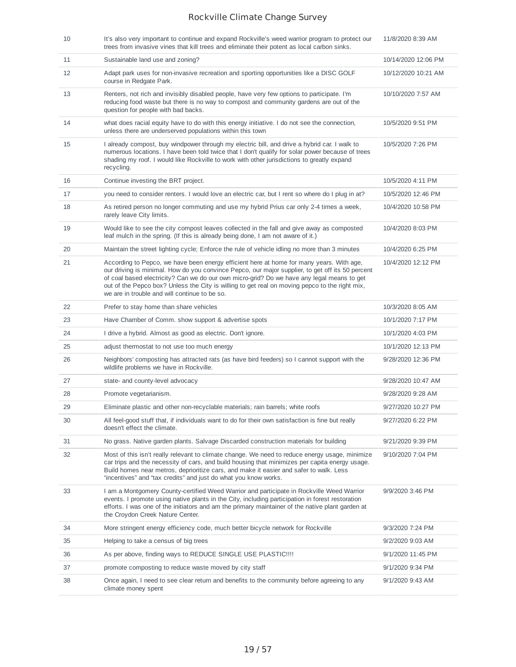| 10 | It's also very important to continue and expand Rockville's weed warrior program to protect our<br>trees from invasive vines that kill trees and eliminate their potent as local carbon sinks.                                                                                                                                                                                                                                                | 11/8/2020 8:39 AM   |
|----|-----------------------------------------------------------------------------------------------------------------------------------------------------------------------------------------------------------------------------------------------------------------------------------------------------------------------------------------------------------------------------------------------------------------------------------------------|---------------------|
| 11 | Sustainable land use and zoning?                                                                                                                                                                                                                                                                                                                                                                                                              | 10/14/2020 12:06 PM |
| 12 | Adapt park uses for non-invasive recreation and sporting opportunities like a DISC GOLF<br>course in Redgate Park.                                                                                                                                                                                                                                                                                                                            | 10/12/2020 10:21 AM |
| 13 | Renters, not rich and invisibly disabled people, have very few options to participate. I'm<br>reducing food waste but there is no way to compost and community gardens are out of the<br>question for people with bad backs.                                                                                                                                                                                                                  | 10/10/2020 7:57 AM  |
| 14 | what does racial equity have to do with this energy initiative. I do not see the connection,<br>unless there are underserved populations within this town                                                                                                                                                                                                                                                                                     | 10/5/2020 9:51 PM   |
| 15 | I already compost, buy windpower through my electric bill, and drive a hybrid car. I walk to<br>numerous locations. I have been told twice that I don't qualify for solar power because of trees<br>shading my roof. I would like Rockville to work with other jurisdictions to greatly expand<br>recycling.                                                                                                                                  | 10/5/2020 7:26 PM   |
| 16 | Continue investing the BRT project.                                                                                                                                                                                                                                                                                                                                                                                                           | 10/5/2020 4:11 PM   |
| 17 | you need to consider renters. I would love an electric car, but I rent so where do I plug in at?                                                                                                                                                                                                                                                                                                                                              | 10/5/2020 12:46 PM  |
| 18 | As retired person no longer commuting and use my hybrid Prius car only 2-4 times a week,<br>rarely leave City limits.                                                                                                                                                                                                                                                                                                                         | 10/4/2020 10:58 PM  |
| 19 | Would like to see the city compost leaves collected in the fall and give away as composted<br>leaf mulch in the spring. (If this is already being done, I am not aware of it.)                                                                                                                                                                                                                                                                | 10/4/2020 8:03 PM   |
| 20 | Maintain the street lighting cycle; Enforce the rule of vehicle idling no more than 3 minutes                                                                                                                                                                                                                                                                                                                                                 | 10/4/2020 6:25 PM   |
| 21 | According to Pepco, we have been energy efficient here at home for many years. With age,<br>our driving is minimal. How do you convince Pepco, our major supplier, to get off its 50 percent<br>of coal based electricity? Can we do our own micro-grid? Do we have any legal means to get<br>out of the Pepco box? Unless the City is willing to get real on moving pepco to the right mix,<br>we are in trouble and will continue to be so. | 10/4/2020 12:12 PM  |
| 22 | Prefer to stay home than share vehicles                                                                                                                                                                                                                                                                                                                                                                                                       | 10/3/2020 8:05 AM   |
|    |                                                                                                                                                                                                                                                                                                                                                                                                                                               |                     |
| 23 | Have Chamber of Comm. show support & advertise spots                                                                                                                                                                                                                                                                                                                                                                                          | 10/1/2020 7:17 PM   |
| 24 | I drive a hybrid. Almost as good as electric. Don't ignore.                                                                                                                                                                                                                                                                                                                                                                                   | 10/1/2020 4:03 PM   |
| 25 | adjust thermostat to not use too much energy                                                                                                                                                                                                                                                                                                                                                                                                  | 10/1/2020 12:13 PM  |
| 26 | Neighbors' composting has attracted rats (as have bird feeders) so I cannot support with the<br>wildlife problems we have in Rockville.                                                                                                                                                                                                                                                                                                       | 9/28/2020 12:36 PM  |
| 27 | state- and county-level advocacy                                                                                                                                                                                                                                                                                                                                                                                                              | 9/28/2020 10:47 AM  |
| 28 | Promote vegetarianism.                                                                                                                                                                                                                                                                                                                                                                                                                        | 9/28/2020 9:28 AM   |
| 29 | Eliminate plastic and other non-recyclable materials; rain barrels; white roofs                                                                                                                                                                                                                                                                                                                                                               | 9/27/2020 10:27 PM  |
| 30 | All feel-good stuff that, if individuals want to do for their own satisfaction is fine but really<br>doesn't effect the climate.                                                                                                                                                                                                                                                                                                              | 9/27/2020 6:22 PM   |
| 31 | No grass. Native garden plants. Salvage Discarded construction materials for building                                                                                                                                                                                                                                                                                                                                                         | 9/21/2020 9:39 PM   |
| 32 | Most of this isn't really relevant to climate change. We need to reduce energy usage, minimize<br>car trips and the necessity of cars, and build housing that minimizes per capita energy usage.<br>Build homes near metros, deprioritize cars, and make it easier and safer to walk. Less<br>"incentives" and "tax credits" and just do what you know works.                                                                                 | 9/10/2020 7:04 PM   |
| 33 | I am a Montgomery County-certified Weed Warrior and participate in Rockville Weed Warrior<br>events. I promote using native plants in the City, including participation in forest restoration<br>efforts. I was one of the initiators and am the primary maintainer of the native plant garden at<br>the Croydon Creek Nature Center.                                                                                                         | 9/9/2020 3:46 PM    |
| 34 | More stringent energy efficiency code, much better bicycle network for Rockville                                                                                                                                                                                                                                                                                                                                                              | 9/3/2020 7:24 PM    |
| 35 | Helping to take a census of big trees                                                                                                                                                                                                                                                                                                                                                                                                         | 9/2/2020 9:03 AM    |
| 36 | As per above, finding ways to REDUCE SINGLE USE PLASTIC !!!!                                                                                                                                                                                                                                                                                                                                                                                  | 9/1/2020 11:45 PM   |
| 37 | promote composting to reduce waste moved by city staff                                                                                                                                                                                                                                                                                                                                                                                        | 9/1/2020 9:34 PM    |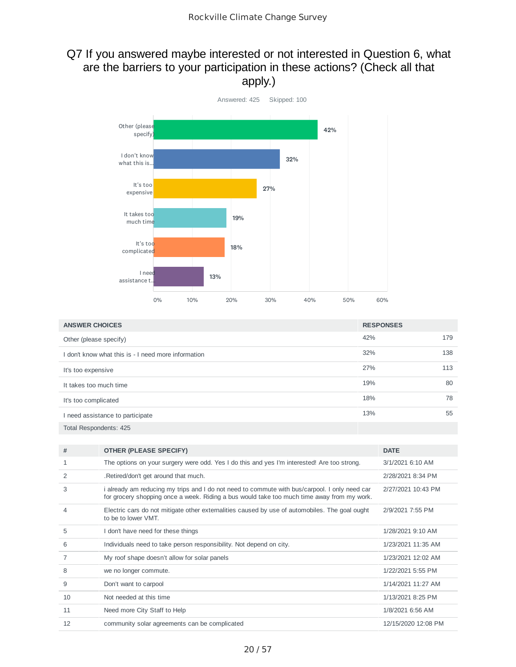## Q7 If you answered maybe interested or not interested in Question 6, what are the barriers to your participation in these actions? (Check all that apply.)



| <b>ANSWER CHOICES</b>                             | <b>RESPONSES</b> |     |
|---------------------------------------------------|------------------|-----|
| Other (please specify)                            | 42%              | 179 |
| don't know what this is - I need more information | 32%              | 138 |
| It's too expensive                                | 27%              | 113 |
| It takes too much time                            | 19%              | 80  |
| It's too complicated                              | 18%              | 78  |
| I need assistance to participate                  | 13%              | 55  |
| Total Respondents: 425                            |                  |     |

| #  | <b>OTHER (PLEASE SPECIFY)</b>                                                                                                                                                               | <b>DATE</b>          |
|----|---------------------------------------------------------------------------------------------------------------------------------------------------------------------------------------------|----------------------|
| 1  | The options on your surgery were odd. Yes I do this and yes I'm interested! Are too strong.                                                                                                 | 3/1/2021 6:10 AM     |
| 2  | .Retired/don't get around that much.                                                                                                                                                        | 2/28/2021 8:34 PM    |
| 3  | i already am reducing my trips and I do not need to commute with bus/carpool. I only need car<br>for grocery shopping once a week. Riding a bus would take too much time away from my work. | 2/27/2021 10:43 PM   |
| 4  | Electric cars do not mitigate other externalities caused by use of automobiles. The goal ought<br>to be to lower VMT.                                                                       | 2/9/2021 7:55 PM     |
| 5  | I don't have need for these things                                                                                                                                                          | 1/28/2021 9:10 AM    |
| 6  | Individuals need to take person responsibility. Not depend on city.                                                                                                                         | 1/23/2021 11:35 AM   |
| 7  | My roof shape doesn't allow for solar panels                                                                                                                                                | 1/23/2021 12:02 AM   |
| 8  | we no longer commute.                                                                                                                                                                       | 1/22/2021 5:55 PM    |
| 9  | Don't want to carpool                                                                                                                                                                       | $1/14/2021$ 11:27 AM |
| 10 | Not needed at this time                                                                                                                                                                     | 1/13/2021 8:25 PM    |
| 11 | Need more City Staff to Help                                                                                                                                                                | 1/8/2021 6:56 AM     |
| 12 | community solar agreements can be complicated                                                                                                                                               | 12/15/2020 12:08 PM  |
|    |                                                                                                                                                                                             |                      |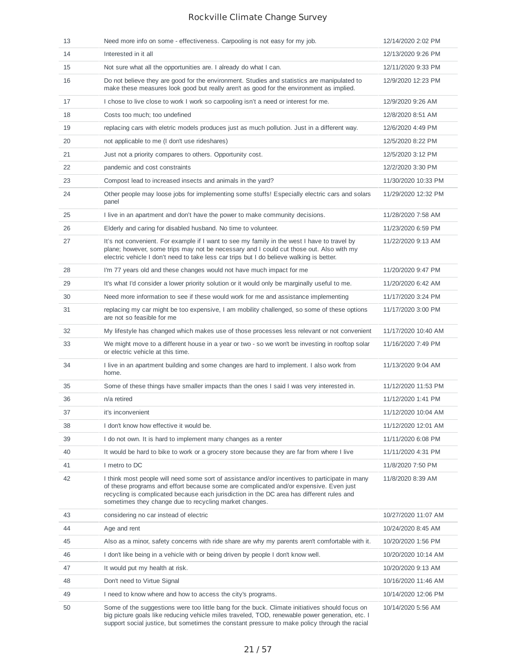| 13 | Need more info on some - effectiveness. Carpooling is not easy for my job.                                                                                                                                                                                                                                                                     | 12/14/2020 2:02 PM  |
|----|------------------------------------------------------------------------------------------------------------------------------------------------------------------------------------------------------------------------------------------------------------------------------------------------------------------------------------------------|---------------------|
| 14 | Interested in it all                                                                                                                                                                                                                                                                                                                           | 12/13/2020 9:26 PM  |
| 15 | Not sure what all the opportunities are. I already do what I can.                                                                                                                                                                                                                                                                              | 12/11/2020 9:33 PM  |
| 16 | Do not believe they are good for the environment. Studies and statistics are manipulated to<br>make these measures look good but really aren't as good for the environment as implied.                                                                                                                                                         | 12/9/2020 12:23 PM  |
| 17 | I chose to live close to work I work so carpooling isn't a need or interest for me.                                                                                                                                                                                                                                                            | 12/9/2020 9:26 AM   |
| 18 | Costs too much; too undefined                                                                                                                                                                                                                                                                                                                  | 12/8/2020 8:51 AM   |
| 19 | replacing cars with eletric models produces just as much pollution. Just in a different way.                                                                                                                                                                                                                                                   | 12/6/2020 4:49 PM   |
| 20 | not applicable to me (I don't use rideshares)                                                                                                                                                                                                                                                                                                  | 12/5/2020 8:22 PM   |
| 21 | Just not a priority compares to others. Opportunity cost.                                                                                                                                                                                                                                                                                      | 12/5/2020 3:12 PM   |
| 22 | pandemic and cost constraints                                                                                                                                                                                                                                                                                                                  | 12/2/2020 3:30 PM   |
| 23 | Compost lead to increased insects and animals in the yard?                                                                                                                                                                                                                                                                                     | 11/30/2020 10:33 PM |
| 24 | Other people may loose jobs for implementing some stuffs! Especially electric cars and solars<br>panel                                                                                                                                                                                                                                         | 11/29/2020 12:32 PM |
| 25 | I live in an apartment and don't have the power to make community decisions.                                                                                                                                                                                                                                                                   | 11/28/2020 7:58 AM  |
| 26 | Elderly and caring for disabled husband. No time to volunteer.                                                                                                                                                                                                                                                                                 | 11/23/2020 6:59 PM  |
| 27 | It's not convenient. For example if I want to see my family in the west I have to travel by<br>plane; however, some trips may not be necessary and I could cut those out. Also with my<br>electric vehicle I don't need to take less car trips but I do believe walking is better.                                                             | 11/22/2020 9:13 AM  |
| 28 | I'm 77 years old and these changes would not have much impact for me                                                                                                                                                                                                                                                                           | 11/20/2020 9:47 PM  |
| 29 | It's what I'd consider a lower priority solution or it would only be marginally useful to me.                                                                                                                                                                                                                                                  | 11/20/2020 6:42 AM  |
| 30 | Need more information to see if these would work for me and assistance implementing                                                                                                                                                                                                                                                            | 11/17/2020 3:24 PM  |
| 31 | replacing my car might be too expensive, I am mobility challenged, so some of these options<br>are not so feasible for me                                                                                                                                                                                                                      | 11/17/2020 3:00 PM  |
| 32 | My lifestyle has changed which makes use of those processes less relevant or not convenient                                                                                                                                                                                                                                                    | 11/17/2020 10:40 AM |
| 33 | We might move to a different house in a year or two - so we won't be investing in rooftop solar<br>or electric vehicle at this time.                                                                                                                                                                                                           | 11/16/2020 7:49 PM  |
| 34 | I live in an apartment building and some changes are hard to implement. I also work from<br>home.                                                                                                                                                                                                                                              | 11/13/2020 9:04 AM  |
| 35 | Some of these things have smaller impacts than the ones I said I was very interested in.                                                                                                                                                                                                                                                       | 11/12/2020 11:53 PM |
| 36 | n/a retired                                                                                                                                                                                                                                                                                                                                    | 11/12/2020 1:41 PM  |
| 37 | it's inconvenient                                                                                                                                                                                                                                                                                                                              | 11/12/2020 10:04 AM |
| 38 | I don't know how effective it would be.                                                                                                                                                                                                                                                                                                        | 11/12/2020 12:01 AM |
| 39 | I do not own. It is hard to implement many changes as a renter                                                                                                                                                                                                                                                                                 | 11/11/2020 6:08 PM  |
| 40 | It would be hard to bike to work or a grocery store because they are far from where I live                                                                                                                                                                                                                                                     | 11/11/2020 4:31 PM  |
| 41 | I metro to DC                                                                                                                                                                                                                                                                                                                                  | 11/8/2020 7:50 PM   |
| 42 | I think most people will need some sort of assistance and/or incentives to participate in many<br>of these programs and effort because some are complicated and/or expensive. Even just<br>recycling is complicated because each jurisdiction in the DC area has different rules and<br>sometimes they change due to recycling market changes. | 11/8/2020 8:39 AM   |
| 43 | considering no car instead of electric                                                                                                                                                                                                                                                                                                         | 10/27/2020 11:07 AM |
| 44 | Age and rent                                                                                                                                                                                                                                                                                                                                   | 10/24/2020 8:45 AM  |
| 45 | Also as a minor, safety concerns with ride share are why my parents aren't comfortable with it.                                                                                                                                                                                                                                                | 10/20/2020 1:56 PM  |
| 46 | I don't like being in a vehicle with or being driven by people I don't know well.                                                                                                                                                                                                                                                              | 10/20/2020 10:14 AM |
| 47 | It would put my health at risk.                                                                                                                                                                                                                                                                                                                | 10/20/2020 9:13 AM  |
| 48 | Don't need to Virtue Signal                                                                                                                                                                                                                                                                                                                    | 10/16/2020 11:46 AM |
| 49 | I need to know where and how to access the city's programs.                                                                                                                                                                                                                                                                                    | 10/14/2020 12:06 PM |
| 50 | Some of the suggestions were too little bang for the buck. Climate initiatives should focus on<br>big picture goals like reducing vehicle miles traveled, TOD, renewable power generation, etc. I<br>support social justice, but sometimes the constant pressure to make policy through the racial                                             | 10/14/2020 5:56 AM  |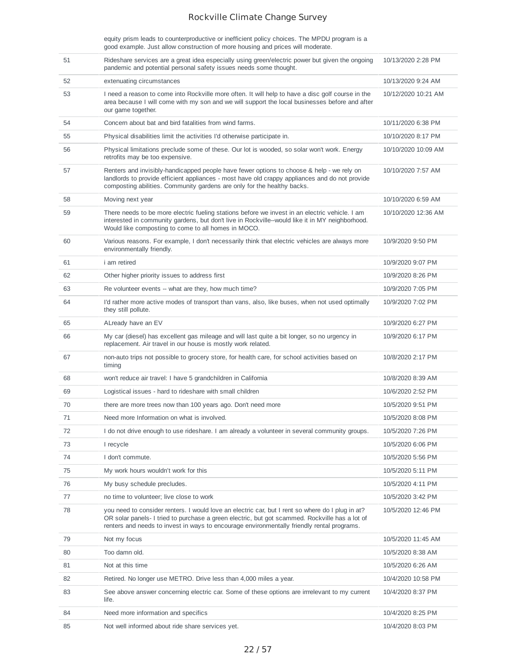equity prism leads to counterproductive or inefficient policy choices. The MPDU program is a good example. Just allow construction of more housing and prices will moderate.

| 51 | Rideshare services are a great idea especially using green/electric power but given the ongoing<br>pandemic and potential personal safety issues needs some thought.                                                                                                                             | 10/13/2020 2:28 PM  |
|----|--------------------------------------------------------------------------------------------------------------------------------------------------------------------------------------------------------------------------------------------------------------------------------------------------|---------------------|
| 52 | extenuating circumstances                                                                                                                                                                                                                                                                        | 10/13/2020 9:24 AM  |
| 53 | I need a reason to come into Rockville more often. It will help to have a disc golf course in the<br>area because I will come with my son and we will support the local businesses before and after<br>our game together.                                                                        | 10/12/2020 10:21 AM |
| 54 | Concern about bat and bird fatalities from wind farms.                                                                                                                                                                                                                                           | 10/11/2020 6:38 PM  |
| 55 | Physical disabilities limit the activities I'd otherwise participate in.                                                                                                                                                                                                                         | 10/10/2020 8:17 PM  |
| 56 | Physical limitations preclude some of these. Our lot is wooded, so solar won't work. Energy<br>retrofits may be too expensive.                                                                                                                                                                   | 10/10/2020 10:09 AM |
| 57 | Renters and invisibly-handicapped people have fewer options to choose & help - we rely on<br>landlords to provide efficient appliances - most have old crappy appliances and do not provide<br>composting abilities. Community gardens are only for the healthy backs.                           | 10/10/2020 7:57 AM  |
| 58 | Moving next year                                                                                                                                                                                                                                                                                 | 10/10/2020 6:59 AM  |
| 59 | There needs to be more electric fueling stations before we invest in an electric vehicle. I am<br>interested in community gardens, but don't live in Rockville--would like it in MY neighborhood.<br>Would like composting to come to all homes in MOCO.                                         | 10/10/2020 12:36 AM |
| 60 | Various reasons. For example, I don't necessarily think that electric vehicles are always more<br>environmentally friendly.                                                                                                                                                                      | 10/9/2020 9:50 PM   |
| 61 | <i>i</i> am retired                                                                                                                                                                                                                                                                              | 10/9/2020 9:07 PM   |
| 62 | Other higher priority issues to address first                                                                                                                                                                                                                                                    | 10/9/2020 8:26 PM   |
| 63 | Re volunteer events -- what are they, how much time?                                                                                                                                                                                                                                             | 10/9/2020 7:05 PM   |
| 64 | I'd rather more active modes of transport than vans, also, like buses, when not used optimally<br>they still pollute.                                                                                                                                                                            | 10/9/2020 7:02 PM   |
| 65 | ALready have an EV                                                                                                                                                                                                                                                                               | 10/9/2020 6:27 PM   |
| 66 | My car (diesel) has excellent gas mileage and will last quite a bit longer, so no urgency in<br>replacement. Air travel in our house is mostly work related.                                                                                                                                     | 10/9/2020 6:17 PM   |
| 67 | non-auto trips not possible to grocery store, for health care, for school activities based on<br>timing                                                                                                                                                                                          | 10/8/2020 2:17 PM   |
| 68 | won't reduce air travel: I have 5 grandchildren in California                                                                                                                                                                                                                                    | 10/8/2020 8:39 AM   |
| 69 | Logistical issues - hard to rideshare with small children                                                                                                                                                                                                                                        | 10/6/2020 2:52 PM   |
| 70 | there are more trees now than 100 years ago. Don't need more                                                                                                                                                                                                                                     | 10/5/2020 9:51 PM   |
| 71 | Need more Information on what is involved.                                                                                                                                                                                                                                                       | 10/5/2020 8:08 PM   |
| 72 | I do not drive enough to use rideshare. I am already a volunteer in several community groups.                                                                                                                                                                                                    | 10/5/2020 7:26 PM   |
| 73 | I recycle                                                                                                                                                                                                                                                                                        | 10/5/2020 6:06 PM   |
| 74 | I don't commute.                                                                                                                                                                                                                                                                                 | 10/5/2020 5:56 PM   |
| 75 | My work hours wouldn't work for this                                                                                                                                                                                                                                                             | 10/5/2020 5:11 PM   |
| 76 | My busy schedule precludes.                                                                                                                                                                                                                                                                      | 10/5/2020 4:11 PM   |
| 77 | no time to volunteer; live close to work                                                                                                                                                                                                                                                         | 10/5/2020 3:42 PM   |
| 78 | you need to consider renters. I would love an electric car, but I rent so where do I plug in at?<br>OR solar panels- I tried to purchase a green electric, but got scammed. Rockville has a lot of<br>renters and needs to invest in ways to encourage environmentally friendly rental programs. | 10/5/2020 12:46 PM  |
| 79 | Not my focus                                                                                                                                                                                                                                                                                     | 10/5/2020 11:45 AM  |
| 80 | Too damn old.                                                                                                                                                                                                                                                                                    | 10/5/2020 8:38 AM   |
| 81 | Not at this time                                                                                                                                                                                                                                                                                 | 10/5/2020 6:26 AM   |
| 82 | Retired. No longer use METRO. Drive less than 4,000 miles a year.                                                                                                                                                                                                                                | 10/4/2020 10:58 PM  |
| 83 | See above answer concerning electric car. Some of these options are irrrelevant to my current<br>life.                                                                                                                                                                                           | 10/4/2020 8:37 PM   |
| 84 | Need more information and specifics                                                                                                                                                                                                                                                              | 10/4/2020 8:25 PM   |
| 85 | Not well informed about ride share services yet.                                                                                                                                                                                                                                                 | 10/4/2020 8:03 PM   |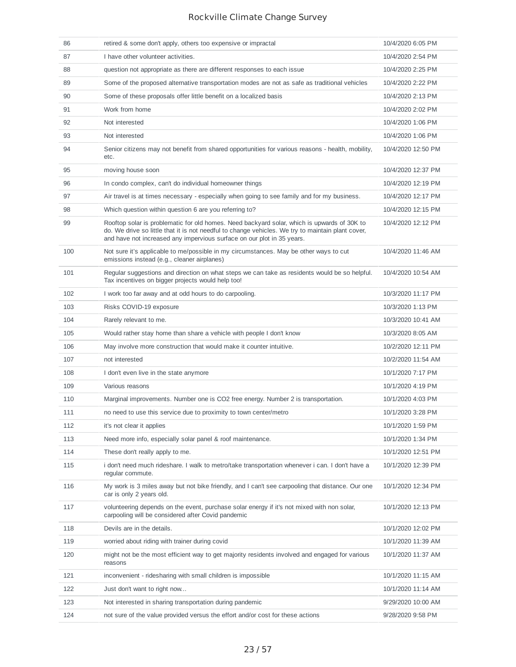| 86  | retired & some don't apply, others too expensive or impractal                                                                                                                                                                                                              | 10/4/2020 6:05 PM  |
|-----|----------------------------------------------------------------------------------------------------------------------------------------------------------------------------------------------------------------------------------------------------------------------------|--------------------|
| 87  | I have other volunteer activities.                                                                                                                                                                                                                                         | 10/4/2020 2:54 PM  |
| 88  | question not appropriate as there are different responses to each issue                                                                                                                                                                                                    | 10/4/2020 2:25 PM  |
| 89  | Some of the proposed alternative transportation modes are not as safe as traditional vehicles                                                                                                                                                                              | 10/4/2020 2:22 PM  |
| 90  | Some of these proposals offer little benefit on a localized basis                                                                                                                                                                                                          | 10/4/2020 2:13 PM  |
| 91  | Work from home                                                                                                                                                                                                                                                             | 10/4/2020 2:02 PM  |
| 92  | Not interested                                                                                                                                                                                                                                                             | 10/4/2020 1:06 PM  |
| 93  | Not interested                                                                                                                                                                                                                                                             | 10/4/2020 1:06 PM  |
| 94  | Senior citizens may not benefit from shared opportunities for various reasons - health, mobility,<br>etc.                                                                                                                                                                  | 10/4/2020 12:50 PM |
| 95  | moving house soon                                                                                                                                                                                                                                                          | 10/4/2020 12:37 PM |
| 96  | In condo complex, can't do individual homeowner things                                                                                                                                                                                                                     | 10/4/2020 12:19 PM |
| 97  | Air travel is at times necessary - especially when going to see family and for my business.                                                                                                                                                                                | 10/4/2020 12:17 PM |
| 98  | Which question within question 6 are you referring to?                                                                                                                                                                                                                     | 10/4/2020 12:15 PM |
| 99  | Rooftop solar is problematic for old homes. Need backyard solar, which is upwards of 30K to<br>do. We drive so little that it is not needful to change vehicles. We try to maintain plant cover,<br>and have not increased any impervious surface on our plot in 35 years. | 10/4/2020 12:12 PM |
| 100 | Not sure it's applicable to me/possible in my circumstances. May be other ways to cut<br>emissions instead (e.g., cleaner airplanes)                                                                                                                                       | 10/4/2020 11:46 AM |
| 101 | Regular suggestions and direction on what steps we can take as residents would be so helpful.<br>Tax incentives on bigger projects would help too!                                                                                                                         | 10/4/2020 10:54 AM |
| 102 | I work too far away and at odd hours to do carpooling.                                                                                                                                                                                                                     | 10/3/2020 11:17 PM |
| 103 | Risks COVID-19 exposure                                                                                                                                                                                                                                                    | 10/3/2020 1:13 PM  |
| 104 | Rarely relevant to me.                                                                                                                                                                                                                                                     | 10/3/2020 10:41 AM |
| 105 | Would rather stay home than share a vehicle with people I don't know                                                                                                                                                                                                       | 10/3/2020 8:05 AM  |
| 106 | May involve more construction that would make it counter intuitive.                                                                                                                                                                                                        | 10/2/2020 12:11 PM |
| 107 | not interested                                                                                                                                                                                                                                                             | 10/2/2020 11:54 AM |
| 108 | I don't even live in the state anymore                                                                                                                                                                                                                                     | 10/1/2020 7:17 PM  |
| 109 | Various reasons                                                                                                                                                                                                                                                            | 10/1/2020 4:19 PM  |
| 110 | Marginal improvements. Number one is CO2 free energy. Number 2 is transportation.                                                                                                                                                                                          | 10/1/2020 4:03 PM  |
| 111 | no need to use this service due to proximity to town center/metro                                                                                                                                                                                                          | 10/1/2020 3:28 PM  |
| 112 | it's not clear it applies                                                                                                                                                                                                                                                  | 10/1/2020 1:59 PM  |
| 113 | Need more info, especially solar panel & roof maintenance.                                                                                                                                                                                                                 | 10/1/2020 1:34 PM  |
| 114 | These don't really apply to me.                                                                                                                                                                                                                                            | 10/1/2020 12:51 PM |
| 115 | i don't need much rideshare. I walk to metro/take transportation whenever i can. I don't have a<br>regular commute.                                                                                                                                                        | 10/1/2020 12:39 PM |
| 116 | My work is 3 miles away but not bike friendly, and I can't see carpooling that distance. Our one<br>car is only 2 years old.                                                                                                                                               | 10/1/2020 12:34 PM |
| 117 | volunteering depends on the event, purchase solar energy if it's not mixed with non solar,<br>carpooling will be considered after Covid pandemic                                                                                                                           | 10/1/2020 12:13 PM |
| 118 | Devils are in the details.                                                                                                                                                                                                                                                 | 10/1/2020 12:02 PM |
| 119 | worried about riding with trainer during covid                                                                                                                                                                                                                             | 10/1/2020 11:39 AM |
| 120 | might not be the most efficient way to get majority residents involved and engaged for various<br>reasons                                                                                                                                                                  | 10/1/2020 11:37 AM |
| 121 | inconvenient - ridesharing with small children is impossible                                                                                                                                                                                                               | 10/1/2020 11:15 AM |
| 122 | Just don't want to right now                                                                                                                                                                                                                                               | 10/1/2020 11:14 AM |
| 123 | Not interested in sharing transportation during pandemic                                                                                                                                                                                                                   | 9/29/2020 10:00 AM |
| 124 | not sure of the value provided versus the effort and/or cost for these actions                                                                                                                                                                                             | 9/28/2020 9:58 PM  |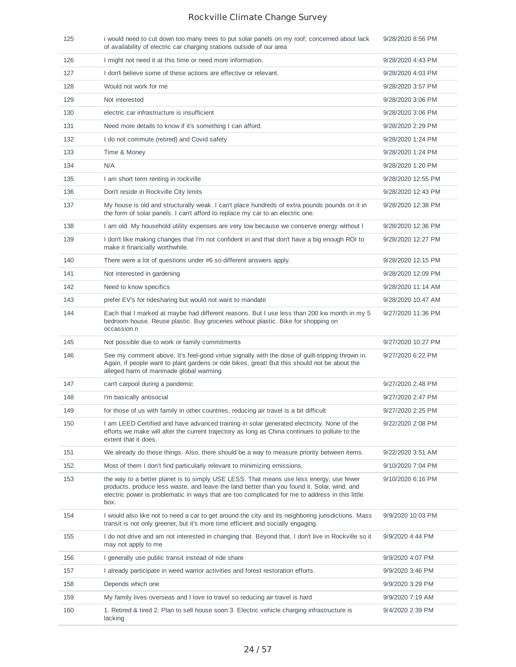| 125 | i would need to cut down too many trees to put solar panels on my roof; concerned about lack<br>of availability of electric car charging stations outside of our area                                                                                                                             | 9/28/2020 8:56 PM  |
|-----|---------------------------------------------------------------------------------------------------------------------------------------------------------------------------------------------------------------------------------------------------------------------------------------------------|--------------------|
| 126 | I might not need it at this time or need more information.                                                                                                                                                                                                                                        | 9/28/2020 4:43 PM  |
| 127 | I don't believe some of these actions are effective or relevant.                                                                                                                                                                                                                                  | 9/28/2020 4:03 PM  |
| 128 | Would not work for me                                                                                                                                                                                                                                                                             | 9/28/2020 3:57 PM  |
| 129 | Not interested                                                                                                                                                                                                                                                                                    | 9/28/2020 3:06 PM  |
| 130 | electric car infrastructure is insufficient                                                                                                                                                                                                                                                       | 9/28/2020 3:06 PM  |
| 131 | Need more details to know if it's something I can afford.                                                                                                                                                                                                                                         | 9/28/2020 2:29 PM  |
| 132 | I do not commute (retired) and Covid safety                                                                                                                                                                                                                                                       | 9/28/2020 1:24 PM  |
| 133 | Time & Money                                                                                                                                                                                                                                                                                      | 9/28/2020 1:24 PM  |
| 134 | N/A                                                                                                                                                                                                                                                                                               | 9/28/2020 1:20 PM  |
| 135 | I am short term renting in rockville                                                                                                                                                                                                                                                              | 9/28/2020 12:55 PM |
| 136 | Don't reside in Rockville City limits                                                                                                                                                                                                                                                             | 9/28/2020 12:43 PM |
| 137 | My house is old and structurally weak. I can't place hundreds of extra pounds pounds on it in<br>the form of solar panels. I can't afford to replace my car to an electric one.                                                                                                                   | 9/28/2020 12:38 PM |
| 138 | I am old. My household utility expenses are very low because we conserve energy without I                                                                                                                                                                                                         | 9/28/2020 12:36 PM |
| 139 | I don't like making changes that I'm not confident in and that don't have a big enough ROI to<br>make it financially worthwhile.                                                                                                                                                                  | 9/28/2020 12:27 PM |
| 140 | There were a lot of questions under #6 so different answers apply.                                                                                                                                                                                                                                | 9/28/2020 12:15 PM |
| 141 | Not interested in gardening                                                                                                                                                                                                                                                                       | 9/28/2020 12:09 PM |
| 142 | Need to know specifics                                                                                                                                                                                                                                                                            | 9/28/2020 11:14 AM |
| 143 | prefer EV's for ridesharing but would not want to mandate                                                                                                                                                                                                                                         | 9/28/2020 10:47 AM |
| 144 | Each that I marked at maybe had different reasons. But I use less than 200 kw month in my 5<br>bedroom house. Reuse plastic. Buy groceries without plastic. Bike for shopping on<br>occassion.n                                                                                                   | 9/27/2020 11:36 PM |
| 145 | Not possible due to work or family commitments                                                                                                                                                                                                                                                    | 9/27/2020 10:27 PM |
| 146 | See my comment above. It's feel-good virtue signally with the dose of guilt-tripping thrown in.<br>Again, if people want to plant gardens or ride bikes, great! But this should not be about the<br>alleged harm of manmade global warming.                                                       | 9/27/2020 6:22 PM  |
| 147 | can't carpool during a pandemic                                                                                                                                                                                                                                                                   | 9/27/2020 2:48 PM  |
| 148 | I'm basically antisocial                                                                                                                                                                                                                                                                          | 9/27/2020 2:47 PM  |
| 149 | for those of us with family in other countries, reducing air travel is a bit difficult                                                                                                                                                                                                            | 9/27/2020 2:25 PM  |
| 150 | I am LEED Certified and have advanced training in solar generated electricity. None of the<br>efforts we make will alter the current trajectory as long as China continues to pollute to the<br>extent that it does.                                                                              | 9/22/2020 2:08 PM  |
| 151 | We already do these things. Also, there should be a way to measure priority between items.                                                                                                                                                                                                        | 9/22/2020 3:51 AM  |
| 152 | Most of them I don't find particularly relevant to minimizing emissions.                                                                                                                                                                                                                          | 9/10/2020 7:04 PM  |
| 153 | the way to a better planet is to simply USE LESS. That means use less energy, use fewer<br>products, produce less waste, and leave the land better than you found it. Solar, wind, and<br>electric power is problematic in ways that are too complicated for me to address in this little<br>box. | 9/10/2020 6:16 PM  |
| 154 | I would also like not to need a car to get around the city and its neighboring jurisdictions. Mass<br>transit is not only greener, but it's more time efficient and socially engaging.                                                                                                            | 9/9/2020 10:03 PM  |
| 155 | I do not drive and am not interested in changing that. Beyond that, I don't live in Rockville so it<br>may not apply to me                                                                                                                                                                        | 9/9/2020 4:44 PM   |
| 156 | I generally use public transit instead of ride share                                                                                                                                                                                                                                              | 9/9/2020 4:07 PM   |
| 157 | I already participate in weed warrior activities and forest restoration efforts.                                                                                                                                                                                                                  | 9/9/2020 3:46 PM   |
| 158 | Depends which one                                                                                                                                                                                                                                                                                 | 9/9/2020 3:29 PM   |
| 159 | My family lives overseas and I love to travel so reducing air travel is hard                                                                                                                                                                                                                      | 9/9/2020 7:19 AM   |
| 160 | 1. Retired & tired 2. Plan to sell house soon 3. Electric vehicle charging infrastructure is<br>lacking                                                                                                                                                                                           | 9/4/2020 2:39 PM   |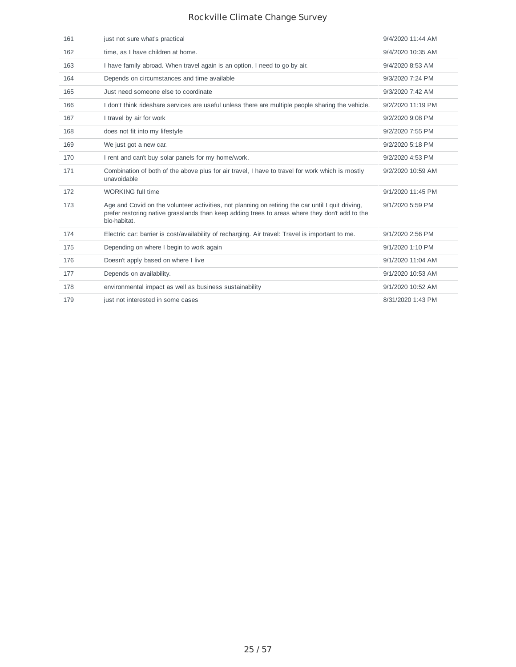| 161 | just not sure what's practical                                                                                                                                                                                      | 9/4/2020 11:44 AM |
|-----|---------------------------------------------------------------------------------------------------------------------------------------------------------------------------------------------------------------------|-------------------|
| 162 | time, as I have children at home.                                                                                                                                                                                   | 9/4/2020 10:35 AM |
| 163 | I have family abroad. When travel again is an option, I need to go by air.                                                                                                                                          | 9/4/2020 8:53 AM  |
| 164 | Depends on circumstances and time available                                                                                                                                                                         | 9/3/2020 7:24 PM  |
| 165 | Just need someone else to coordinate                                                                                                                                                                                | 9/3/2020 7:42 AM  |
| 166 | I don't think rideshare services are useful unless there are multiple people sharing the vehicle.                                                                                                                   | 9/2/2020 11:19 PM |
| 167 | I travel by air for work                                                                                                                                                                                            | 9/2/2020 9:08 PM  |
| 168 | does not fit into my lifestyle                                                                                                                                                                                      | 9/2/2020 7:55 PM  |
| 169 | We just got a new car.                                                                                                                                                                                              | 9/2/2020 5:18 PM  |
| 170 | I rent and can't buy solar panels for my home/work.                                                                                                                                                                 | 9/2/2020 4:53 PM  |
| 171 | Combination of both of the above plus for air travel, I have to travel for work which is mostly<br>unavoidable                                                                                                      | 9/2/2020 10:59 AM |
| 172 | <b>WORKING full time</b>                                                                                                                                                                                            | 9/1/2020 11:45 PM |
| 173 | Age and Covid on the volunteer activities, not planning on retiring the car until I quit driving,<br>prefer restoring native grasslands than keep adding trees to areas where they don't add to the<br>bio-habitat. | 9/1/2020 5:59 PM  |
| 174 | Electric car: barrier is cost/availability of recharging. Air travel: Travel is important to me.                                                                                                                    | 9/1/2020 2:56 PM  |
| 175 | Depending on where I begin to work again                                                                                                                                                                            | 9/1/2020 1:10 PM  |
| 176 | Doesn't apply based on where I live                                                                                                                                                                                 | 9/1/2020 11:04 AM |
| 177 | Depends on availability.                                                                                                                                                                                            | 9/1/2020 10:53 AM |
| 178 | environmental impact as well as business sustainability                                                                                                                                                             | 9/1/2020 10:52 AM |
| 179 | just not interested in some cases                                                                                                                                                                                   | 8/31/2020 1:43 PM |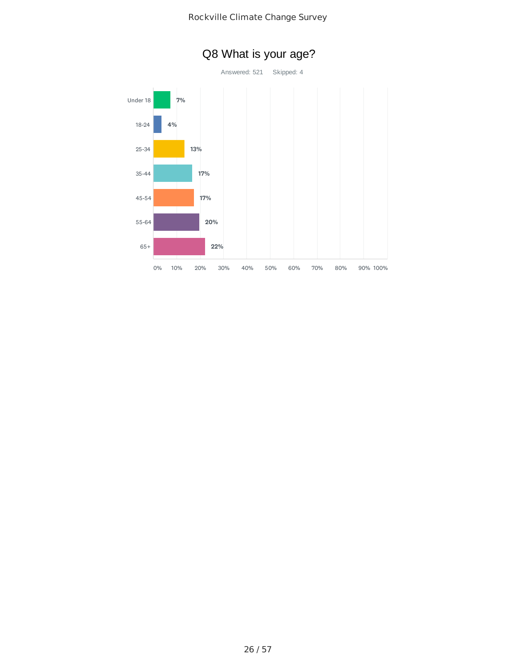

# Q8 What is your age?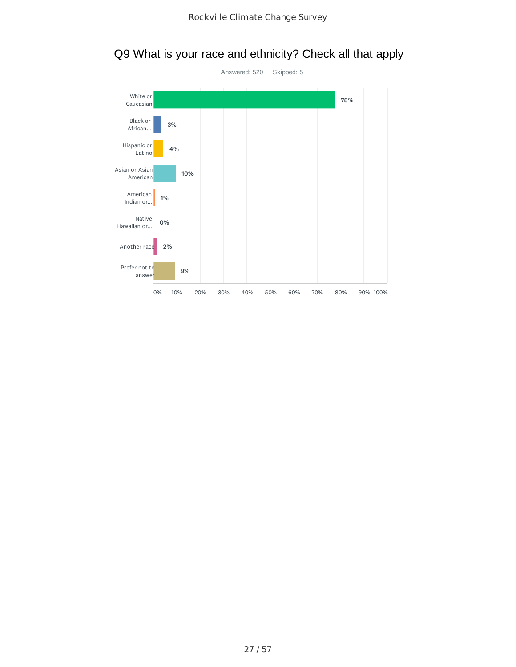

# Q9 What is your race and ethnicity? Check all that apply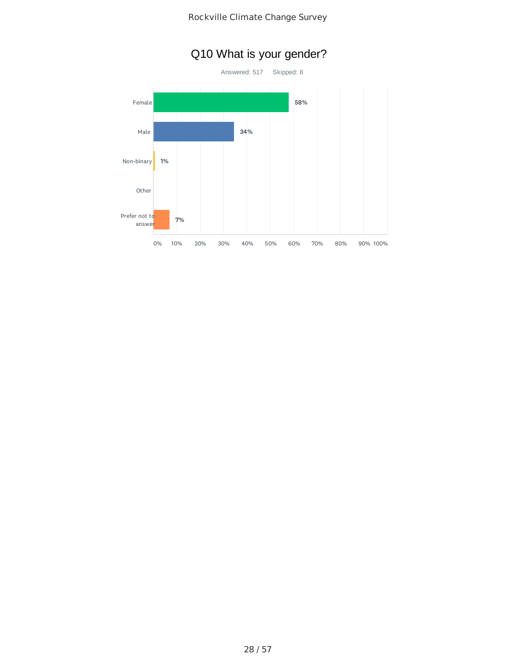

# Q10 What is your gender?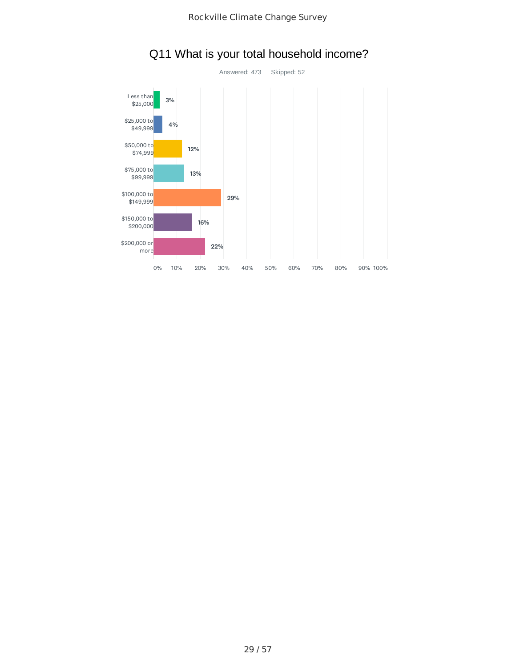

# Q11 What is your total household income?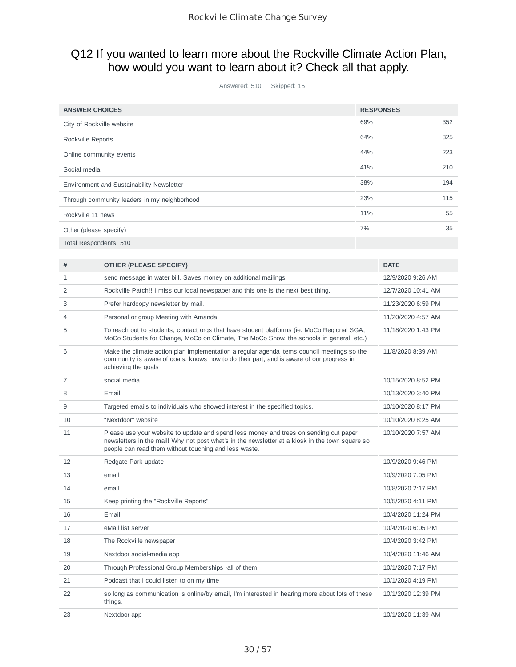### Q12 If you wanted to learn more about the Rockville Climate Action Plan, how would you want to learn about it? Check all that apply.

Answered: 510 Skipped: 15

| <b>ANSWER CHOICES</b>                        | <b>RESPONSES</b> |     |
|----------------------------------------------|------------------|-----|
| City of Rockville website                    | 69%              | 352 |
| Rockville Reports                            | 64%              | 325 |
| Online community events                      | 44%              | 223 |
| Social media                                 | 41%              | 210 |
| Environment and Sustainability Newsletter    | 38%              | 194 |
| Through community leaders in my neighborhood | 23%              | 115 |
| Rockville 11 news                            | 11%              | 55  |
| Other (please specify)                       | 7%               | 35  |
| Total Respondents: 510                       |                  |     |
|                                              |                  |     |
|                                              |                  |     |

| #  | <b>OTHER (PLEASE SPECIFY)</b>                                                                                                                                                                                                                     | <b>DATE</b>        |
|----|---------------------------------------------------------------------------------------------------------------------------------------------------------------------------------------------------------------------------------------------------|--------------------|
| 1  | send message in water bill. Saves money on additional mailings                                                                                                                                                                                    | 12/9/2020 9:26 AM  |
| 2  | Rockville Patch!! I miss our local newspaper and this one is the next best thing.                                                                                                                                                                 | 12/7/2020 10:41 AM |
| 3  | Prefer hardcopy newsletter by mail.                                                                                                                                                                                                               | 11/23/2020 6:59 PM |
| 4  | Personal or group Meeting with Amanda                                                                                                                                                                                                             | 11/20/2020 4:57 AM |
| 5  | To reach out to students, contact orgs that have student platforms (ie. MoCo Regional SGA,<br>MoCo Students for Change, MoCo on Climate, The MoCo Show, the schools in general, etc.)                                                             | 11/18/2020 1:43 PM |
| 6  | Make the climate action plan implementation a regular agenda items council meetings so the<br>community is aware of goals, knows how to do their part, and is aware of our progress in<br>achieving the goals                                     | 11/8/2020 8:39 AM  |
| 7  | social media                                                                                                                                                                                                                                      | 10/15/2020 8:52 PM |
| 8  | Email                                                                                                                                                                                                                                             | 10/13/2020 3:40 PM |
| 9  | Targeted emails to individuals who showed interest in the specified topics.                                                                                                                                                                       | 10/10/2020 8:17 PM |
| 10 | "Nextdoor" website                                                                                                                                                                                                                                | 10/10/2020 8:25 AM |
| 11 | Please use your website to update and spend less money and trees on sending out paper<br>newsletters in the mail! Why not post what's in the newsletter at a kiosk in the town square so<br>people can read them without touching and less waste. | 10/10/2020 7:57 AM |
| 12 | Redgate Park update                                                                                                                                                                                                                               | 10/9/2020 9:46 PM  |
| 13 | email                                                                                                                                                                                                                                             | 10/9/2020 7:05 PM  |
| 14 | email                                                                                                                                                                                                                                             | 10/8/2020 2:17 PM  |
| 15 | Keep printing the "Rockville Reports"                                                                                                                                                                                                             | 10/5/2020 4:11 PM  |
| 16 | Email                                                                                                                                                                                                                                             | 10/4/2020 11:24 PM |
| 17 | eMail list server                                                                                                                                                                                                                                 | 10/4/2020 6:05 PM  |
| 18 | The Rockville newspaper                                                                                                                                                                                                                           | 10/4/2020 3:42 PM  |
| 19 | Nextdoor social-media app                                                                                                                                                                                                                         | 10/4/2020 11:46 AM |
| 20 | Through Professional Group Memberships -all of them                                                                                                                                                                                               | 10/1/2020 7:17 PM  |
| 21 | Podcast that i could listen to on my time                                                                                                                                                                                                         | 10/1/2020 4:19 PM  |
| 22 | so long as communication is online/by email, I'm interested in hearing more about lots of these<br>things.                                                                                                                                        | 10/1/2020 12:39 PM |
| 23 | Nextdoor app                                                                                                                                                                                                                                      | 10/1/2020 11:39 AM |
|    |                                                                                                                                                                                                                                                   |                    |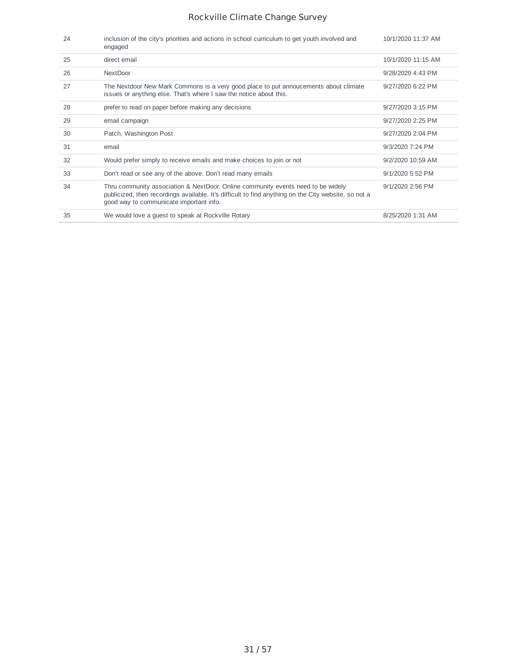| 24 | inclusion of the city's priorities and actions in school curriculum to get youth involved and<br>engaged                                                                                                                            | 10/1/2020 11:37 AM  |
|----|-------------------------------------------------------------------------------------------------------------------------------------------------------------------------------------------------------------------------------------|---------------------|
| 25 | direct email                                                                                                                                                                                                                        | 10/1/2020 11:15 AM  |
| 26 | <b>NextDoor</b>                                                                                                                                                                                                                     | 9/28/2020 4:43 PM   |
| 27 | The Nextdoor New Mark Commons is a very good place to put annoucements about climate<br>issues or anything else. That's where I saw the notice about this.                                                                          | 9/27/2020 6:22 PM   |
| 28 | prefer to read on paper before making any decisions                                                                                                                                                                                 | 9/27/2020 3:15 PM   |
| 29 | email campaign                                                                                                                                                                                                                      | $9/27/2020$ 2:25 PM |
| 30 | Patch, Washington Post                                                                                                                                                                                                              | 9/27/2020 2:04 PM   |
| 31 | email                                                                                                                                                                                                                               | 9/3/2020 7:24 PM    |
| 32 | Would prefer simply to receive emails and make choices to join or not                                                                                                                                                               | 9/2/2020 10:59 AM   |
| 33 | Don't read or see any of the above. Don't read many emails                                                                                                                                                                          | 9/1/2020 5:52 PM    |
| 34 | Thru community association & NextDoor. Online community events need to be widely<br>publicized, then recordings available. It's difficult to find anything on the City website, so not a<br>good way to communicate important info. | 9/1/2020 2:56 PM    |
| 35 | We would love a quest to speak at Rockville Rotary                                                                                                                                                                                  | 8/25/2020 1:31 AM   |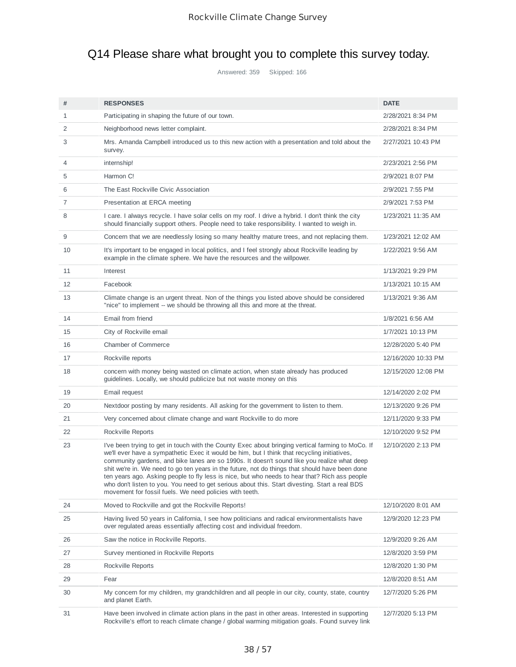# Q14 Please share what brought you to complete this survey today.

Answered: 359 Skipped: 166

| #  | <b>RESPONSES</b>                                                                                                                                                                                                                                                                                                                                                                                                                                                                                                                                                                                                                                                | <b>DATE</b>         |
|----|-----------------------------------------------------------------------------------------------------------------------------------------------------------------------------------------------------------------------------------------------------------------------------------------------------------------------------------------------------------------------------------------------------------------------------------------------------------------------------------------------------------------------------------------------------------------------------------------------------------------------------------------------------------------|---------------------|
| 1  | Participating in shaping the future of our town.                                                                                                                                                                                                                                                                                                                                                                                                                                                                                                                                                                                                                | 2/28/2021 8:34 PM   |
| 2  | Neighborhood news letter complaint.                                                                                                                                                                                                                                                                                                                                                                                                                                                                                                                                                                                                                             | 2/28/2021 8:34 PM   |
| 3  | Mrs. Amanda Campbell introduced us to this new action with a presentation and told about the<br>survey.                                                                                                                                                                                                                                                                                                                                                                                                                                                                                                                                                         | 2/27/2021 10:43 PM  |
| 4  | internship!                                                                                                                                                                                                                                                                                                                                                                                                                                                                                                                                                                                                                                                     | 2/23/2021 2:56 PM   |
| 5  | Harmon C!                                                                                                                                                                                                                                                                                                                                                                                                                                                                                                                                                                                                                                                       | 2/9/2021 8:07 PM    |
| 6  | The East Rockville Civic Association                                                                                                                                                                                                                                                                                                                                                                                                                                                                                                                                                                                                                            | 2/9/2021 7:55 PM    |
| 7  | Presentation at ERCA meeting                                                                                                                                                                                                                                                                                                                                                                                                                                                                                                                                                                                                                                    | 2/9/2021 7:53 PM    |
| 8  | I care. I always recycle. I have solar cells on my roof. I drive a hybrid. I don't think the city<br>should financially support others. People need to take responsibility. I wanted to weigh in.                                                                                                                                                                                                                                                                                                                                                                                                                                                               | 1/23/2021 11:35 AM  |
| 9  | Concern that we are needlessly losing so many healthy mature trees, and not replacing them.                                                                                                                                                                                                                                                                                                                                                                                                                                                                                                                                                                     | 1/23/2021 12:02 AM  |
| 10 | It's important to be engaged in local politics, and I feel strongly about Rockville leading by<br>example in the climate sphere. We have the resources and the willpower.                                                                                                                                                                                                                                                                                                                                                                                                                                                                                       | 1/22/2021 9:56 AM   |
| 11 | Interest                                                                                                                                                                                                                                                                                                                                                                                                                                                                                                                                                                                                                                                        | 1/13/2021 9:29 PM   |
| 12 | Facebook                                                                                                                                                                                                                                                                                                                                                                                                                                                                                                                                                                                                                                                        | 1/13/2021 10:15 AM  |
| 13 | Climate change is an urgent threat. Non of the things you listed above should be considered<br>"nice" to implement -- we should be throwing all this and more at the threat.                                                                                                                                                                                                                                                                                                                                                                                                                                                                                    | 1/13/2021 9:36 AM   |
| 14 | Email from friend                                                                                                                                                                                                                                                                                                                                                                                                                                                                                                                                                                                                                                               | 1/8/2021 6:56 AM    |
| 15 | City of Rockville email                                                                                                                                                                                                                                                                                                                                                                                                                                                                                                                                                                                                                                         | 1/7/2021 10:13 PM   |
| 16 | <b>Chamber of Commerce</b>                                                                                                                                                                                                                                                                                                                                                                                                                                                                                                                                                                                                                                      | 12/28/2020 5:40 PM  |
| 17 | Rockville reports                                                                                                                                                                                                                                                                                                                                                                                                                                                                                                                                                                                                                                               | 12/16/2020 10:33 PM |
| 18 | concern with money being wasted on climate action, when state already has produced<br>guidelines. Locally, we should publicize but not waste money on this                                                                                                                                                                                                                                                                                                                                                                                                                                                                                                      | 12/15/2020 12:08 PM |
| 19 | Email request                                                                                                                                                                                                                                                                                                                                                                                                                                                                                                                                                                                                                                                   | 12/14/2020 2:02 PM  |
| 20 | Nextdoor posting by many residents. All asking for the government to listen to them.                                                                                                                                                                                                                                                                                                                                                                                                                                                                                                                                                                            | 12/13/2020 9:26 PM  |
| 21 | Very concerned about climate change and want Rockville to do more                                                                                                                                                                                                                                                                                                                                                                                                                                                                                                                                                                                               | 12/11/2020 9:33 PM  |
| 22 | Rockville Reports                                                                                                                                                                                                                                                                                                                                                                                                                                                                                                                                                                                                                                               | 12/10/2020 9:52 PM  |
| 23 | I've been trying to get in touch with the County Exec about bringing vertical farming to MoCo. If<br>we'll ever have a sympathetic Exec it would be him, but I think that recycling initiatives,<br>community gardens, and bike lanes are so 1990s. It doesn't sound like you realize what deep<br>shit we're in. We need to go ten years in the future, not do things that should have been done<br>ten years ago. Asking people to fly less is nice, but who needs to hear that? Rich ass people<br>who don't listen to you. You need to get serious about this. Start divesting. Start a real BDS<br>movement for fossil fuels. We need policies with teeth. | 12/10/2020 2:13 PM  |
| 24 | Moved to Rockville and got the Rockville Reports!                                                                                                                                                                                                                                                                                                                                                                                                                                                                                                                                                                                                               | 12/10/2020 8:01 AM  |
| 25 | Having lived 50 years in California, I see how politicians and radical environmentalists have<br>over regulated areas essentially affecting cost and individual freedom.                                                                                                                                                                                                                                                                                                                                                                                                                                                                                        | 12/9/2020 12:23 PM  |
| 26 | Saw the notice in Rockville Reports.                                                                                                                                                                                                                                                                                                                                                                                                                                                                                                                                                                                                                            | 12/9/2020 9:26 AM   |
| 27 | Survey mentioned in Rockville Reports                                                                                                                                                                                                                                                                                                                                                                                                                                                                                                                                                                                                                           | 12/8/2020 3:59 PM   |
| 28 | Rockville Reports                                                                                                                                                                                                                                                                                                                                                                                                                                                                                                                                                                                                                                               | 12/8/2020 1:30 PM   |
| 29 | Fear                                                                                                                                                                                                                                                                                                                                                                                                                                                                                                                                                                                                                                                            | 12/8/2020 8:51 AM   |
| 30 | My concern for my children, my grandchildren and all people in our city, county, state, country<br>and planet Earth.                                                                                                                                                                                                                                                                                                                                                                                                                                                                                                                                            | 12/7/2020 5:26 PM   |
| 31 | Have been involved in climate action plans in the past in other areas. Interested in supporting<br>Rockville's effort to reach climate change / global warming mitigation goals. Found survey link                                                                                                                                                                                                                                                                                                                                                                                                                                                              | 12/7/2020 5:13 PM   |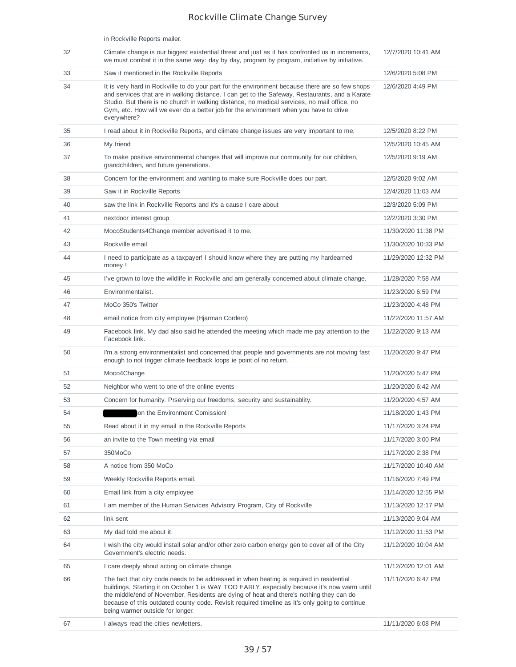|    | in Rockville Reports mailer.                                                                                                                                                                                                                                                                                                                                                                                              |                     |
|----|---------------------------------------------------------------------------------------------------------------------------------------------------------------------------------------------------------------------------------------------------------------------------------------------------------------------------------------------------------------------------------------------------------------------------|---------------------|
| 32 | Climate change is our biggest existential threat and just as it has confronted us in increments,<br>we must combat it in the same way: day by day, program by program, initiative by initiative.                                                                                                                                                                                                                          | 12/7/2020 10:41 AM  |
| 33 | Saw it mentioned in the Rockville Reports                                                                                                                                                                                                                                                                                                                                                                                 | 12/6/2020 5:08 PM   |
| 34 | It is very hard in Rockville to do your part for the environment because there are so few shops<br>and services that are in walking distance. I can get to the Safeway, Restaurants, and a Karate<br>Studio. But there is no church in walking distance, no medical services, no mail office, no<br>Gym, etc. How will we ever do a better job for the environment when you have to drive<br>everywhere?                  | 12/6/2020 4:49 PM   |
| 35 | I read about it in Rockville Reports, and climate change issues are very important to me.                                                                                                                                                                                                                                                                                                                                 | 12/5/2020 8:22 PM   |
| 36 | My friend                                                                                                                                                                                                                                                                                                                                                                                                                 | 12/5/2020 10:45 AM  |
| 37 | To make positive environmental changes that will improve our community for our children,<br>grandchildren, and future generations.                                                                                                                                                                                                                                                                                        | 12/5/2020 9:19 AM   |
| 38 | Concern for the environment and wanting to make sure Rockville does our part.                                                                                                                                                                                                                                                                                                                                             | 12/5/2020 9:02 AM   |
| 39 | Saw it in Rockville Reports                                                                                                                                                                                                                                                                                                                                                                                               | 12/4/2020 11:03 AM  |
| 40 | saw the link in Rockville Reports and it's a cause I care about                                                                                                                                                                                                                                                                                                                                                           | 12/3/2020 5:09 PM   |
| 41 | nextdoor interest group                                                                                                                                                                                                                                                                                                                                                                                                   | 12/2/2020 3:30 PM   |
| 42 | MocoStudents4Change member advertised it to me.                                                                                                                                                                                                                                                                                                                                                                           | 11/30/2020 11:38 PM |
| 43 | Rockville email                                                                                                                                                                                                                                                                                                                                                                                                           | 11/30/2020 10:33 PM |
| 44 | I need to participate as a taxpayer! I should know where they are putting my hardearned<br>money !                                                                                                                                                                                                                                                                                                                        | 11/29/2020 12:32 PM |
| 45 | I've grown to love the wildlife in Rockville and am generally concerned about climate change.                                                                                                                                                                                                                                                                                                                             | 11/28/2020 7:58 AM  |
| 46 | Environmentalist.                                                                                                                                                                                                                                                                                                                                                                                                         | 11/23/2020 6:59 PM  |
| 47 | MoCo 350's Twitter                                                                                                                                                                                                                                                                                                                                                                                                        | 11/23/2020 4:48 PM  |
| 48 | email notice from city employee (Hjarman Cordero)                                                                                                                                                                                                                                                                                                                                                                         | 11/22/2020 11:57 AM |
| 49 | Facebook link. My dad also said he attended the meeting which made me pay attention to the<br>Facebook link.                                                                                                                                                                                                                                                                                                              | 11/22/2020 9:13 AM  |
| 50 | I'm a strong environmentalist and concerned that people and governments are not moving fast<br>enough to not trigger climate feedback loops ie point of no return.                                                                                                                                                                                                                                                        | 11/20/2020 9:47 PM  |
| 51 | Moco4Change                                                                                                                                                                                                                                                                                                                                                                                                               | 11/20/2020 5:47 PM  |
| 52 | Neighbor who went to one of the online events                                                                                                                                                                                                                                                                                                                                                                             | 11/20/2020 6:42 AM  |
| 53 | Concern for humanity. Prserving our freedoms, security and sustainablity.                                                                                                                                                                                                                                                                                                                                                 | 11/20/2020 4:57 AM  |
| 54 | on the Environment Comission!                                                                                                                                                                                                                                                                                                                                                                                             | 11/18/2020 1:43 PM  |
| 55 | Read about it in my email in the Rockville Reports                                                                                                                                                                                                                                                                                                                                                                        | 11/17/2020 3:24 PM  |
| 56 | an invite to the Town meeting via email                                                                                                                                                                                                                                                                                                                                                                                   | 11/17/2020 3:00 PM  |
| 57 | 350MoCo                                                                                                                                                                                                                                                                                                                                                                                                                   | 11/17/2020 2:38 PM  |
| 58 | A notice from 350 MoCo                                                                                                                                                                                                                                                                                                                                                                                                    | 11/17/2020 10:40 AM |
| 59 | Weekly Rockville Reports email.                                                                                                                                                                                                                                                                                                                                                                                           | 11/16/2020 7:49 PM  |
| 60 | Email link from a city employee                                                                                                                                                                                                                                                                                                                                                                                           | 11/14/2020 12:55 PM |
| 61 | I am member of the Human Services Advisory Program, City of Rockville                                                                                                                                                                                                                                                                                                                                                     | 11/13/2020 12:17 PM |
| 62 | link sent                                                                                                                                                                                                                                                                                                                                                                                                                 | 11/13/2020 9:04 AM  |
| 63 | My dad told me about it.                                                                                                                                                                                                                                                                                                                                                                                                  | 11/12/2020 11:53 PM |
| 64 | I wish the city would install solar and/or other zero carbon energy gen to cover all of the City<br>Government's electric needs.                                                                                                                                                                                                                                                                                          | 11/12/2020 10:04 AM |
| 65 | I care deeply about acting on climate change.                                                                                                                                                                                                                                                                                                                                                                             | 11/12/2020 12:01 AM |
| 66 | The fact that city code needs to be addressed in when heating is required in residential<br>buildings. Starting it on October 1 is WAY TOO EARLY, especially because it's now warm until<br>the middle/end of November. Residents are dying of heat and there's nothing they can do<br>because of this outdated county code. Revisit required timeline as it's only going to continue<br>being warmer outside for longer. | 11/11/2020 6:47 PM  |
| 67 | I always read the cities newletters.                                                                                                                                                                                                                                                                                                                                                                                      | 11/11/2020 6:08 PM  |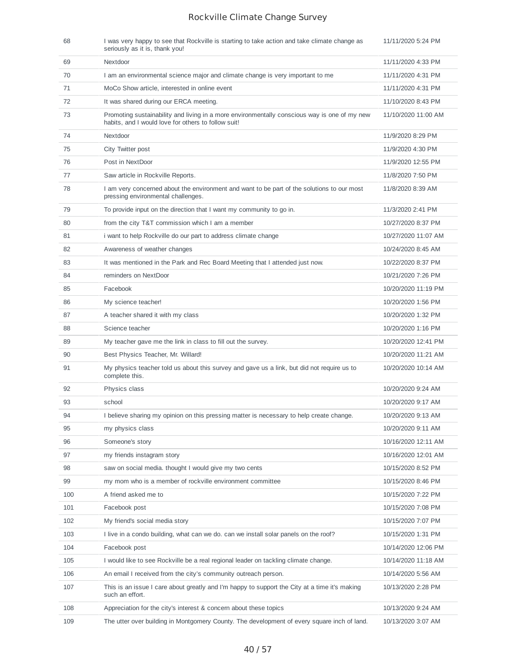| 68  | I was very happy to see that Rockville is starting to take action and take climate change as<br>seriously as it is, thank you!                      | 11/11/2020 5:24 PM  |
|-----|-----------------------------------------------------------------------------------------------------------------------------------------------------|---------------------|
| 69  | Nextdoor                                                                                                                                            | 11/11/2020 4:33 PM  |
| 70  | I am an environmental science major and climate change is very important to me                                                                      | 11/11/2020 4:31 PM  |
| 71  | MoCo Show article, interested in online event                                                                                                       | 11/11/2020 4:31 PM  |
| 72  | It was shared during our ERCA meeting.                                                                                                              | 11/10/2020 8:43 PM  |
| 73  | Promoting sustainability and living in a more environmentally conscious way is one of my new<br>habits, and I would love for others to follow suit! | 11/10/2020 11:00 AM |
| 74  | Nextdoor                                                                                                                                            | 11/9/2020 8:29 PM   |
| 75  | City Twitter post                                                                                                                                   | 11/9/2020 4:30 PM   |
| 76  | Post in NextDoor                                                                                                                                    | 11/9/2020 12:55 PM  |
| 77  | Saw article in Rockville Reports.                                                                                                                   | 11/8/2020 7:50 PM   |
| 78  | I am very concerned about the environment and want to be part of the solutions to our most<br>pressing environmental challenges.                    | 11/8/2020 8:39 AM   |
| 79  | To provide input on the direction that I want my community to go in.                                                                                | 11/3/2020 2:41 PM   |
| 80  | from the city T&T commission which I am a member                                                                                                    | 10/27/2020 8:37 PM  |
| 81  | i want to help Rockville do our part to address climate change                                                                                      | 10/27/2020 11:07 AM |
| 82  | Awareness of weather changes                                                                                                                        | 10/24/2020 8:45 AM  |
| 83  | It was mentioned in the Park and Rec Board Meeting that I attended just now.                                                                        | 10/22/2020 8:37 PM  |
| 84  | reminders on NextDoor                                                                                                                               | 10/21/2020 7:26 PM  |
| 85  | Facebook                                                                                                                                            | 10/20/2020 11:19 PM |
| 86  | My science teacher!                                                                                                                                 | 10/20/2020 1:56 PM  |
| 87  | A teacher shared it with my class                                                                                                                   | 10/20/2020 1:32 PM  |
| 88  | Science teacher                                                                                                                                     | 10/20/2020 1:16 PM  |
| 89  | My teacher gave me the link in class to fill out the survey.                                                                                        | 10/20/2020 12:41 PM |
| 90  | Best Physics Teacher, Mr. Willard!                                                                                                                  | 10/20/2020 11:21 AM |
| 91  | My physics teacher told us about this survey and gave us a link, but did not require us to<br>complete this.                                        | 10/20/2020 10:14 AM |
| 92  | Physics class                                                                                                                                       | 10/20/2020 9:24 AM  |
| 93  | school                                                                                                                                              | 10/20/2020 9:17 AM  |
| 94  | I believe sharing my opinion on this pressing matter is necessary to help create change.                                                            | 10/20/2020 9:13 AM  |
| 95  | my physics class                                                                                                                                    | 10/20/2020 9:11 AM  |
| 96  | Someone's story                                                                                                                                     | 10/16/2020 12:11 AM |
| 97  | my friends instagram story                                                                                                                          | 10/16/2020 12:01 AM |
| 98  | saw on social media. thought I would give my two cents                                                                                              | 10/15/2020 8:52 PM  |
| 99  | my mom who is a member of rockville environment committee                                                                                           | 10/15/2020 8:46 PM  |
| 100 | A friend asked me to                                                                                                                                | 10/15/2020 7:22 PM  |
| 101 | Facebook post                                                                                                                                       | 10/15/2020 7:08 PM  |
| 102 | My friend's social media story                                                                                                                      | 10/15/2020 7:07 PM  |
| 103 | I live in a condo building, what can we do. can we install solar panels on the roof?                                                                | 10/15/2020 1:31 PM  |
| 104 | Facebook post                                                                                                                                       | 10/14/2020 12:06 PM |
| 105 | I would like to see Rockville be a real regional leader on tackling climate change.                                                                 | 10/14/2020 11:18 AM |
| 106 | An email I received from the city's community outreach person.                                                                                      | 10/14/2020 5:56 AM  |
| 107 | This is an issue I care about greatly and I'm happy to support the City at a time it's making<br>such an effort.                                    | 10/13/2020 2:28 PM  |
| 108 | Appreciation for the city's interest & concern about these topics                                                                                   | 10/13/2020 9:24 AM  |
| 109 | The utter over building in Montgomery County. The development of every square inch of land.                                                         | 10/13/2020 3:07 AM  |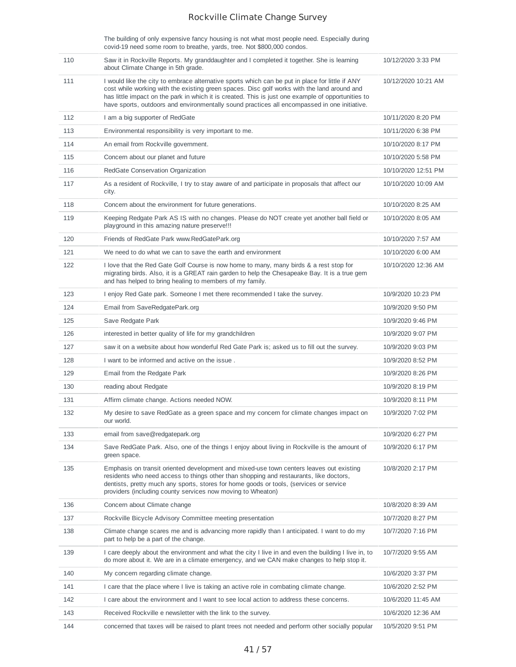The building of only expensive fancy housing is not what most people need. Especially during covid-19 need some room to breathe, yards, tree. Not \$800,000 condos.

| 110 | Saw it in Rockville Reports. My granddaughter and I completed it together. She is learning<br>about Climate Change in 5th grade.                                                                                                                                                                                                                                                                     | 10/12/2020 3:33 PM  |
|-----|------------------------------------------------------------------------------------------------------------------------------------------------------------------------------------------------------------------------------------------------------------------------------------------------------------------------------------------------------------------------------------------------------|---------------------|
| 111 | I would like the city to embrace alternative sports which can be put in place for little if ANY<br>cost while working with the existing green spaces. Disc golf works with the land around and<br>has little impact on the park in which it is created. This is just one example of opportunities to<br>have sports, outdoors and environmentally sound practices all encompassed in one initiative. | 10/12/2020 10:21 AM |
| 112 | I am a big supporter of RedGate                                                                                                                                                                                                                                                                                                                                                                      | 10/11/2020 8:20 PM  |
| 113 | Environmental responsibility is very important to me.                                                                                                                                                                                                                                                                                                                                                | 10/11/2020 6:38 PM  |
| 114 | An email from Rockville government.                                                                                                                                                                                                                                                                                                                                                                  | 10/10/2020 8:17 PM  |
| 115 | Concern about our planet and future                                                                                                                                                                                                                                                                                                                                                                  | 10/10/2020 5:58 PM  |
| 116 | RedGate Conservation Organization                                                                                                                                                                                                                                                                                                                                                                    | 10/10/2020 12:51 PM |
| 117 | As a resident of Rockville, I try to stay aware of and participate in proposals that affect our<br>city.                                                                                                                                                                                                                                                                                             | 10/10/2020 10:09 AM |
| 118 | Concern about the environment for future generations.                                                                                                                                                                                                                                                                                                                                                | 10/10/2020 8:25 AM  |
| 119 | Keeping Redgate Park AS IS with no changes. Please do NOT create yet another ball field or<br>playground in this amazing nature preserve!!!                                                                                                                                                                                                                                                          | 10/10/2020 8:05 AM  |
| 120 | Friends of RedGate Park www.RedGatePark.org                                                                                                                                                                                                                                                                                                                                                          | 10/10/2020 7:57 AM  |
| 121 | We need to do what we can to save the earth and environment                                                                                                                                                                                                                                                                                                                                          | 10/10/2020 6:00 AM  |
| 122 | I love that the Red Gate Golf Course is now home to many, many birds & a rest stop for<br>migrating birds. Also, it is a GREAT rain garden to help the Chesapeake Bay. It is a true gem<br>and has helped to bring healing to members of my family.                                                                                                                                                  | 10/10/2020 12:36 AM |
| 123 | I enjoy Red Gate park. Someone I met there recommended I take the survey.                                                                                                                                                                                                                                                                                                                            | 10/9/2020 10:23 PM  |
| 124 | Email from SaveRedgatePark.org                                                                                                                                                                                                                                                                                                                                                                       | 10/9/2020 9:50 PM   |
| 125 | Save Redgate Park                                                                                                                                                                                                                                                                                                                                                                                    | 10/9/2020 9:46 PM   |
| 126 | interested in better quality of life for my grandchildren                                                                                                                                                                                                                                                                                                                                            | 10/9/2020 9:07 PM   |
| 127 | saw it on a website about how wonderful Red Gate Park is; asked us to fill out the survey.                                                                                                                                                                                                                                                                                                           | 10/9/2020 9:03 PM   |
| 128 | I want to be informed and active on the issue.                                                                                                                                                                                                                                                                                                                                                       | 10/9/2020 8:52 PM   |
| 129 | Email from the Redgate Park                                                                                                                                                                                                                                                                                                                                                                          | 10/9/2020 8:26 PM   |
|     | reading about Redgate                                                                                                                                                                                                                                                                                                                                                                                | 10/9/2020 8:19 PM   |
| 130 |                                                                                                                                                                                                                                                                                                                                                                                                      |                     |
| 131 | Affirm climate change. Actions needed NOW.                                                                                                                                                                                                                                                                                                                                                           | 10/9/2020 8:11 PM   |
| 132 | My desire to save RedGate as a green space and my concern for climate changes impact on<br>our world.                                                                                                                                                                                                                                                                                                | 10/9/2020 7:02 PM   |
| 133 | email from save@redgatepark.org                                                                                                                                                                                                                                                                                                                                                                      | 10/9/2020 6:27 PM   |
| 134 | Save RedGate Park. Also, one of the things I enjoy about living in Rockville is the amount of<br>green space.                                                                                                                                                                                                                                                                                        | 10/9/2020 6:17 PM   |
| 135 | Emphasis on transit oriented development and mixed-use town centers leaves out existing<br>residents who need access to things other than shopping and restaurants, like doctors,<br>dentists, pretty much any sports, stores for home goods or tools, (services or service<br>providers (including county services now moving to Wheaton)                                                           | 10/8/2020 2:17 PM   |
| 136 | Concern about Climate change                                                                                                                                                                                                                                                                                                                                                                         | 10/8/2020 8:39 AM   |
| 137 | Rockville Bicycle Advisory Committee meeting presentation                                                                                                                                                                                                                                                                                                                                            | 10/7/2020 8:27 PM   |
| 138 | Climate change scares me and is advancing more rapidly than I anticipated. I want to do my<br>part to help be a part of the change.                                                                                                                                                                                                                                                                  | 10/7/2020 7:16 PM   |
| 139 | I care deeply about the environment and what the city I live in and even the building I live in, to<br>do more about it. We are in a climate emergency, and we CAN make changes to help stop it.                                                                                                                                                                                                     | 10/7/2020 9:55 AM   |
| 140 | My concern regarding climate change.                                                                                                                                                                                                                                                                                                                                                                 | 10/6/2020 3:37 PM   |
| 141 | I care that the place where I live is taking an active role in combating climate change.                                                                                                                                                                                                                                                                                                             | 10/6/2020 2:52 PM   |
| 142 | I care about the environment and I want to see local action to address these concerns.                                                                                                                                                                                                                                                                                                               | 10/6/2020 11:45 AM  |
| 143 | Received Rockville e newsletter with the link to the survey.                                                                                                                                                                                                                                                                                                                                         | 10/6/2020 12:36 AM  |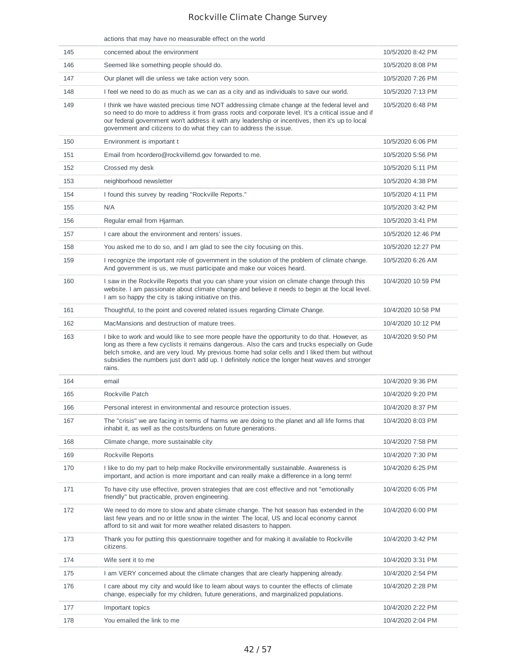#### actions that may have no measurable effect on the world

| 145 | concerned about the environment                                                                                                                                                                                                                                                                                                                                                                               | 10/5/2020 8:42 PM  |
|-----|---------------------------------------------------------------------------------------------------------------------------------------------------------------------------------------------------------------------------------------------------------------------------------------------------------------------------------------------------------------------------------------------------------------|--------------------|
| 146 | Seemed like something people should do.                                                                                                                                                                                                                                                                                                                                                                       | 10/5/2020 8:08 PM  |
| 147 | Our planet will die unless we take action very soon.                                                                                                                                                                                                                                                                                                                                                          | 10/5/2020 7:26 PM  |
| 148 | I feel we need to do as much as we can as a city and as individuals to save our world.                                                                                                                                                                                                                                                                                                                        | 10/5/2020 7:13 PM  |
| 149 | I think we have wasted precious time NOT addressing climate change at the federal level and<br>so need to do more to address it from grass roots and corporate level. It's a critical issue and if<br>our federal government won't address it with any leadership or incentives, then it's up to local<br>government and citizens to do what they can to address the issue.                                   | 10/5/2020 6:48 PM  |
| 150 | Environment is important t                                                                                                                                                                                                                                                                                                                                                                                    | 10/5/2020 6:06 PM  |
| 151 | Email from hcordero@rockvillemd.gov forwarded to me.                                                                                                                                                                                                                                                                                                                                                          | 10/5/2020 5:56 PM  |
| 152 | Crossed my desk                                                                                                                                                                                                                                                                                                                                                                                               | 10/5/2020 5:11 PM  |
| 153 | neighborhood newsletter                                                                                                                                                                                                                                                                                                                                                                                       | 10/5/2020 4:38 PM  |
| 154 | I found this survey by reading "Rockville Reports."                                                                                                                                                                                                                                                                                                                                                           | 10/5/2020 4:11 PM  |
| 155 | N/A                                                                                                                                                                                                                                                                                                                                                                                                           | 10/5/2020 3:42 PM  |
| 156 | Regular email from Hjarman.                                                                                                                                                                                                                                                                                                                                                                                   | 10/5/2020 3:41 PM  |
| 157 | I care about the environment and renters' issues.                                                                                                                                                                                                                                                                                                                                                             | 10/5/2020 12:46 PM |
| 158 | You asked me to do so, and I am glad to see the city focusing on this.                                                                                                                                                                                                                                                                                                                                        | 10/5/2020 12:27 PM |
| 159 | I recognize the important role of government in the solution of the problem of climate change.<br>And government is us, we must participate and make our voices heard.                                                                                                                                                                                                                                        | 10/5/2020 6:26 AM  |
| 160 | I saw in the Rockville Reports that you can share your vision on climate change through this<br>website. I am passionate about climate change and believe it needs to begin at the local level.<br>I am so happy the city is taking initiative on this.                                                                                                                                                       | 10/4/2020 10:59 PM |
| 161 | Thoughtful, to the point and covered related issues regarding Climate Change.                                                                                                                                                                                                                                                                                                                                 | 10/4/2020 10:58 PM |
| 162 | MacMansions and destruction of mature trees.                                                                                                                                                                                                                                                                                                                                                                  | 10/4/2020 10:12 PM |
| 163 | I bike to work and would like to see more people have the opportunity to do that. However, as<br>long as there a few cyclists it remains dangerous. Also the cars and trucks especially on Gude<br>belch smoke, and are very loud. My previous home had solar cells and I liked them but without<br>subsidies the numbers just don't add up. I definitely notice the longer heat waves and stronger<br>rains. | 10/4/2020 9:50 PM  |
| 164 | email                                                                                                                                                                                                                                                                                                                                                                                                         | 10/4/2020 9:36 PM  |
| 165 | Rockville Patch                                                                                                                                                                                                                                                                                                                                                                                               | 10/4/2020 9:20 PM  |
| 166 | Personal interest in environmental and resource protection issues.                                                                                                                                                                                                                                                                                                                                            | 10/4/2020 8:37 PM  |
| 167 | The "crisis" we are facing in terms of harms we are doing to the planet and all life forms that<br>inhabit it, as well as the costs/burdens on future generations.                                                                                                                                                                                                                                            | 10/4/2020 8:03 PM  |
| 168 | Climate change, more sustainable city                                                                                                                                                                                                                                                                                                                                                                         | 10/4/2020 7:58 PM  |
| 169 | Rockville Reports                                                                                                                                                                                                                                                                                                                                                                                             | 10/4/2020 7:30 PM  |
| 170 | I like to do my part to help make Rockville environmentally sustainable. Awareness is<br>important, and action is more important and can really make a difference in a long term!                                                                                                                                                                                                                             | 10/4/2020 6:25 PM  |
| 171 | To have city use effective, proven strategies that are cost effective and not "emotionally<br>friendly" but practicable, proven engineering.                                                                                                                                                                                                                                                                  | 10/4/2020 6:05 PM  |
| 172 | We need to do more to slow and abate climate change. The hot season has extended in the<br>last few years and no or little snow in the winter. The local, US and local economy cannot<br>afford to sit and wait for more weather related disasters to happen.                                                                                                                                                 | 10/4/2020 6:00 PM  |
| 173 | Thank you for putting this questionnaire together and for making it available to Rockville<br>citizens.                                                                                                                                                                                                                                                                                                       | 10/4/2020 3:42 PM  |
| 174 | Wife sent it to me                                                                                                                                                                                                                                                                                                                                                                                            | 10/4/2020 3:31 PM  |
| 175 | I am VERY concerned about the climate changes that are clearly happening already.                                                                                                                                                                                                                                                                                                                             | 10/4/2020 2:54 PM  |
| 176 | I care about my city and would like to learn about ways to counter the effects of climate<br>change, especially for my children, future generations, and marginalized populations.                                                                                                                                                                                                                            | 10/4/2020 2:28 PM  |
| 177 | Important topics                                                                                                                                                                                                                                                                                                                                                                                              | 10/4/2020 2:22 PM  |
| 178 | You emailed the link to me                                                                                                                                                                                                                                                                                                                                                                                    | 10/4/2020 2:04 PM  |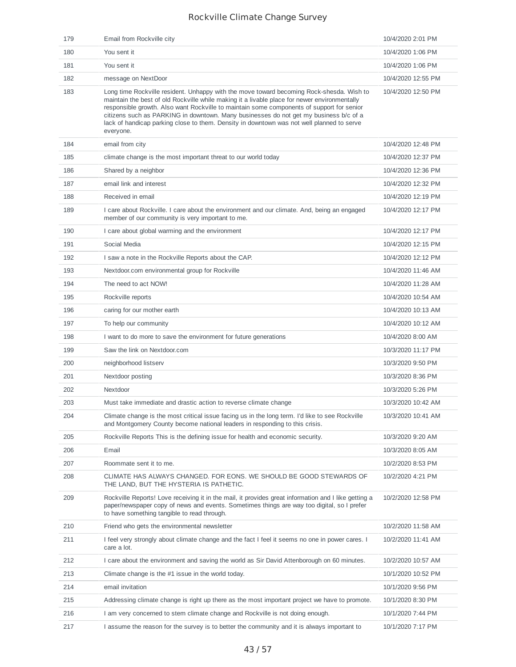| 179 | Email from Rockville city                                                                                                                                                                                                                                                                                                                                                                                                                                                                | 10/4/2020 2:01 PM  |
|-----|------------------------------------------------------------------------------------------------------------------------------------------------------------------------------------------------------------------------------------------------------------------------------------------------------------------------------------------------------------------------------------------------------------------------------------------------------------------------------------------|--------------------|
| 180 | You sent it                                                                                                                                                                                                                                                                                                                                                                                                                                                                              | 10/4/2020 1:06 PM  |
| 181 | You sent it                                                                                                                                                                                                                                                                                                                                                                                                                                                                              | 10/4/2020 1:06 PM  |
| 182 | message on NextDoor                                                                                                                                                                                                                                                                                                                                                                                                                                                                      | 10/4/2020 12:55 PM |
| 183 | Long time Rockville resident. Unhappy with the move toward becoming Rock-shesda. Wish to<br>maintain the best of old Rockville while making it a livable place for newer environmentally<br>responsible growth. Also want Rockville to maintain some components of support for senior<br>citizens such as PARKING in downtown. Many businesses do not get my business b/c of a<br>lack of handicap parking close to them. Density in downtown was not well planned to serve<br>everyone. | 10/4/2020 12:50 PM |
| 184 | email from city                                                                                                                                                                                                                                                                                                                                                                                                                                                                          | 10/4/2020 12:48 PM |
| 185 | climate change is the most important threat to our world today                                                                                                                                                                                                                                                                                                                                                                                                                           | 10/4/2020 12:37 PM |
| 186 | Shared by a neighbor                                                                                                                                                                                                                                                                                                                                                                                                                                                                     | 10/4/2020 12:36 PM |
| 187 | email link and interest                                                                                                                                                                                                                                                                                                                                                                                                                                                                  | 10/4/2020 12:32 PM |
| 188 | Received in email                                                                                                                                                                                                                                                                                                                                                                                                                                                                        | 10/4/2020 12:19 PM |
| 189 | I care about Rockville. I care about the environment and our climate. And, being an engaged<br>member of our community is very important to me.                                                                                                                                                                                                                                                                                                                                          | 10/4/2020 12:17 PM |
| 190 | I care about global warming and the environment                                                                                                                                                                                                                                                                                                                                                                                                                                          | 10/4/2020 12:17 PM |
| 191 | Social Media                                                                                                                                                                                                                                                                                                                                                                                                                                                                             | 10/4/2020 12:15 PM |
| 192 | I saw a note in the Rockville Reports about the CAP.                                                                                                                                                                                                                                                                                                                                                                                                                                     | 10/4/2020 12:12 PM |
| 193 | Nextdoor.com environmental group for Rockville                                                                                                                                                                                                                                                                                                                                                                                                                                           | 10/4/2020 11:46 AM |
| 194 | The need to act NOW!                                                                                                                                                                                                                                                                                                                                                                                                                                                                     | 10/4/2020 11:28 AM |
| 195 | Rockville reports                                                                                                                                                                                                                                                                                                                                                                                                                                                                        | 10/4/2020 10:54 AM |
| 196 | caring for our mother earth                                                                                                                                                                                                                                                                                                                                                                                                                                                              | 10/4/2020 10:13 AM |
| 197 | To help our community                                                                                                                                                                                                                                                                                                                                                                                                                                                                    | 10/4/2020 10:12 AM |
| 198 | I want to do more to save the environment for future generations                                                                                                                                                                                                                                                                                                                                                                                                                         | 10/4/2020 8:00 AM  |
| 199 | Saw the link on Nextdoor.com                                                                                                                                                                                                                                                                                                                                                                                                                                                             | 10/3/2020 11:17 PM |
| 200 | neighborhood listserv                                                                                                                                                                                                                                                                                                                                                                                                                                                                    | 10/3/2020 9:50 PM  |
| 201 | Nextdoor posting                                                                                                                                                                                                                                                                                                                                                                                                                                                                         | 10/3/2020 8:36 PM  |
| 202 | Nextdoor                                                                                                                                                                                                                                                                                                                                                                                                                                                                                 | 10/3/2020 5:26 PM  |
| 203 | Must take immediate and drastic action to reverse climate change                                                                                                                                                                                                                                                                                                                                                                                                                         | 10/3/2020 10:42 AM |
| 204 | Climate change is the most critical issue facing us in the long term. I'd like to see Rockville                                                                                                                                                                                                                                                                                                                                                                                          | 10/3/2020 10:41 AM |
| 205 | and Montgomery County become national leaders in responding to this crisis.                                                                                                                                                                                                                                                                                                                                                                                                              |                    |
|     | Rockville Reports This is the defining issue for health and economic security.                                                                                                                                                                                                                                                                                                                                                                                                           | 10/3/2020 9:20 AM  |
| 206 | Email                                                                                                                                                                                                                                                                                                                                                                                                                                                                                    | 10/3/2020 8:05 AM  |
| 207 | Roommate sent it to me.                                                                                                                                                                                                                                                                                                                                                                                                                                                                  | 10/2/2020 8:53 PM  |
| 208 | CLIMATE HAS ALWAYS CHANGED. FOR EONS. WE SHOULD BE GOOD STEWARDS OF<br>THE LAND, BUT THE HYSTERIA IS PATHETIC.                                                                                                                                                                                                                                                                                                                                                                           | 10/2/2020 4:21 PM  |
| 209 | Rockville Reports! Love receiving it in the mail, it provides great information and I like getting a<br>paper/newspaper copy of news and events. Sometimes things are way too digital, so I prefer<br>to have something tangible to read through.                                                                                                                                                                                                                                        | 10/2/2020 12:58 PM |
| 210 | Friend who gets the environmental newsletter                                                                                                                                                                                                                                                                                                                                                                                                                                             | 10/2/2020 11:58 AM |
| 211 | I feel very strongly about climate change and the fact I feel it seems no one in power cares. I<br>care a lot.                                                                                                                                                                                                                                                                                                                                                                           | 10/2/2020 11:41 AM |
| 212 | I care about the environment and saving the world as Sir David Attenborough on 60 minutes.                                                                                                                                                                                                                                                                                                                                                                                               | 10/2/2020 10:57 AM |
| 213 | Climate change is the $#1$ issue in the world today.                                                                                                                                                                                                                                                                                                                                                                                                                                     | 10/1/2020 10:52 PM |
| 214 | email invitation                                                                                                                                                                                                                                                                                                                                                                                                                                                                         | 10/1/2020 9:56 PM  |
| 215 | Addressing climate change is right up there as the most important project we have to promote.                                                                                                                                                                                                                                                                                                                                                                                            | 10/1/2020 8:30 PM  |
| 216 | I am very concerned to stem climate change and Rockville is not doing enough.                                                                                                                                                                                                                                                                                                                                                                                                            | 10/1/2020 7:44 PM  |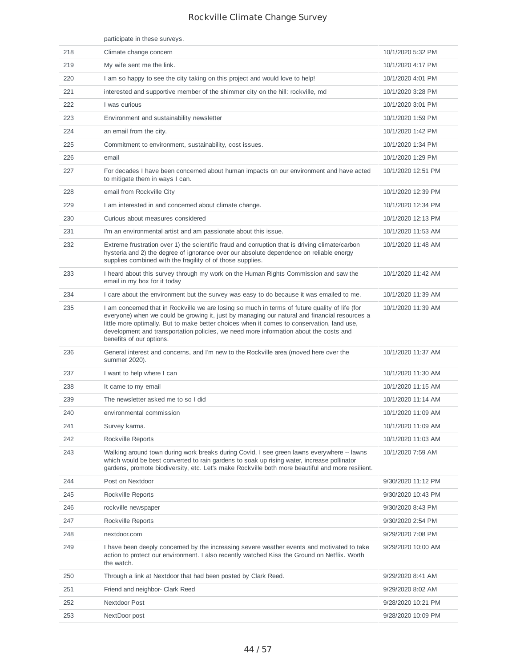|     | participate in these surveys.                                                                                                                                                                                                                                                                                                                                                                                      |                    |
|-----|--------------------------------------------------------------------------------------------------------------------------------------------------------------------------------------------------------------------------------------------------------------------------------------------------------------------------------------------------------------------------------------------------------------------|--------------------|
| 218 | Climate change concern                                                                                                                                                                                                                                                                                                                                                                                             | 10/1/2020 5:32 PM  |
| 219 | My wife sent me the link.                                                                                                                                                                                                                                                                                                                                                                                          | 10/1/2020 4:17 PM  |
| 220 | I am so happy to see the city taking on this project and would love to help!                                                                                                                                                                                                                                                                                                                                       | 10/1/2020 4:01 PM  |
| 221 | interested and supportive member of the shimmer city on the hill: rockville, md                                                                                                                                                                                                                                                                                                                                    | 10/1/2020 3:28 PM  |
| 222 | I was curious                                                                                                                                                                                                                                                                                                                                                                                                      | 10/1/2020 3:01 PM  |
| 223 | Environment and sustainability newsletter                                                                                                                                                                                                                                                                                                                                                                          | 10/1/2020 1:59 PM  |
| 224 | an email from the city.                                                                                                                                                                                                                                                                                                                                                                                            | 10/1/2020 1:42 PM  |
| 225 | Commitment to environment, sustainability, cost issues.                                                                                                                                                                                                                                                                                                                                                            | 10/1/2020 1:34 PM  |
| 226 | email                                                                                                                                                                                                                                                                                                                                                                                                              | 10/1/2020 1:29 PM  |
| 227 | For decades I have been concerned about human impacts on our environment and have acted<br>to mitigate them in ways I can.                                                                                                                                                                                                                                                                                         | 10/1/2020 12:51 PM |
| 228 | email from Rockville City                                                                                                                                                                                                                                                                                                                                                                                          | 10/1/2020 12:39 PM |
| 229 | I am interested in and concerned about climate change.                                                                                                                                                                                                                                                                                                                                                             | 10/1/2020 12:34 PM |
| 230 | Curious about measures considered                                                                                                                                                                                                                                                                                                                                                                                  | 10/1/2020 12:13 PM |
| 231 | I'm an environmental artist and am passionate about this issue.                                                                                                                                                                                                                                                                                                                                                    | 10/1/2020 11:53 AM |
| 232 | Extreme frustration over 1) the scientific fraud and corruption that is driving climate/carbon<br>hysteria and 2) the degree of ignorance over our absolute dependence on reliable energy<br>supplies combined with the fragility of of those supplies.                                                                                                                                                            | 10/1/2020 11:48 AM |
| 233 | I heard about this survey through my work on the Human Rights Commission and saw the<br>email in my box for it today                                                                                                                                                                                                                                                                                               | 10/1/2020 11:42 AM |
| 234 | I care about the environment but the survey was easy to do because it was emailed to me.                                                                                                                                                                                                                                                                                                                           | 10/1/2020 11:39 AM |
| 235 | I am concerned that in Rockville we are losing so much in terms of future quality of life (for<br>everyone) when we could be growing it, just by managing our natural and financial resources a<br>little more optimally. But to make better choices when it comes to conservation, land use,<br>development and transportation policies, we need more information about the costs and<br>benefits of our options. | 10/1/2020 11:39 AM |
| 236 | General interest and concerns, and I'm new to the Rockville area (moved here over the<br>summer 2020).                                                                                                                                                                                                                                                                                                             | 10/1/2020 11:37 AM |
| 237 | I want to help where I can                                                                                                                                                                                                                                                                                                                                                                                         | 10/1/2020 11:30 AM |
| 238 | It came to my email                                                                                                                                                                                                                                                                                                                                                                                                | 10/1/2020 11:15 AM |
| 239 | The newsletter asked me to so I did                                                                                                                                                                                                                                                                                                                                                                                | 10/1/2020 11:14 AM |
| 240 | environmental commission                                                                                                                                                                                                                                                                                                                                                                                           | 10/1/2020 11:09 AM |
| 241 | Survey karma.                                                                                                                                                                                                                                                                                                                                                                                                      | 10/1/2020 11:09 AM |
| 242 | Rockville Reports                                                                                                                                                                                                                                                                                                                                                                                                  | 10/1/2020 11:03 AM |
| 243 | Walking around town during work breaks during Covid, I see green lawns everywhere -- lawns<br>which would be best converted to rain gardens to soak up rising water, increase pollinator<br>gardens, promote biodiversity, etc. Let's make Rockville both more beautiful and more resilient.                                                                                                                       | 10/1/2020 7:59 AM  |
| 244 | Post on Nextdoor                                                                                                                                                                                                                                                                                                                                                                                                   | 9/30/2020 11:12 PM |
| 245 | Rockville Reports                                                                                                                                                                                                                                                                                                                                                                                                  | 9/30/2020 10:43 PM |
| 246 | rockville newspaper                                                                                                                                                                                                                                                                                                                                                                                                | 9/30/2020 8:43 PM  |
| 247 | Rockville Reports                                                                                                                                                                                                                                                                                                                                                                                                  | 9/30/2020 2:54 PM  |
| 248 | nextdoor.com                                                                                                                                                                                                                                                                                                                                                                                                       | 9/29/2020 7:08 PM  |
| 249 | I have been deeply concerned by the increasing severe weather events and motivated to take<br>action to protect our environment. I also recently watched Kiss the Ground on Netflix. Worth<br>the watch.                                                                                                                                                                                                           | 9/29/2020 10:00 AM |
| 250 | Through a link at Nextdoor that had been posted by Clark Reed.                                                                                                                                                                                                                                                                                                                                                     | 9/29/2020 8:41 AM  |
| 251 | Friend and neighbor- Clark Reed                                                                                                                                                                                                                                                                                                                                                                                    | 9/29/2020 8:02 AM  |
| 252 | Nextdoor Post                                                                                                                                                                                                                                                                                                                                                                                                      | 9/28/2020 10:21 PM |
| 253 | NextDoor post                                                                                                                                                                                                                                                                                                                                                                                                      | 9/28/2020 10:09 PM |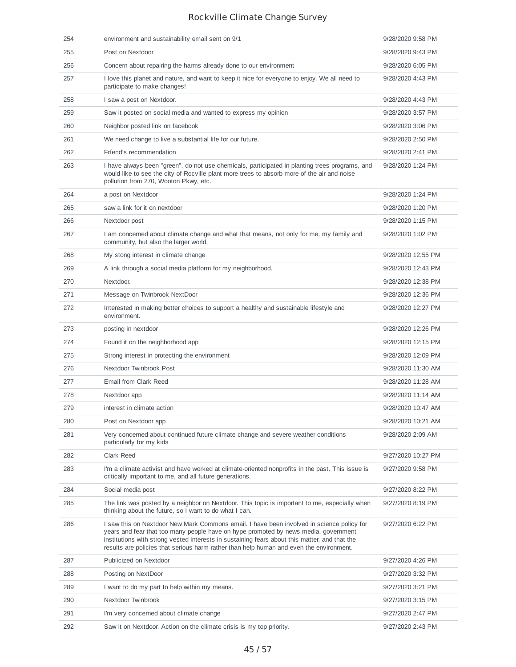| 254 | environment and sustainability email sent on 9/1                                                                                                                                                                                                                                                                                                                             | 9/28/2020 9:58 PM  |
|-----|------------------------------------------------------------------------------------------------------------------------------------------------------------------------------------------------------------------------------------------------------------------------------------------------------------------------------------------------------------------------------|--------------------|
| 255 | Post on Nextdoor                                                                                                                                                                                                                                                                                                                                                             | 9/28/2020 9:43 PM  |
| 256 | Concern about repairing the harms already done to our environment                                                                                                                                                                                                                                                                                                            | 9/28/2020 6:05 PM  |
| 257 | I love this planet and nature, and want to keep it nice for everyone to enjoy. We all need to<br>participate to make changes!                                                                                                                                                                                                                                                | 9/28/2020 4:43 PM  |
| 258 | I saw a post on Nextdoor.                                                                                                                                                                                                                                                                                                                                                    | 9/28/2020 4:43 PM  |
| 259 | Saw it posted on social media and wanted to express my opinion                                                                                                                                                                                                                                                                                                               | 9/28/2020 3:57 PM  |
| 260 | Neighbor posted link on facebook                                                                                                                                                                                                                                                                                                                                             | 9/28/2020 3:06 PM  |
| 261 | We need change to live a substantial life for our future.                                                                                                                                                                                                                                                                                                                    | 9/28/2020 2:50 PM  |
| 262 | Fríend's recommendation                                                                                                                                                                                                                                                                                                                                                      | 9/28/2020 2:41 PM  |
| 263 | I have always been "green", do not use chemicals, participated in planting trees programs, and<br>would like to see the city of Rocville plant more trees to absorb more of the air and noise<br>pollution from 270, Wooton Pkwy, etc.                                                                                                                                       | 9/28/2020 1:24 PM  |
| 264 | a post on Nextdoor                                                                                                                                                                                                                                                                                                                                                           | 9/28/2020 1:24 PM  |
| 265 | saw a link for it on nextdoor                                                                                                                                                                                                                                                                                                                                                | 9/28/2020 1:20 PM  |
| 266 | Nextdoor post                                                                                                                                                                                                                                                                                                                                                                | 9/28/2020 1:15 PM  |
| 267 | I am concerned about climate change and what that means, not only for me, my family and<br>community, but also the larger world.                                                                                                                                                                                                                                             | 9/28/2020 1:02 PM  |
| 268 | My stong interest in climate change                                                                                                                                                                                                                                                                                                                                          | 9/28/2020 12:55 PM |
| 269 | A link through a social media platform for my neighborhood.                                                                                                                                                                                                                                                                                                                  | 9/28/2020 12:43 PM |
| 270 | Nextdoor.                                                                                                                                                                                                                                                                                                                                                                    | 9/28/2020 12:38 PM |
| 271 | Message on Twinbrook NextDoor                                                                                                                                                                                                                                                                                                                                                | 9/28/2020 12:36 PM |
| 272 | Interested in making better choices to support a healthy and sustainable lifestyle and<br>environment.                                                                                                                                                                                                                                                                       | 9/28/2020 12:27 PM |
| 273 | posting in nextdoor                                                                                                                                                                                                                                                                                                                                                          | 9/28/2020 12:26 PM |
| 274 | Found it on the neighborhood app                                                                                                                                                                                                                                                                                                                                             | 9/28/2020 12:15 PM |
| 275 | Strong interest in protecting the environment                                                                                                                                                                                                                                                                                                                                | 9/28/2020 12:09 PM |
| 276 | Nextdoor Twinbrook Post                                                                                                                                                                                                                                                                                                                                                      | 9/28/2020 11:30 AM |
| 277 | Email from Clark Reed                                                                                                                                                                                                                                                                                                                                                        | 9/28/2020 11:28 AM |
| 278 | Nextdoor app                                                                                                                                                                                                                                                                                                                                                                 | 9/28/2020 11:14 AM |
| 279 | interest in climate action                                                                                                                                                                                                                                                                                                                                                   | 9/28/2020 10:47 AM |
| 280 | Post on Nextdoor app                                                                                                                                                                                                                                                                                                                                                         | 9/28/2020 10:21 AM |
| 281 | Very concerned about continued future climate change and severe weather conditions<br>particularly for my kids                                                                                                                                                                                                                                                               | 9/28/2020 2:09 AM  |
| 282 | Clark Reed                                                                                                                                                                                                                                                                                                                                                                   | 9/27/2020 10:27 PM |
| 283 | I'm a climate activist and have worked at climate-oriented nonprofits in the past. This issue is<br>critically important to me, and all future generations.                                                                                                                                                                                                                  | 9/27/2020 9:58 PM  |
| 284 | Social media post                                                                                                                                                                                                                                                                                                                                                            | 9/27/2020 8:22 PM  |
| 285 | The link was posted by a neighbor on Nextdoor. This topic is important to me, especially when<br>thinking about the future, so I want to do what I can.                                                                                                                                                                                                                      | 9/27/2020 8:19 PM  |
| 286 | I saw this on Nextdoor New Mark Commons email. I have been involved in science policy for<br>years and fear that too many people have on hype promoted by news media, government<br>institutions with strong vested interests in sustaining fears about this matter, and that the<br>results are policies that serious harm rather than help human and even the environment. | 9/27/2020 6:22 PM  |
| 287 | Publicized on Nextdoor                                                                                                                                                                                                                                                                                                                                                       | 9/27/2020 4:26 PM  |
| 288 | Posting on NextDoor                                                                                                                                                                                                                                                                                                                                                          | 9/27/2020 3:32 PM  |
| 289 | I want to do my part to help within my means.                                                                                                                                                                                                                                                                                                                                | 9/27/2020 3:21 PM  |
| 290 | Nextdoor Twinbrook                                                                                                                                                                                                                                                                                                                                                           | 9/27/2020 3:15 PM  |
| 291 | I'm very concerned about climate change                                                                                                                                                                                                                                                                                                                                      | 9/27/2020 2:47 PM  |
| 292 | Saw it on Nextdoor. Action on the climate crisis is my top priority.                                                                                                                                                                                                                                                                                                         | 9/27/2020 2:43 PM  |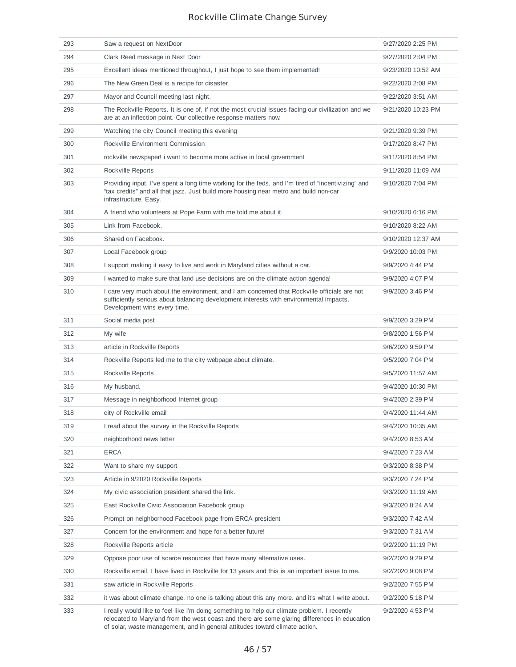| 293 | Saw a request on NextDoor                                                                                                                                                                                                                                                    | 9/27/2020 2:25 PM  |
|-----|------------------------------------------------------------------------------------------------------------------------------------------------------------------------------------------------------------------------------------------------------------------------------|--------------------|
| 294 | Clark Reed message in Next Door                                                                                                                                                                                                                                              | 9/27/2020 2:04 PM  |
| 295 | Excellent ideas mentioned throughout, I just hope to see them implemented!                                                                                                                                                                                                   | 9/23/2020 10:52 AM |
| 296 | The New Green Deal is a recipe for disaster.                                                                                                                                                                                                                                 | 9/22/2020 2:08 PM  |
| 297 | Mayor and Council meeting last night.                                                                                                                                                                                                                                        | 9/22/2020 3:51 AM  |
| 298 | The Rockville Reports. It is one of, if not the most crucial issues facing our civilization and we<br>are at an inflection point. Our collective response matters now.                                                                                                       | 9/21/2020 10:23 PM |
| 299 | Watching the city Council meeting this evening                                                                                                                                                                                                                               | 9/21/2020 9:39 PM  |
| 300 | Rockville Environment Commission                                                                                                                                                                                                                                             | 9/17/2020 8:47 PM  |
| 301 | rockville newspaper! i want to become more active in local government                                                                                                                                                                                                        | 9/11/2020 8:54 PM  |
| 302 | Rockville Reports                                                                                                                                                                                                                                                            | 9/11/2020 11:09 AM |
| 303 | Providing input. I've spent a long time working for the feds, and I'm tired of "incentivizing" and<br>"tax credits" and all that jazz. Just build more housing near metro and build non-car<br>infrastructure. Easy.                                                         | 9/10/2020 7:04 PM  |
| 304 | A friend who volunteers at Pope Farm with me told me about it.                                                                                                                                                                                                               | 9/10/2020 6:16 PM  |
| 305 | Link from Facebook.                                                                                                                                                                                                                                                          | 9/10/2020 8:22 AM  |
| 306 | Shared on Facebook.                                                                                                                                                                                                                                                          | 9/10/2020 12:37 AM |
| 307 | Local Facebook group                                                                                                                                                                                                                                                         | 9/9/2020 10:03 PM  |
| 308 | I support making it easy to live and work in Maryland cities without a car.                                                                                                                                                                                                  | 9/9/2020 4:44 PM   |
| 309 | I wanted to make sure that land use decisions are on the climate action agenda!                                                                                                                                                                                              | 9/9/2020 4:07 PM   |
| 310 | I care very much about the environment, and I am concerned that Rockville officials are not<br>sufficiently serious about balancing development interests with environmental impacts.<br>Development wins every time.                                                        | 9/9/2020 3:46 PM   |
| 311 | Social media post                                                                                                                                                                                                                                                            | 9/9/2020 3:29 PM   |
| 312 | My wife                                                                                                                                                                                                                                                                      | 9/8/2020 1:56 PM   |
| 313 | article in Rockville Reports                                                                                                                                                                                                                                                 | 9/6/2020 9:59 PM   |
| 314 | Rockville Reports led me to the city webpage about climate.                                                                                                                                                                                                                  | 9/5/2020 7:04 PM   |
| 315 | Rockville Reports                                                                                                                                                                                                                                                            | 9/5/2020 11:57 AM  |
| 316 | My husband.                                                                                                                                                                                                                                                                  | 9/4/2020 10:30 PM  |
| 317 | Message in neighborhood Internet group                                                                                                                                                                                                                                       | 9/4/2020 2:39 PM   |
| 318 | city of Rockville email                                                                                                                                                                                                                                                      | 9/4/2020 11:44 AM  |
| 319 | I read about the survey in the Rockville Reports                                                                                                                                                                                                                             | 9/4/2020 10:35 AM  |
| 320 | neighborhood news letter                                                                                                                                                                                                                                                     | 9/4/2020 8:53 AM   |
| 321 | <b>ERCA</b>                                                                                                                                                                                                                                                                  | 9/4/2020 7:23 AM   |
| 322 | Want to share my support                                                                                                                                                                                                                                                     | 9/3/2020 8:38 PM   |
| 323 | Article in 9/2020 Rockville Reports                                                                                                                                                                                                                                          | 9/3/2020 7:24 PM   |
| 324 | My civic association president shared the link.                                                                                                                                                                                                                              | 9/3/2020 11:19 AM  |
| 325 | East Rockville Civic Association Facebook group                                                                                                                                                                                                                              | 9/3/2020 8:24 AM   |
| 326 | Prompt on neighborhood Facebook page from ERCA president                                                                                                                                                                                                                     | 9/3/2020 7:42 AM   |
| 327 | Concern for the environment and hope for a better future!                                                                                                                                                                                                                    | 9/3/2020 7:31 AM   |
| 328 | Rockville Reports article                                                                                                                                                                                                                                                    | 9/2/2020 11:19 PM  |
| 329 | Oppose poor use of scarce resources that have many alternative uses.                                                                                                                                                                                                         | 9/2/2020 9:29 PM   |
| 330 | Rockville email. I have lived in Rockville for 13 years and this is an important issue to me.                                                                                                                                                                                | 9/2/2020 9:08 PM   |
| 331 | saw article in Rockville Reports                                                                                                                                                                                                                                             | 9/2/2020 7:55 PM   |
| 332 | it was about climate change, no one is talking about this any more, and it's what I write about.                                                                                                                                                                             | 9/2/2020 5:18 PM   |
| 333 | I really would like to feel like I'm doing something to help our climate problem. I recently<br>relocated to Maryland from the west coast and there are some glaring differences in education<br>of solar, waste management, and in general attitudes toward climate action. | 9/2/2020 4:53 PM   |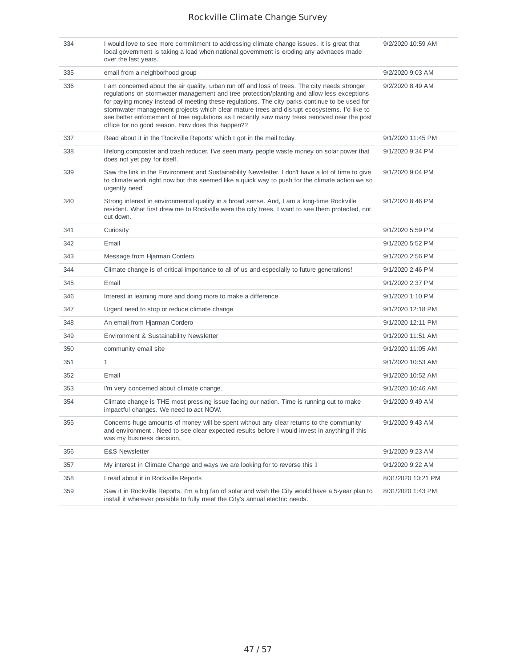| 334 | I would love to see more commitment to addressing climate change issues. It is great that<br>local government is taking a lead when national government is eroding any advnaces made<br>over the last years.                                                                                                                                                                                                                                                                                                                                        | 9/2/2020 10:59 AM  |
|-----|-----------------------------------------------------------------------------------------------------------------------------------------------------------------------------------------------------------------------------------------------------------------------------------------------------------------------------------------------------------------------------------------------------------------------------------------------------------------------------------------------------------------------------------------------------|--------------------|
| 335 | email from a neighborhood group                                                                                                                                                                                                                                                                                                                                                                                                                                                                                                                     | 9/2/2020 9:03 AM   |
| 336 | I am concerned about the air quality, urban run off and loss of trees. The city needs stronger<br>regulations on stormwater management and tree protection/planting and allow less exceptions<br>for paying money instead of meeting these regulations. The city parks continue to be used for<br>stormwater management projects which clear mature trees and disrupt ecosystems. I'd like to<br>see better enforcement of tree regulations as I recently saw many trees removed near the post<br>office for no good reason. How does this happen?? | 9/2/2020 8:49 AM   |
| 337 | Read about it in the 'Rockville Reports' which I got in the mail today.                                                                                                                                                                                                                                                                                                                                                                                                                                                                             | 9/1/2020 11:45 PM  |
| 338 | lifelong composter and trash reducer. I've seen many people waste money on solar power that<br>does not yet pay for itself.                                                                                                                                                                                                                                                                                                                                                                                                                         | 9/1/2020 9:34 PM   |
| 339 | Saw the link in the Environment and Sustainability Newsletter. I don't have a lot of time to give<br>to climate work right now but this seemed like a quick way to push for the climate action we so<br>urgently need!                                                                                                                                                                                                                                                                                                                              | 9/1/2020 9:04 PM   |
| 340 | Strong interest in environmental quality in a broad sense. And, I am a long-time Rockville<br>resident. What first drew me to Rockville were the city trees. I want to see them protected, not<br>cut down.                                                                                                                                                                                                                                                                                                                                         | 9/1/2020 8:46 PM   |
| 341 | Curiosity                                                                                                                                                                                                                                                                                                                                                                                                                                                                                                                                           | 9/1/2020 5:59 PM   |
| 342 | Email                                                                                                                                                                                                                                                                                                                                                                                                                                                                                                                                               | 9/1/2020 5:52 PM   |
| 343 | Message from Hjarman Cordero                                                                                                                                                                                                                                                                                                                                                                                                                                                                                                                        | 9/1/2020 2:56 PM   |
| 344 | Climate change is of critical importance to all of us and especially to future generations!                                                                                                                                                                                                                                                                                                                                                                                                                                                         | 9/1/2020 2:46 PM   |
| 345 | Email                                                                                                                                                                                                                                                                                                                                                                                                                                                                                                                                               | 9/1/2020 2:37 PM   |
| 346 | Interest in learning more and doing more to make a difference                                                                                                                                                                                                                                                                                                                                                                                                                                                                                       | 9/1/2020 1:10 PM   |
| 347 | Urgent need to stop or reduce climate change                                                                                                                                                                                                                                                                                                                                                                                                                                                                                                        | 9/1/2020 12:18 PM  |
| 348 | An email from Hjarman Cordero                                                                                                                                                                                                                                                                                                                                                                                                                                                                                                                       | 9/1/2020 12:11 PM  |
| 349 | Environment & Sustainability Newsletter                                                                                                                                                                                                                                                                                                                                                                                                                                                                                                             | 9/1/2020 11:51 AM  |
| 350 | community email site                                                                                                                                                                                                                                                                                                                                                                                                                                                                                                                                | 9/1/2020 11:05 AM  |
| 351 | 1                                                                                                                                                                                                                                                                                                                                                                                                                                                                                                                                                   | 9/1/2020 10:53 AM  |
| 352 | Email                                                                                                                                                                                                                                                                                                                                                                                                                                                                                                                                               | 9/1/2020 10:52 AM  |
| 353 | I'm very concerned about climate change.                                                                                                                                                                                                                                                                                                                                                                                                                                                                                                            | 9/1/2020 10:46 AM  |
| 354 | Climate change is THE most pressing issue facing our nation. Time is running out to make<br>impactful changes. We need to act NOW.                                                                                                                                                                                                                                                                                                                                                                                                                  | 9/1/2020 9:49 AM   |
| 355 | Concerns huge amounts of money will be spent without any clear returns to the community<br>and environment. Need to see clear expected results before I would invest in anything if this<br>was my business decision,                                                                                                                                                                                                                                                                                                                               | 9/1/2020 9:43 AM   |
| 356 | <b>E&amp;S Newsletter</b>                                                                                                                                                                                                                                                                                                                                                                                                                                                                                                                           | 9/1/2020 9:23 AM   |
| 357 | My interest in Climate Change and ways we are looking for to reverse this I                                                                                                                                                                                                                                                                                                                                                                                                                                                                         | 9/1/2020 9:22 AM   |
| 358 | I read about it in Rockville Reports                                                                                                                                                                                                                                                                                                                                                                                                                                                                                                                | 8/31/2020 10:21 PM |
| 359 | Saw it in Rockville Reports. I'm a big fan of solar and wish the City would have a 5-year plan to<br>install it wherever possible to fully meet the City's annual electric needs.                                                                                                                                                                                                                                                                                                                                                                   | 8/31/2020 1:43 PM  |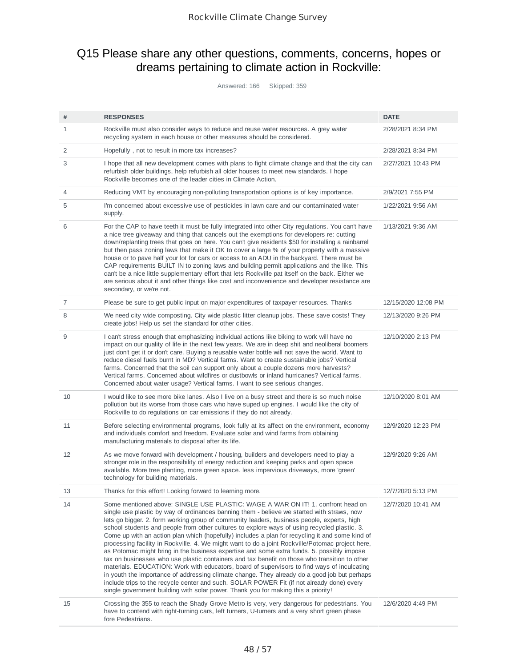## Q15 Please share any other questions, comments, concerns, hopes or dreams pertaining to climate action in Rockville:

Answered: 166 Skipped: 359

| #  | <b>RESPONSES</b>                                                                                                                                                                                                                                                                                                                                                                                                                                                                                                                                                                                                                                                                                                                                                                                                                                                                                                                                                                                                                                                                                                                                                   | <b>DATE</b>         |
|----|--------------------------------------------------------------------------------------------------------------------------------------------------------------------------------------------------------------------------------------------------------------------------------------------------------------------------------------------------------------------------------------------------------------------------------------------------------------------------------------------------------------------------------------------------------------------------------------------------------------------------------------------------------------------------------------------------------------------------------------------------------------------------------------------------------------------------------------------------------------------------------------------------------------------------------------------------------------------------------------------------------------------------------------------------------------------------------------------------------------------------------------------------------------------|---------------------|
| 1  | Rockville must also consider ways to reduce and reuse water resources. A grey water<br>recycling system in each house or other measures should be considered.                                                                                                                                                                                                                                                                                                                                                                                                                                                                                                                                                                                                                                                                                                                                                                                                                                                                                                                                                                                                      | 2/28/2021 8:34 PM   |
| 2  | Hopefully, not to result in more tax increases?                                                                                                                                                                                                                                                                                                                                                                                                                                                                                                                                                                                                                                                                                                                                                                                                                                                                                                                                                                                                                                                                                                                    | 2/28/2021 8:34 PM   |
| 3  | I hope that all new development comes with plans to fight climate change and that the city can<br>refurbish older buildings, help refurbish all older houses to meet new standards. I hope<br>Rockville becomes one of the leader cities in Climate Action.                                                                                                                                                                                                                                                                                                                                                                                                                                                                                                                                                                                                                                                                                                                                                                                                                                                                                                        | 2/27/2021 10:43 PM  |
| 4  | Reducing VMT by encouraging non-polluting transportation options is of key importance.                                                                                                                                                                                                                                                                                                                                                                                                                                                                                                                                                                                                                                                                                                                                                                                                                                                                                                                                                                                                                                                                             | 2/9/2021 7:55 PM    |
| 5  | I'm concerned about excessive use of pesticides in lawn care and our contaminated water<br>supply.                                                                                                                                                                                                                                                                                                                                                                                                                                                                                                                                                                                                                                                                                                                                                                                                                                                                                                                                                                                                                                                                 | 1/22/2021 9:56 AM   |
| 6  | For the CAP to have teeth it must be fully integrated into other City regulations. You can't have<br>a nice tree giveaway and thing that cancels out the exemptions for developers re: cutting<br>down/replanting trees that goes on here. You can't give residents \$50 for installing a rainbarrel<br>but then pass zoning laws that make it OK to cover a large % of your property with a massive<br>house or to pave half your lot for cars or access to an ADU in the backyard. There must be<br>CAP requirements BUILT IN to zoning laws and building permit applications and the like. This<br>can't be a nice little supplementary effort that lets Rockville pat itself on the back. Either we<br>are serious about it and other things like cost and inconvenience and developer resistance are<br>secondary, or we're not.                                                                                                                                                                                                                                                                                                                              | 1/13/2021 9:36 AM   |
| 7  | Please be sure to get public input on major expenditures of taxpayer resources. Thanks                                                                                                                                                                                                                                                                                                                                                                                                                                                                                                                                                                                                                                                                                                                                                                                                                                                                                                                                                                                                                                                                             | 12/15/2020 12:08 PM |
| 8  | We need city wide composting. City wide plastic litter cleanup jobs. These save costs! They<br>create jobs! Help us set the standard for other cities.                                                                                                                                                                                                                                                                                                                                                                                                                                                                                                                                                                                                                                                                                                                                                                                                                                                                                                                                                                                                             | 12/13/2020 9:26 PM  |
| 9  | I can't stress enough that emphasizing individual actions like biking to work will have no<br>impact on our quality of life in the next few years. We are in deep shit and neoliberal boomers<br>just don't get it or don't care. Buying a reusable water bottle will not save the world. Want to<br>reduce diesel fuels burnt in MD? Vertical farms. Want to create sustainable jobs? Vertical<br>farms. Concerned that the soil can support only about a couple dozens more harvests?<br>Vertical farms. Concerned about wildfires or dustbowls or inland hurricanes? Vertical farms.<br>Concerned about water usage? Vertical farms. I want to see serious changes.                                                                                                                                                                                                                                                                                                                                                                                                                                                                                             | 12/10/2020 2:13 PM  |
| 10 | I would like to see more bike lanes. Also I live on a busy street and there is so much noise<br>pollution but its worse from those cars who have suped up engines. I would like the city of<br>Rockville to do regulations on car emissions if they do not already.                                                                                                                                                                                                                                                                                                                                                                                                                                                                                                                                                                                                                                                                                                                                                                                                                                                                                                | 12/10/2020 8:01 AM  |
| 11 | Before selecting environmental programs, look fully at its affect on the environment, economy<br>and individuals comfort and freedom. Evaluate solar and wind farms from obtaining<br>manufacturing materials to disposal after its life.                                                                                                                                                                                                                                                                                                                                                                                                                                                                                                                                                                                                                                                                                                                                                                                                                                                                                                                          | 12/9/2020 12:23 PM  |
| 12 | As we move forward with development / housing, builders and developers need to play a<br>stronger role in the responsibility of energy reduction and keeping parks and open space<br>available. More tree planting, more green space. less impervious driveways, more 'green'<br>technology for building materials.                                                                                                                                                                                                                                                                                                                                                                                                                                                                                                                                                                                                                                                                                                                                                                                                                                                | 12/9/2020 9:26 AM   |
| 13 | Thanks for this effort! Looking forward to learning more.                                                                                                                                                                                                                                                                                                                                                                                                                                                                                                                                                                                                                                                                                                                                                                                                                                                                                                                                                                                                                                                                                                          | 12/7/2020 5:13 PM   |
| 14 | Some mentioned above: SINGLE USE PLASTIC: WAGE A WAR ON IT! 1, confront head on<br>single use plastic by way of ordinances banning them - believe we started with straws, now<br>lets go bigger. 2. form working group of community leaders, business people, experts, high<br>school students and people from other cultures to explore ways of using recycled plastic. 3.<br>Come up with an action plan which (hopefully) includes a plan for recycling it and some kind of<br>processing facility in Rockville. 4. We might want to do a joint Rockville/Potomac project here,<br>as Potomac might bring in the business expertise and some extra funds. 5. possibly impose<br>tax on businesses who use plastic containers and tax benefit on those who transition to other<br>materials. EDUCATION: Work with educators, board of supervisors to find ways of inculcating<br>in youth the importance of addressing climate change. They already do a good job but perhaps<br>include trips to the recycle center and such. SOLAR POWER Fit (if not already done) every<br>single government building with solar power. Thank you for making this a priority! | 12/7/2020 10:41 AM  |
| 15 | Crossing the 355 to reach the Shady Grove Metro is very, very dangerous for pedestrians. You<br>have to contend with right-turning cars, left turners, U-turners and a very short green phase<br>fore Pedestrians.                                                                                                                                                                                                                                                                                                                                                                                                                                                                                                                                                                                                                                                                                                                                                                                                                                                                                                                                                 | 12/6/2020 4:49 PM   |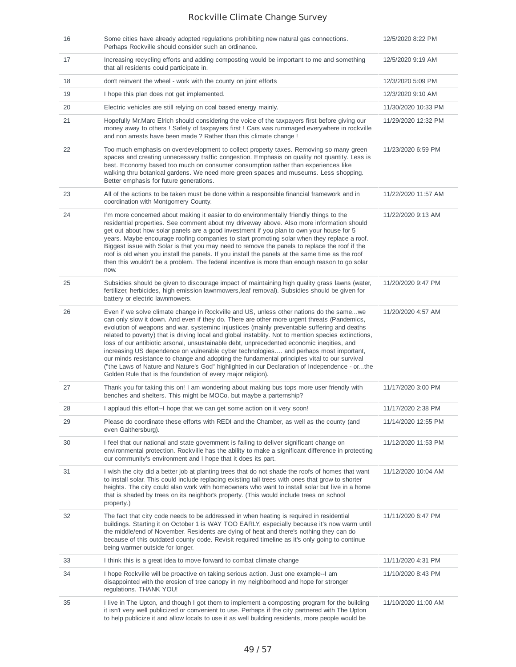| 16 | Some cities have already adopted regulations prohibiting new natural gas connections.<br>Perhaps Rockville should consider such an ordinance.                                                                                                                                                                                                                                                                                                                                                                                                                                                                                                                                                                                                                                                                                                        | 12/5/2020 8:22 PM   |
|----|------------------------------------------------------------------------------------------------------------------------------------------------------------------------------------------------------------------------------------------------------------------------------------------------------------------------------------------------------------------------------------------------------------------------------------------------------------------------------------------------------------------------------------------------------------------------------------------------------------------------------------------------------------------------------------------------------------------------------------------------------------------------------------------------------------------------------------------------------|---------------------|
| 17 | Increasing recycling efforts and adding composting would be important to me and something<br>that all residents could participate in.                                                                                                                                                                                                                                                                                                                                                                                                                                                                                                                                                                                                                                                                                                                | 12/5/2020 9:19 AM   |
| 18 | don't reinvent the wheel - work with the county on joint efforts                                                                                                                                                                                                                                                                                                                                                                                                                                                                                                                                                                                                                                                                                                                                                                                     | 12/3/2020 5:09 PM   |
| 19 | I hope this plan does not get implemented.                                                                                                                                                                                                                                                                                                                                                                                                                                                                                                                                                                                                                                                                                                                                                                                                           | 12/3/2020 9:10 AM   |
| 20 | Electric vehicles are still relying on coal based energy mainly.                                                                                                                                                                                                                                                                                                                                                                                                                                                                                                                                                                                                                                                                                                                                                                                     | 11/30/2020 10:33 PM |
| 21 | Hopefully Mr. Marc Elrich should considering the voice of the taxpayers first before giving our<br>money away to others ! Safety of taxpayers first ! Cars was rummaged everywhere in rockville<br>and non arrests have been made? Rather than this climate change !                                                                                                                                                                                                                                                                                                                                                                                                                                                                                                                                                                                 | 11/29/2020 12:32 PM |
| 22 | Too much emphasis on overdevelopment to collect property taxes. Removing so many green<br>spaces and creating unnecessary traffic congestion. Emphasis on quality not quantity. Less is<br>best. Economy based too much on consumer consumption rather than experiences like<br>walking thru botanical gardens. We need more green spaces and museums. Less shopping.<br>Better emphasis for future generations.                                                                                                                                                                                                                                                                                                                                                                                                                                     | 11/23/2020 6:59 PM  |
| 23 | All of the actions to be taken must be done within a responsible financial framework and in<br>coordination with Montgomery County.                                                                                                                                                                                                                                                                                                                                                                                                                                                                                                                                                                                                                                                                                                                  | 11/22/2020 11:57 AM |
| 24 | I'm more concerned about making it easier to do environmentally friendly things to the<br>residential properties. See comment about my driveway above. Also more information should<br>get out about how solar panels are a good investment if you plan to own your house for 5<br>years. Maybe encourage roofing companies to start promoting solar when they replace a roof.<br>Biggest issue with Solar is that you may need to remove the panels to replace the roof if the<br>roof is old when you install the panels. If you install the panels at the same time as the roof<br>then this wouldn't be a problem. The federal incentive is more than enough reason to go solar<br>now.                                                                                                                                                          | 11/22/2020 9:13 AM  |
| 25 | Subsidies should be given to discourage impact of maintaining high quality grass lawns (water,<br>fertilizer, herbicides, high emission lawnmowers, leaf removal). Subsidies should be given for<br>battery or electric lawnmowers.                                                                                                                                                                                                                                                                                                                                                                                                                                                                                                                                                                                                                  | 11/20/2020 9:47 PM  |
| 26 | Even if we solve climate change in Rockville and US, unless other nations do the samewe<br>can only slow it down. And even if they do. There are other more urgent threats (Pandemics,<br>evolution of weapons and war, systeminc injustices (mainly preventable suffering and deaths<br>related to poverty) that is driving local and global instablity. Not to mention species extinctions,<br>loss of our antibiotic arsonal, unsustainable debt, unprecedented economic ineqities, and<br>increasing US dependence on vulnerable cyber technologies and perhaps most important,<br>our minds resistance to change and adopting the fundamental principles vital to our survival<br>("the Laws of Nature and Nature's God" highlighted in our Declaration of Independence - orthe<br>Golden Rule that is the foundation of every major religion). | 11/20/2020 4:57 AM  |
| 27 | Thank you for taking this on! I am wondering about making bus tops more user friendly with<br>benches and shelters. This might be MOCo, but maybe a parternship?                                                                                                                                                                                                                                                                                                                                                                                                                                                                                                                                                                                                                                                                                     | 11/17/2020 3:00 PM  |
| 28 | I applaud this effort--I hope that we can get some action on it very soon!                                                                                                                                                                                                                                                                                                                                                                                                                                                                                                                                                                                                                                                                                                                                                                           | 11/17/2020 2:38 PM  |
| 29 | Please do coordinate these efforts with REDI and the Chamber, as well as the county (and<br>even Gaithersburg).                                                                                                                                                                                                                                                                                                                                                                                                                                                                                                                                                                                                                                                                                                                                      | 11/14/2020 12:55 PM |
| 30 | I feel that our national and state government is failing to deliver significant change on<br>environmental protection. Rockville has the ability to make a significant difference in protecting<br>our community's environment and I hope that it does its part.                                                                                                                                                                                                                                                                                                                                                                                                                                                                                                                                                                                     | 11/12/2020 11:53 PM |
| 31 | I wish the city did a better job at planting trees that do not shade the roofs of homes that want<br>to install solar. This could include replacing existing tall trees with ones that grow to shorter<br>heights. The city could also work with homeowners who want to install solar but live in a home<br>that is shaded by trees on its neighbor's property. (This would include trees on school<br>property.)                                                                                                                                                                                                                                                                                                                                                                                                                                    | 11/12/2020 10:04 AM |
| 32 | The fact that city code needs to be addressed in when heating is required in residential<br>buildings. Starting it on October 1 is WAY TOO EARLY, especially because it's now warm until<br>the middle/end of November. Residents are dying of heat and there's nothing they can do<br>because of this outdated county code. Revisit required timeline as it's only going to continue<br>being warmer outside for longer.                                                                                                                                                                                                                                                                                                                                                                                                                            | 11/11/2020 6:47 PM  |
| 33 | I think this is a great idea to move forward to combat climate change                                                                                                                                                                                                                                                                                                                                                                                                                                                                                                                                                                                                                                                                                                                                                                                | 11/11/2020 4:31 PM  |
| 34 | I hope Rockville will be proactive on taking serious action. Just one example--I am<br>disappointed with the erosion of tree canopy in my neighborhood and hope for stronger<br>regulations. THANK YOU!                                                                                                                                                                                                                                                                                                                                                                                                                                                                                                                                                                                                                                              | 11/10/2020 8:43 PM  |
| 35 | I live in The Upton, and though I got them to implement a composting program for the building<br>it isn't very well publicized or convenient to use. Perhaps if the city partnered with The Upton<br>to help publicize it and allow locals to use it as well building residents, more people would be                                                                                                                                                                                                                                                                                                                                                                                                                                                                                                                                                | 11/10/2020 11:00 AM |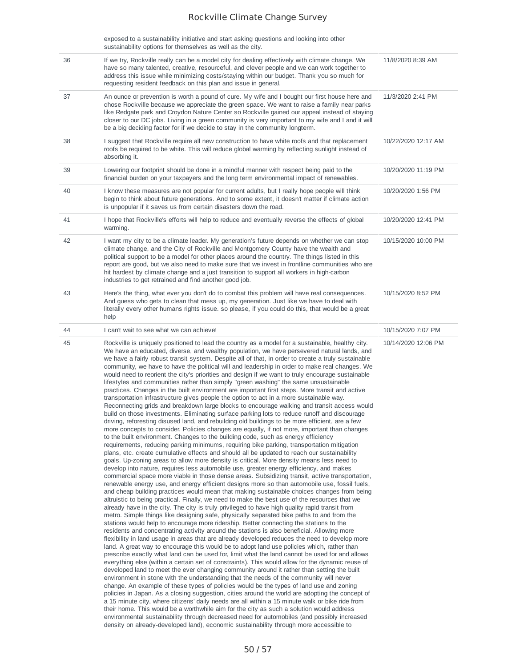exposed to a sustainability initiative and start asking questions and looking into other sustainability options for themselves as well as the city.

| 36 | If we try, Rockville really can be a model city for dealing effectively with climate change. We<br>have so many talented, creative, resourceful, and clever people and we can work together to<br>address this issue while minimizing costs/staying within our budget. Thank you so much for<br>requesting resident feedback on this plan and issue in general.                                                                                                                                                                                                                                                                                                                                                                                                                                                                                                                                                                                                                                                                                                                                                                                                                                                                                                                                                                                                                                                                                                                                                                                                                                                                                                                                                                                                                                                                                                                                                                                                                                                                                                                                                                                                                                                                                                                                                                                                                                                                                                                                                                                                                                                                                                                                                                                                                                                                                                                                                                                                                                                                                                                                                                                                                                                                                                                                                                                                                                                                                                                                                                                                                                                                                             | 11/8/2020 8:39 AM   |
|----|-------------------------------------------------------------------------------------------------------------------------------------------------------------------------------------------------------------------------------------------------------------------------------------------------------------------------------------------------------------------------------------------------------------------------------------------------------------------------------------------------------------------------------------------------------------------------------------------------------------------------------------------------------------------------------------------------------------------------------------------------------------------------------------------------------------------------------------------------------------------------------------------------------------------------------------------------------------------------------------------------------------------------------------------------------------------------------------------------------------------------------------------------------------------------------------------------------------------------------------------------------------------------------------------------------------------------------------------------------------------------------------------------------------------------------------------------------------------------------------------------------------------------------------------------------------------------------------------------------------------------------------------------------------------------------------------------------------------------------------------------------------------------------------------------------------------------------------------------------------------------------------------------------------------------------------------------------------------------------------------------------------------------------------------------------------------------------------------------------------------------------------------------------------------------------------------------------------------------------------------------------------------------------------------------------------------------------------------------------------------------------------------------------------------------------------------------------------------------------------------------------------------------------------------------------------------------------------------------------------------------------------------------------------------------------------------------------------------------------------------------------------------------------------------------------------------------------------------------------------------------------------------------------------------------------------------------------------------------------------------------------------------------------------------------------------------------------------------------------------------------------------------------------------------------------------------------------------------------------------------------------------------------------------------------------------------------------------------------------------------------------------------------------------------------------------------------------------------------------------------------------------------------------------------------------------------------------------------------------------------------------------------------------------|---------------------|
| 37 | An ounce or prevention is worth a pound of cure. My wife and I bought our first house here and<br>chose Rockville because we appreciate the green space. We want to raise a family near parks<br>like Redgate park and Croydon Nature Center so Rockville gained our appeal instead of staying<br>closer to our DC jobs. Living in a green community is very important to my wife and I and it will<br>be a big deciding factor for if we decide to stay in the community longterm.                                                                                                                                                                                                                                                                                                                                                                                                                                                                                                                                                                                                                                                                                                                                                                                                                                                                                                                                                                                                                                                                                                                                                                                                                                                                                                                                                                                                                                                                                                                                                                                                                                                                                                                                                                                                                                                                                                                                                                                                                                                                                                                                                                                                                                                                                                                                                                                                                                                                                                                                                                                                                                                                                                                                                                                                                                                                                                                                                                                                                                                                                                                                                                         | 11/3/2020 2:41 PM   |
| 38 | I suggest that Rockville require all new construction to have white roofs and that replacement<br>roofs be required to be white. This will reduce global warming by reflecting sunlight instead of<br>absorbing it.                                                                                                                                                                                                                                                                                                                                                                                                                                                                                                                                                                                                                                                                                                                                                                                                                                                                                                                                                                                                                                                                                                                                                                                                                                                                                                                                                                                                                                                                                                                                                                                                                                                                                                                                                                                                                                                                                                                                                                                                                                                                                                                                                                                                                                                                                                                                                                                                                                                                                                                                                                                                                                                                                                                                                                                                                                                                                                                                                                                                                                                                                                                                                                                                                                                                                                                                                                                                                                         | 10/22/2020 12:17 AM |
| 39 | Lowering our footprint should be done in a mindful manner with respect being paid to the<br>financial burden on your taxpayers and the long term environmental impact of renewables.                                                                                                                                                                                                                                                                                                                                                                                                                                                                                                                                                                                                                                                                                                                                                                                                                                                                                                                                                                                                                                                                                                                                                                                                                                                                                                                                                                                                                                                                                                                                                                                                                                                                                                                                                                                                                                                                                                                                                                                                                                                                                                                                                                                                                                                                                                                                                                                                                                                                                                                                                                                                                                                                                                                                                                                                                                                                                                                                                                                                                                                                                                                                                                                                                                                                                                                                                                                                                                                                        | 10/20/2020 11:19 PM |
| 40 | I know these measures are not popular for current adults, but I really hope people will think<br>begin to think about future generations. And to some extent, it doesn't matter if climate action<br>is unpopular if it saves us from certain disasters down the road.                                                                                                                                                                                                                                                                                                                                                                                                                                                                                                                                                                                                                                                                                                                                                                                                                                                                                                                                                                                                                                                                                                                                                                                                                                                                                                                                                                                                                                                                                                                                                                                                                                                                                                                                                                                                                                                                                                                                                                                                                                                                                                                                                                                                                                                                                                                                                                                                                                                                                                                                                                                                                                                                                                                                                                                                                                                                                                                                                                                                                                                                                                                                                                                                                                                                                                                                                                                      | 10/20/2020 1:56 PM  |
| 41 | I hope that Rockville's efforts will help to reduce and eventually reverse the effects of global<br>warming.                                                                                                                                                                                                                                                                                                                                                                                                                                                                                                                                                                                                                                                                                                                                                                                                                                                                                                                                                                                                                                                                                                                                                                                                                                                                                                                                                                                                                                                                                                                                                                                                                                                                                                                                                                                                                                                                                                                                                                                                                                                                                                                                                                                                                                                                                                                                                                                                                                                                                                                                                                                                                                                                                                                                                                                                                                                                                                                                                                                                                                                                                                                                                                                                                                                                                                                                                                                                                                                                                                                                                | 10/20/2020 12:41 PM |
| 42 | I want my city to be a climate leader. My generation's future depends on whether we can stop<br>climate change, and the City of Rockville and Montgomery County have the wealth and<br>political support to be a model for other places around the country. The things listed in this<br>report are good, but we also need to make sure that we invest in frontline communities who are<br>hit hardest by climate change and a just transition to support all workers in high-carbon<br>industries to get retrained and find another good job.                                                                                                                                                                                                                                                                                                                                                                                                                                                                                                                                                                                                                                                                                                                                                                                                                                                                                                                                                                                                                                                                                                                                                                                                                                                                                                                                                                                                                                                                                                                                                                                                                                                                                                                                                                                                                                                                                                                                                                                                                                                                                                                                                                                                                                                                                                                                                                                                                                                                                                                                                                                                                                                                                                                                                                                                                                                                                                                                                                                                                                                                                                              | 10/15/2020 10:00 PM |
| 43 | Here's the thing, what ever you don't do to combat this problem will have real consequences.<br>And guess who gets to clean that mess up, my generation. Just like we have to deal with<br>literally every other humans rights issue. so please, if you could do this, that would be a great<br>help                                                                                                                                                                                                                                                                                                                                                                                                                                                                                                                                                                                                                                                                                                                                                                                                                                                                                                                                                                                                                                                                                                                                                                                                                                                                                                                                                                                                                                                                                                                                                                                                                                                                                                                                                                                                                                                                                                                                                                                                                                                                                                                                                                                                                                                                                                                                                                                                                                                                                                                                                                                                                                                                                                                                                                                                                                                                                                                                                                                                                                                                                                                                                                                                                                                                                                                                                        | 10/15/2020 8:52 PM  |
| 44 | I can't wait to see what we can achieve!                                                                                                                                                                                                                                                                                                                                                                                                                                                                                                                                                                                                                                                                                                                                                                                                                                                                                                                                                                                                                                                                                                                                                                                                                                                                                                                                                                                                                                                                                                                                                                                                                                                                                                                                                                                                                                                                                                                                                                                                                                                                                                                                                                                                                                                                                                                                                                                                                                                                                                                                                                                                                                                                                                                                                                                                                                                                                                                                                                                                                                                                                                                                                                                                                                                                                                                                                                                                                                                                                                                                                                                                                    | 10/15/2020 7:07 PM  |
| 45 | Rockville is uniquely positioned to lead the country as a model for a sustainable, healthy city.<br>We have an educated, diverse, and wealthy population, we have persevered natural lands, and<br>we have a fairly robust transit system. Despite all of that, in order to create a truly sustainable<br>community, we have to have the political will and leadership in order to make real changes. We<br>would need to reorient the city's priorities and design if we want to truly encourage sustainable<br>lifestyles and communities rather than simply "green washing" the same unsustainable<br>practices. Changes in the built environment are important first steps. More transit and active<br>transportation infrastructure gives people the option to act in a more sustainable way.<br>Reconnecting grids and breakdown large blocks to encourage walking and transit access would<br>build on those investments. Eliminating surface parking lots to reduce runoff and discourage<br>driving, reforesting disused land, and rebuilding old buildings to be more efficient, are a few<br>more concepts to consider. Policies changes are equally, if not more, important than changes<br>to the built environment. Changes to the building code, such as energy efficiency<br>requirements, reducing parking minimums, requiring bike parking, transportation mitigation<br>plans, etc. create cumulative effects and should all be updated to reach our sustainability<br>goals. Up-zoning areas to allow more density is critical. More density means less need to<br>develop into nature, requires less automobile use, greater energy efficiency, and makes<br>commercial space more viable in those dense areas. Subsidizing transit, active transportation,<br>renewable energy use, and energy efficient designs more so than automobile use, fossil fuels,<br>and cheap building practices would mean that making sustainable choices changes from being<br>altruistic to being practical. Finally, we need to make the best use of the resources that we<br>already have in the city. The city is truly privileged to have high quality rapid transit from<br>metro. Simple things like designing safe, physically separated bike paths to and from the<br>stations would help to encourage more ridership. Better connecting the stations to the<br>residents and concentrating activity around the stations is also beneficial. Allowing more<br>flexibility in land usage in areas that are already developed reduces the need to develop more<br>land. A great way to encourage this would be to adopt land use policies which, rather than<br>prescribe exactly what land can be used for, limit what the land cannot be used for and allows<br>everything else (within a certain set of constraints). This would allow for the dynamic reuse of<br>developed land to meet the ever changing community around it rather than setting the built<br>environment in stone with the understanding that the needs of the community will never<br>change. An example of these types of policies would be the types of land use and zoning<br>policies in Japan. As a closing suggestion, cities around the world are adopting the concept of<br>a 15 minute city, where citizens' daily needs are all within a 15 minute walk or bike ride from<br>their home. This would be a worthwhile aim for the city as such a solution would address<br>environmental sustainability through decreased need for automobiles (and possibly increased<br>density on already-developed land), economic sustainability through more accessible to | 10/14/2020 12:06 PM |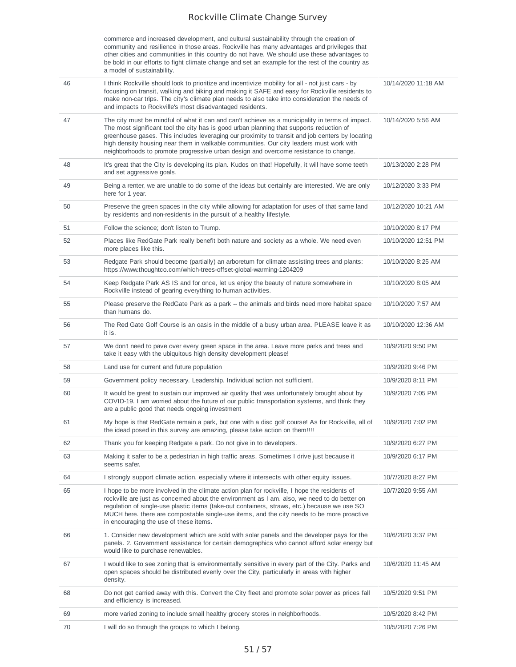commerce and increased development, and cultural sustainability through the creation of community and resilience in those areas. Rockville has many advantages and privileges that other cities and communities in this country do not have. We should use these advantages to be bold in our efforts to fight climate change and set an example for the rest of the country as a model of sustainability.

| 46 | I think Rockville should look to prioritize and incentivize mobility for all - not just cars - by<br>focusing on transit, walking and biking and making it SAFE and easy for Rockville residents to<br>make non-car trips. The city's climate plan needs to also take into consideration the needs of<br>and impacts to Rockville's most disadvantaged residents.                                                                                                                 | 10/14/2020 11:18 AM |
|----|-----------------------------------------------------------------------------------------------------------------------------------------------------------------------------------------------------------------------------------------------------------------------------------------------------------------------------------------------------------------------------------------------------------------------------------------------------------------------------------|---------------------|
| 47 | The city must be mindful of what it can and can't achieve as a municipality in terms of impact.<br>The most significant tool the city has is good urban planning that supports reduction of<br>greenhouse gases. This includes leveraging our proximity to transit and job centers by locating<br>high density housing near them in walkable communities. Our city leaders must work with<br>neighborhoods to promote progressive urban design and overcome resistance to change. | 10/14/2020 5:56 AM  |
| 48 | It's great that the City is developing its plan. Kudos on that! Hopefully, it will have some teeth<br>and set aggressive goals.                                                                                                                                                                                                                                                                                                                                                   | 10/13/2020 2:28 PM  |
| 49 | Being a renter, we are unable to do some of the ideas but certainly are interested. We are only<br>here for 1 year.                                                                                                                                                                                                                                                                                                                                                               | 10/12/2020 3:33 PM  |
| 50 | Preserve the green spaces in the city while allowing for adaptation for uses of that same land<br>by residents and non-residents in the pursuit of a healthy lifestyle.                                                                                                                                                                                                                                                                                                           | 10/12/2020 10:21 AM |
| 51 | Follow the science; don't listen to Trump.                                                                                                                                                                                                                                                                                                                                                                                                                                        | 10/10/2020 8:17 PM  |
| 52 | Places like RedGate Park really benefit both nature and society as a whole. We need even<br>more places like this.                                                                                                                                                                                                                                                                                                                                                                | 10/10/2020 12:51 PM |
| 53 | Redgate Park should become (partially) an arboretum for climate assisting trees and plants:<br>https://www.thoughtco.com/which-trees-offset-global-warming-1204209                                                                                                                                                                                                                                                                                                                | 10/10/2020 8:25 AM  |
| 54 | Keep Redgate Park AS IS and for once, let us enjoy the beauty of nature somewhere in<br>Rockville instead of gearing everything to human activities.                                                                                                                                                                                                                                                                                                                              | 10/10/2020 8:05 AM  |
| 55 | Please preserve the RedGate Park as a park -- the animals and birds need more habitat space<br>than humans do.                                                                                                                                                                                                                                                                                                                                                                    | 10/10/2020 7:57 AM  |
| 56 | The Red Gate Golf Course is an oasis in the middle of a busy urban area. PLEASE leave it as<br>it is.                                                                                                                                                                                                                                                                                                                                                                             | 10/10/2020 12:36 AM |
| 57 | We don't need to pave over every green space in the area. Leave more parks and trees and<br>take it easy with the ubiquitous high density development please!                                                                                                                                                                                                                                                                                                                     | 10/9/2020 9:50 PM   |
| 58 | Land use for current and future population                                                                                                                                                                                                                                                                                                                                                                                                                                        | 10/9/2020 9:46 PM   |
| 59 | Government policy necessary. Leadership. Individual action not sufficient.                                                                                                                                                                                                                                                                                                                                                                                                        | 10/9/2020 8:11 PM   |
| 60 | It would be great to sustain our improved air quality that was unfortunately brought about by<br>COVID-19. I am worried about the future of our public transportation systems, and think they<br>are a public good that needs ongoing investment                                                                                                                                                                                                                                  | 10/9/2020 7:05 PM   |
| 61 | My hope is that RedGate remain a park, but one with a disc golf course! As for Rockville, all of<br>the idead posed in this survey are amazing, please take action on them!!!!                                                                                                                                                                                                                                                                                                    | 10/9/2020 7:02 PM   |
| 62 | Thank you for keeping Redgate a park. Do not give in to developers.                                                                                                                                                                                                                                                                                                                                                                                                               | 10/9/2020 6:27 PM   |
| 63 | Making it safer to be a pedestrian in high traffic areas. Sometimes I drive just because it<br>seems safer.                                                                                                                                                                                                                                                                                                                                                                       | 10/9/2020 6:17 PM   |
| 64 | I strongly support climate action, especially where it intersects with other equity issues.                                                                                                                                                                                                                                                                                                                                                                                       | 10/7/2020 8:27 PM   |
| 65 | I hope to be more involved in the climate action plan for rockville, I hope the residents of<br>rockville are just as concerned about the environment as I am. also, we need to do better on<br>regulation of single-use plastic items (take-out containers, straws, etc.) because we use SO<br>MUCH here, there are compostable single-use items, and the city needs to be more proactive<br>in encouraging the use of these items.                                              | 10/7/2020 9:55 AM   |
| 66 | 1. Consider new development which are sold with solar panels and the developer pays for the<br>panels. 2. Government assistance for certain demographics who cannot afford solar energy but<br>would like to purchase renewables.                                                                                                                                                                                                                                                 | 10/6/2020 3:37 PM   |
| 67 | I would like to see zoning that is environmentally sensitive in every part of the City. Parks and<br>open spaces should be distributed evenly over the City, particularly in areas with higher<br>density.                                                                                                                                                                                                                                                                        | 10/6/2020 11:45 AM  |
| 68 | Do not get carried away with this. Convert the City fleet and promote solar power as prices fall<br>and efficiency is increased.                                                                                                                                                                                                                                                                                                                                                  | 10/5/2020 9:51 PM   |
| 69 | more varied zoning to include small healthy grocery stores in neighborhoods.                                                                                                                                                                                                                                                                                                                                                                                                      | 10/5/2020 8:42 PM   |
| 70 | I will do so through the groups to which I belong.                                                                                                                                                                                                                                                                                                                                                                                                                                | 10/5/2020 7:26 PM   |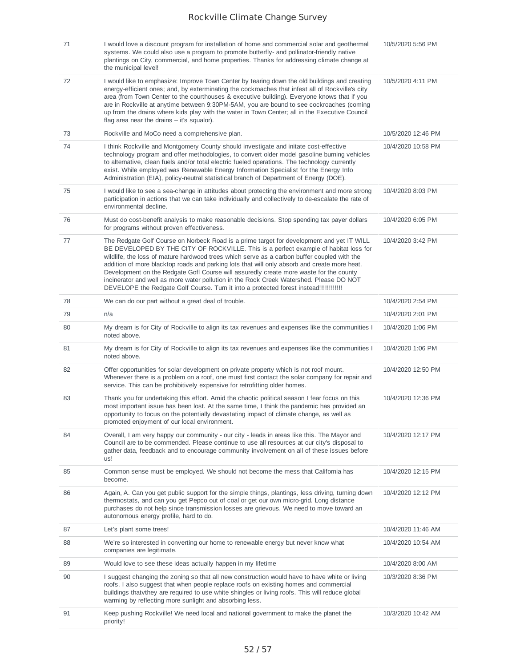| 71 | I would love a discount program for installation of home and commercial solar and geothermal<br>systems. We could also use a program to promote butterfly- and pollinator-friendly native<br>plantings on City, commercial, and home properties. Thanks for addressing climate change at<br>the municipal level!                                                                                                                                                                                                                                                                                                                                                | 10/5/2020 5:56 PM  |
|----|-----------------------------------------------------------------------------------------------------------------------------------------------------------------------------------------------------------------------------------------------------------------------------------------------------------------------------------------------------------------------------------------------------------------------------------------------------------------------------------------------------------------------------------------------------------------------------------------------------------------------------------------------------------------|--------------------|
| 72 | I would like to emphasize: Improve Town Center by tearing down the old buildings and creating<br>energy-efficient ones; and, by exterminating the cockroaches that infest all of Rockville's city<br>area (from Town Center to the courthouses & executive building). Everyone knows that if you<br>are in Rockville at anytime between 9:30PM-5AM, you are bound to see cockroaches (coming<br>up from the drains where kids play with the water in Town Center; all in the Executive Council<br>flag area near the drains $-$ it's squalor).                                                                                                                  | 10/5/2020 4:11 PM  |
| 73 | Rockville and MoCo need a comprehensive plan.                                                                                                                                                                                                                                                                                                                                                                                                                                                                                                                                                                                                                   | 10/5/2020 12:46 PM |
| 74 | I think Rockville and Montgomery County should investigate and initate cost-effective<br>technology program and offer methodologies, to convert older model gasoline burning vehicles<br>to alternative, clean fuels and/or total electric fueled operations. The technology currently<br>exist. While employed was Renewable Energy Information Specialist for the Energy Info<br>Administration (EIA), policy-neutral statistical branch of Department of Energy (DOE).                                                                                                                                                                                       | 10/4/2020 10:58 PM |
| 75 | I would like to see a sea-change in attitudes about protecting the environment and more strong<br>participation in actions that we can take individually and collectively to de-escalate the rate of<br>environmental decline.                                                                                                                                                                                                                                                                                                                                                                                                                                  | 10/4/2020 8:03 PM  |
| 76 | Must do cost-benefit analysis to make reasonable decisions. Stop spending tax payer dollars<br>for programs without proven effectiveness.                                                                                                                                                                                                                                                                                                                                                                                                                                                                                                                       | 10/4/2020 6:05 PM  |
| 77 | The Redgate Golf Course on Norbeck Road is a prime target for development and yet IT WILL<br>BE DEVELOPED BY THE CITY OF ROCKVILLE. This is a perfect example of habitat loss for<br>wildlife, the loss of mature hardwood trees which serve as a carbon buffer coupled with the<br>addition of more blacktop roads and parking lots that will only absorb and create more heat.<br>Development on the Redgate Gofl Course will assuredly create more waste for the county<br>incinerator and well as more water pollution in the Rock Creek Watershed. Please DO NOT<br>DEVELOPE the Redgate Golf Course. Turn it into a protected forest instead!!!!!!!!!!!!! | 10/4/2020 3:42 PM  |
| 78 | We can do our part without a great deal of trouble.                                                                                                                                                                                                                                                                                                                                                                                                                                                                                                                                                                                                             | 10/4/2020 2:54 PM  |
| 79 | n/a                                                                                                                                                                                                                                                                                                                                                                                                                                                                                                                                                                                                                                                             | 10/4/2020 2:01 PM  |
| 80 | My dream is for City of Rockville to align its tax revenues and expenses like the communities I<br>noted above.                                                                                                                                                                                                                                                                                                                                                                                                                                                                                                                                                 | 10/4/2020 1:06 PM  |
| 81 | My dream is for City of Rockville to align its tax revenues and expenses like the communities I<br>noted above.                                                                                                                                                                                                                                                                                                                                                                                                                                                                                                                                                 | 10/4/2020 1:06 PM  |
| 82 | Offer opportunities for solar development on private property which is not roof mount.<br>Whenever there is a problem on a roof, one must first contact the solar company for repair and<br>service. This can be prohibitively expensive for retrofitting older homes.                                                                                                                                                                                                                                                                                                                                                                                          | 10/4/2020 12:50 PM |
| 83 | Thank you for undertaking this effort. Amid the chaotic political season I fear focus on this<br>most important issue has been lost. At the same time, I think the pandemic has provided an<br>opportunity to focus on the potentially devastating impact of climate change, as well as<br>promoted enjoyment of our local environment.                                                                                                                                                                                                                                                                                                                         | 10/4/2020 12:36 PM |
| 84 | Overall, I am very happy our community - our city - leads in areas like this. The Mayor and<br>Council are to be commended. Please continue to use all resources at our city's disposal to<br>gather data, feedback and to encourage community involvement on all of these issues before<br>us!                                                                                                                                                                                                                                                                                                                                                                 | 10/4/2020 12:17 PM |
| 85 | Common sense must be employed. We should not become the mess that California has<br>become.                                                                                                                                                                                                                                                                                                                                                                                                                                                                                                                                                                     | 10/4/2020 12:15 PM |
| 86 | Again, A. Can you get public support for the simple things, plantings, less driving, turning down<br>thermostats, and can you get Pepco out of coal or get our own micro-grid. Long distance<br>purchases do not help since transmission losses are grievous. We need to move toward an<br>autonomous energy profile, hard to do.                                                                                                                                                                                                                                                                                                                               | 10/4/2020 12:12 PM |
| 87 | Let's plant some trees!                                                                                                                                                                                                                                                                                                                                                                                                                                                                                                                                                                                                                                         | 10/4/2020 11:46 AM |
| 88 | We're so interested in converting our home to renewable energy but never know what<br>companies are legitimate.                                                                                                                                                                                                                                                                                                                                                                                                                                                                                                                                                 | 10/4/2020 10:54 AM |
| 89 | Would love to see these ideas actually happen in my lifetime                                                                                                                                                                                                                                                                                                                                                                                                                                                                                                                                                                                                    | 10/4/2020 8:00 AM  |
| 90 | I suggest changing the zoning so that all new construction would have to have white or living<br>roofs. I also suggest that when people replace roofs on existing homes and commercial<br>buildings that they are required to use white shingles or living roofs. This will reduce global<br>warming by reflecting more sunlight and absorbing less.                                                                                                                                                                                                                                                                                                            | 10/3/2020 8:36 PM  |
| 91 | Keep pushing Rockville! We need local and national government to make the planet the<br>priority!                                                                                                                                                                                                                                                                                                                                                                                                                                                                                                                                                               | 10/3/2020 10:42 AM |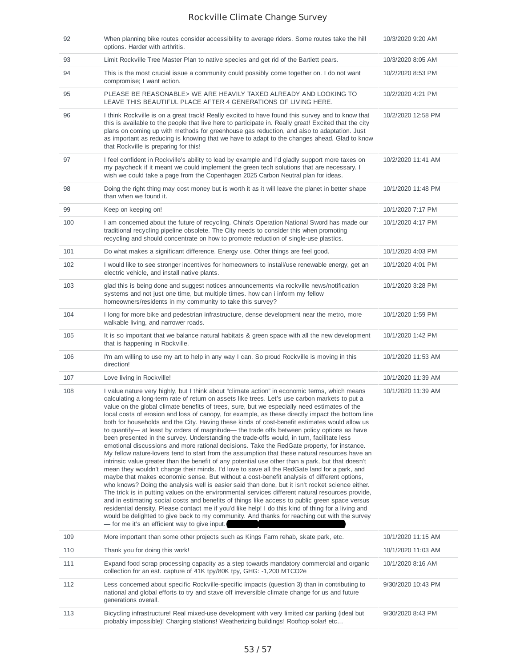| 92  | When planning bike routes consider accessibility to average riders. Some routes take the hill<br>options. Harder with arthritis.                                                                                                                                                                                                                                                                                                                                                                                                                                                                                                                                                                                                                                                                                                                                                                                                                                                                                                                                                                                                                                                                                                                                                                                                                                                                                                                                                                                                                                                                                                                                                                                                                                         | 10/3/2020 9:20 AM  |
|-----|--------------------------------------------------------------------------------------------------------------------------------------------------------------------------------------------------------------------------------------------------------------------------------------------------------------------------------------------------------------------------------------------------------------------------------------------------------------------------------------------------------------------------------------------------------------------------------------------------------------------------------------------------------------------------------------------------------------------------------------------------------------------------------------------------------------------------------------------------------------------------------------------------------------------------------------------------------------------------------------------------------------------------------------------------------------------------------------------------------------------------------------------------------------------------------------------------------------------------------------------------------------------------------------------------------------------------------------------------------------------------------------------------------------------------------------------------------------------------------------------------------------------------------------------------------------------------------------------------------------------------------------------------------------------------------------------------------------------------------------------------------------------------|--------------------|
| 93  | Limit Rockville Tree Master Plan to native species and get rid of the Bartlett pears.                                                                                                                                                                                                                                                                                                                                                                                                                                                                                                                                                                                                                                                                                                                                                                                                                                                                                                                                                                                                                                                                                                                                                                                                                                                                                                                                                                                                                                                                                                                                                                                                                                                                                    | 10/3/2020 8:05 AM  |
| 94  | This is the most crucial issue a community could possibly come together on. I do not want<br>compromise; I want action.                                                                                                                                                                                                                                                                                                                                                                                                                                                                                                                                                                                                                                                                                                                                                                                                                                                                                                                                                                                                                                                                                                                                                                                                                                                                                                                                                                                                                                                                                                                                                                                                                                                  | 10/2/2020 8:53 PM  |
| 95  | PLEASE BE REASONABLE> WE ARE HEAVILY TAXED ALREADY AND LOOKING TO<br>LEAVE THIS BEAUTIFUL PLACE AFTER 4 GENERATIONS OF LIVING HERE.                                                                                                                                                                                                                                                                                                                                                                                                                                                                                                                                                                                                                                                                                                                                                                                                                                                                                                                                                                                                                                                                                                                                                                                                                                                                                                                                                                                                                                                                                                                                                                                                                                      | 10/2/2020 4:21 PM  |
| 96  | I think Rockville is on a great track! Really excited to have found this survey and to know that<br>this is available to the people that live here to participate in. Really great! Excited that the city<br>plans on coming up with methods for greenhouse gas reduction, and also to adaptation. Just<br>as important as reducing is knowing that we have to adapt to the changes ahead. Glad to know<br>that Rockville is preparing for this!                                                                                                                                                                                                                                                                                                                                                                                                                                                                                                                                                                                                                                                                                                                                                                                                                                                                                                                                                                                                                                                                                                                                                                                                                                                                                                                         | 10/2/2020 12:58 PM |
| 97  | I feel confident in Rockville's ability to lead by example and I'd gladly support more taxes on<br>my paycheck if it meant we could implement the green tech solutions that are necessary. I<br>wish we could take a page from the Copenhagen 2025 Carbon Neutral plan for ideas.                                                                                                                                                                                                                                                                                                                                                                                                                                                                                                                                                                                                                                                                                                                                                                                                                                                                                                                                                                                                                                                                                                                                                                                                                                                                                                                                                                                                                                                                                        | 10/2/2020 11:41 AM |
| 98  | Doing the right thing may cost money but is worth it as it will leave the planet in better shape<br>than when we found it.                                                                                                                                                                                                                                                                                                                                                                                                                                                                                                                                                                                                                                                                                                                                                                                                                                                                                                                                                                                                                                                                                                                                                                                                                                                                                                                                                                                                                                                                                                                                                                                                                                               | 10/1/2020 11:48 PM |
| 99  | Keep on keeping on!                                                                                                                                                                                                                                                                                                                                                                                                                                                                                                                                                                                                                                                                                                                                                                                                                                                                                                                                                                                                                                                                                                                                                                                                                                                                                                                                                                                                                                                                                                                                                                                                                                                                                                                                                      | 10/1/2020 7:17 PM  |
| 100 | I am concerned about the future of recycling. China's Operation National Sword has made our<br>traditional recycling pipeline obsolete. The City needs to consider this when promoting<br>recycling and should concentrate on how to promote reduction of single-use plastics.                                                                                                                                                                                                                                                                                                                                                                                                                                                                                                                                                                                                                                                                                                                                                                                                                                                                                                                                                                                                                                                                                                                                                                                                                                                                                                                                                                                                                                                                                           | 10/1/2020 4:17 PM  |
| 101 | Do what makes a significant difference. Energy use. Other things are feel good.                                                                                                                                                                                                                                                                                                                                                                                                                                                                                                                                                                                                                                                                                                                                                                                                                                                                                                                                                                                                                                                                                                                                                                                                                                                                                                                                                                                                                                                                                                                                                                                                                                                                                          | 10/1/2020 4:03 PM  |
| 102 | I would like to see stronger incentives for homeowners to install/use renewable energy, get an<br>electric vehicle, and install native plants.                                                                                                                                                                                                                                                                                                                                                                                                                                                                                                                                                                                                                                                                                                                                                                                                                                                                                                                                                                                                                                                                                                                                                                                                                                                                                                                                                                                                                                                                                                                                                                                                                           | 10/1/2020 4:01 PM  |
| 103 | glad this is being done and suggest notices announcements via rockville news/notification<br>systems and not just one time, but multiple times. how can i inform my fellow<br>homeowners/residents in my community to take this survey?                                                                                                                                                                                                                                                                                                                                                                                                                                                                                                                                                                                                                                                                                                                                                                                                                                                                                                                                                                                                                                                                                                                                                                                                                                                                                                                                                                                                                                                                                                                                  | 10/1/2020 3:28 PM  |
| 104 | I long for more bike and pedestrian infrastructure, dense development near the metro, more<br>walkable living, and narrower roads.                                                                                                                                                                                                                                                                                                                                                                                                                                                                                                                                                                                                                                                                                                                                                                                                                                                                                                                                                                                                                                                                                                                                                                                                                                                                                                                                                                                                                                                                                                                                                                                                                                       | 10/1/2020 1:59 PM  |
| 105 | It is so important that we balance natural habitats & green space with all the new development<br>that is happening in Rockville.                                                                                                                                                                                                                                                                                                                                                                                                                                                                                                                                                                                                                                                                                                                                                                                                                                                                                                                                                                                                                                                                                                                                                                                                                                                                                                                                                                                                                                                                                                                                                                                                                                        | 10/1/2020 1:42 PM  |
| 106 | I'm am willing to use my art to help in any way I can. So proud Rockville is moving in this<br>direction!                                                                                                                                                                                                                                                                                                                                                                                                                                                                                                                                                                                                                                                                                                                                                                                                                                                                                                                                                                                                                                                                                                                                                                                                                                                                                                                                                                                                                                                                                                                                                                                                                                                                | 10/1/2020 11:53 AM |
| 107 | Love living in Rockville!                                                                                                                                                                                                                                                                                                                                                                                                                                                                                                                                                                                                                                                                                                                                                                                                                                                                                                                                                                                                                                                                                                                                                                                                                                                                                                                                                                                                                                                                                                                                                                                                                                                                                                                                                | 10/1/2020 11:39 AM |
| 108 | I value nature very highly, but I think about "climate action" in economic terms, which means<br>calculating a long-term rate of return on assets like trees. Let's use carbon markets to put a<br>value on the global climate benefits of trees, sure, but we especially need estimates of the<br>local costs of erosion and loss of canopy, for example, as these directly impact the bottom line<br>both for households and the City. Having these kinds of cost-benefit estimates would allow us<br>to quantify— at least by orders of magnitude— the trade offs between policy options as have<br>been presented in the survey. Understanding the trade-offs would, in turn, facilitate less<br>emotional discussions and more rational decisions. Take the RedGate property, for instance.<br>My fellow nature-lovers tend to start from the assumption that these natural resources have an<br>intrinsic value greater than the benefit of any potential use other than a park, but that doesn't<br>mean they wouldn't change their minds. I'd love to save all the RedGate land for a park, and<br>maybe that makes economic sense. But without a cost-benefit analysis of different options,<br>who knows? Doing the analysis well is easier said than done, but it isn't rocket science either.<br>The trick is in putting values on the environmental services different natural resources provide,<br>and in estimating social costs and benefits of things like access to public green space versus<br>residential density. Please contact me if you'd like help! I do this kind of thing for a living and<br>would be delighted to give back to my community. And thanks for reaching out with the survey<br>- for me it's an efficient way to give input. | 10/1/2020 11:39 AM |
| 109 | More important than some other projects such as Kings Farm rehab, skate park, etc.                                                                                                                                                                                                                                                                                                                                                                                                                                                                                                                                                                                                                                                                                                                                                                                                                                                                                                                                                                                                                                                                                                                                                                                                                                                                                                                                                                                                                                                                                                                                                                                                                                                                                       | 10/1/2020 11:15 AM |
| 110 | Thank you for doing this work!                                                                                                                                                                                                                                                                                                                                                                                                                                                                                                                                                                                                                                                                                                                                                                                                                                                                                                                                                                                                                                                                                                                                                                                                                                                                                                                                                                                                                                                                                                                                                                                                                                                                                                                                           | 10/1/2020 11:03 AM |
| 111 | Expand food scrap processing capacity as a step towards mandatory commercial and organic<br>collection for an est. capture of 41K tpy/80K tpy, GHG: -1,200 MTCO2e                                                                                                                                                                                                                                                                                                                                                                                                                                                                                                                                                                                                                                                                                                                                                                                                                                                                                                                                                                                                                                                                                                                                                                                                                                                                                                                                                                                                                                                                                                                                                                                                        | 10/1/2020 8:16 AM  |
| 112 | Less concerned about specific Rockville-specific impacts (question 3) than in contributing to<br>national and global efforts to try and stave off irreversible climate change for us and future<br>generations overall.                                                                                                                                                                                                                                                                                                                                                                                                                                                                                                                                                                                                                                                                                                                                                                                                                                                                                                                                                                                                                                                                                                                                                                                                                                                                                                                                                                                                                                                                                                                                                  | 9/30/2020 10:43 PM |
| 113 | Bicycling infrastructure! Real mixed-use development with very limited car parking (ideal but<br>probably impossible)! Charging stations! Weatherizing buildings! Rooftop solar! etc                                                                                                                                                                                                                                                                                                                                                                                                                                                                                                                                                                                                                                                                                                                                                                                                                                                                                                                                                                                                                                                                                                                                                                                                                                                                                                                                                                                                                                                                                                                                                                                     | 9/30/2020 8:43 PM  |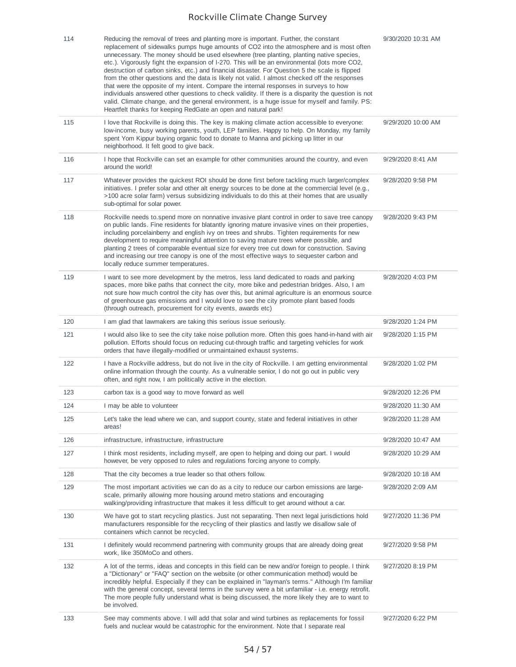| 114 | Reducing the removal of trees and planting more is important. Further, the constant<br>replacement of sidewalks pumps huge amounts of CO2 into the atmosphere and is most often<br>unnecessary. The money should be used elsewhere (tree planting, planting native species,<br>etc.). Vigorously fight the expansion of I-270. This will be an environmental (lots more CO2,<br>destruction of carbon sinks, etc.) and financial disaster. For Question 5 the scale is flipped<br>from the other questions and the data is likely not valid. I almost checked off the responses<br>that were the opposite of my intent. Compare the internal responses in surveys to how<br>individuals answered other questions to check validity. If there is a disparity the question is not<br>valid. Climate change, and the general environment, is a huge issue for myself and family. PS:<br>Heartfelt thanks for keeping RedGate an open and natural park! | 9/30/2020 10:31 AM |
|-----|-----------------------------------------------------------------------------------------------------------------------------------------------------------------------------------------------------------------------------------------------------------------------------------------------------------------------------------------------------------------------------------------------------------------------------------------------------------------------------------------------------------------------------------------------------------------------------------------------------------------------------------------------------------------------------------------------------------------------------------------------------------------------------------------------------------------------------------------------------------------------------------------------------------------------------------------------------|--------------------|
| 115 | I love that Rockville is doing this. The key is making climate action accessible to everyone:<br>low-income, busy working parents, youth, LEP families. Happy to help. On Monday, my family<br>spent Yom Kippur buying organic food to donate to Manna and picking up litter in our<br>neighborhood. It felt good to give back.                                                                                                                                                                                                                                                                                                                                                                                                                                                                                                                                                                                                                     | 9/29/2020 10:00 AM |
| 116 | I hope that Rockville can set an example for other communities around the country, and even<br>around the world!                                                                                                                                                                                                                                                                                                                                                                                                                                                                                                                                                                                                                                                                                                                                                                                                                                    | 9/29/2020 8:41 AM  |
| 117 | Whatever provides the quickest ROI should be done first before tackling much larger/complex<br>initiatives. I prefer solar and other alt energy sources to be done at the commercial level (e.g.,<br>>100 acre solar farm) versus subsidizing individuals to do this at their homes that are usually<br>sub-optimal for solar power.                                                                                                                                                                                                                                                                                                                                                                                                                                                                                                                                                                                                                | 9/28/2020 9:58 PM  |
| 118 | Rockville needs to spend more on nonnative invasive plant control in order to save tree canopy<br>on public lands. Fine residents for blatantly ignoring mature invasive vines on their properties,<br>including porcelainberry and english ivy on trees and shrubs. Tighten requirements for new<br>development to require meaningful attention to saving mature trees where possible, and<br>planting 2 trees of comparable eventual size for every tree cut down for construction. Saving<br>and increasing our tree canopy is one of the most effective ways to sequester carbon and<br>locally reduce summer temperatures.                                                                                                                                                                                                                                                                                                                     | 9/28/2020 9:43 PM  |
| 119 | I want to see more development by the metros, less land dedicated to roads and parking<br>spaces, more bike paths that connect the city, more bike and pedestrian bridges. Also, I am<br>not sure how much control the city has over this, but animal agriculture is an enormous source<br>of greenhouse gas emissions and I would love to see the city promote plant based foods<br>(through outreach, procurement for city events, awards etc)                                                                                                                                                                                                                                                                                                                                                                                                                                                                                                    | 9/28/2020 4:03 PM  |
| 120 | I am glad that lawmakers are taking this serious issue seriously.                                                                                                                                                                                                                                                                                                                                                                                                                                                                                                                                                                                                                                                                                                                                                                                                                                                                                   | 9/28/2020 1:24 PM  |
| 121 | I would also like to see the city take noise pollution more. Often this goes hand-in-hand with air<br>pollution. Efforts should focus on reducing cut-through traffic and targeting vehicles for work<br>orders that have illegally-modified or unmaintained exhaust systems.                                                                                                                                                                                                                                                                                                                                                                                                                                                                                                                                                                                                                                                                       | 9/28/2020 1:15 PM  |
| 122 | I have a Rockville address, but do not live in the city of Rockville. I am getting environmental<br>online information through the county. As a vulnerable senior, I do not go out in public very<br>often, and right now, I am politically active in the election.                                                                                                                                                                                                                                                                                                                                                                                                                                                                                                                                                                                                                                                                                 | 9/28/2020 1:02 PM  |
| 123 | carbon tax is a good way to move forward as well                                                                                                                                                                                                                                                                                                                                                                                                                                                                                                                                                                                                                                                                                                                                                                                                                                                                                                    | 9/28/2020 12:26 PM |
| 124 | I may be able to volunteer                                                                                                                                                                                                                                                                                                                                                                                                                                                                                                                                                                                                                                                                                                                                                                                                                                                                                                                          | 9/28/2020 11:30 AM |
| 125 | Let's take the lead where we can, and support county, state and federal initiatives in other<br>areas!                                                                                                                                                                                                                                                                                                                                                                                                                                                                                                                                                                                                                                                                                                                                                                                                                                              | 9/28/2020 11:28 AM |
| 126 | infrastructure, infrastructure, infrastructure                                                                                                                                                                                                                                                                                                                                                                                                                                                                                                                                                                                                                                                                                                                                                                                                                                                                                                      | 9/28/2020 10:47 AM |
| 127 | I think most residents, including myself, are open to helping and doing our part. I would<br>however, be very opposed to rules and regulations forcing anyone to comply.                                                                                                                                                                                                                                                                                                                                                                                                                                                                                                                                                                                                                                                                                                                                                                            | 9/28/2020 10:29 AM |
| 128 | That the city becomes a true leader so that others follow.                                                                                                                                                                                                                                                                                                                                                                                                                                                                                                                                                                                                                                                                                                                                                                                                                                                                                          | 9/28/2020 10:18 AM |
| 129 | The most important activities we can do as a city to reduce our carbon emissions are large-<br>scale, primarily allowing more housing around metro stations and encouraging<br>walking/providing infrastructure that makes it less difficult to get around without a car.                                                                                                                                                                                                                                                                                                                                                                                                                                                                                                                                                                                                                                                                           | 9/28/2020 2:09 AM  |
| 130 | We have got to start recycling plastics. Just not separating. Then next legal jurisdictions hold<br>manufacturers responsible for the recycling of their plastics and lastly we disallow sale of<br>containers which cannot be recycled.                                                                                                                                                                                                                                                                                                                                                                                                                                                                                                                                                                                                                                                                                                            | 9/27/2020 11:36 PM |
| 131 | I definitely would recommend partnering with community groups that are already doing great<br>work, like 350MoCo and others.                                                                                                                                                                                                                                                                                                                                                                                                                                                                                                                                                                                                                                                                                                                                                                                                                        | 9/27/2020 9:58 PM  |
| 132 | A lot of the terms, ideas and concepts in this field can be new and/or foreign to people. I think<br>a "Dictionary" or "FAQ" section on the website (or other communication method) would be<br>incredibly helpful. Especially if they can be explained in "layman's terms." Although I'm familiar<br>with the general concept, several terms in the survey were a bit unfamiliar - i.e. energy retrofit.<br>The more people fully understand what is being discussed, the more likely they are to want to<br>be involved.                                                                                                                                                                                                                                                                                                                                                                                                                          | 9/27/2020 8:19 PM  |
| 133 | See may comments above. I will add that solar and wind turbines as replacements for fossil<br>fuels and nuclear would be catastrophic for the environment. Note that I separate real                                                                                                                                                                                                                                                                                                                                                                                                                                                                                                                                                                                                                                                                                                                                                                | 9/27/2020 6:22 PM  |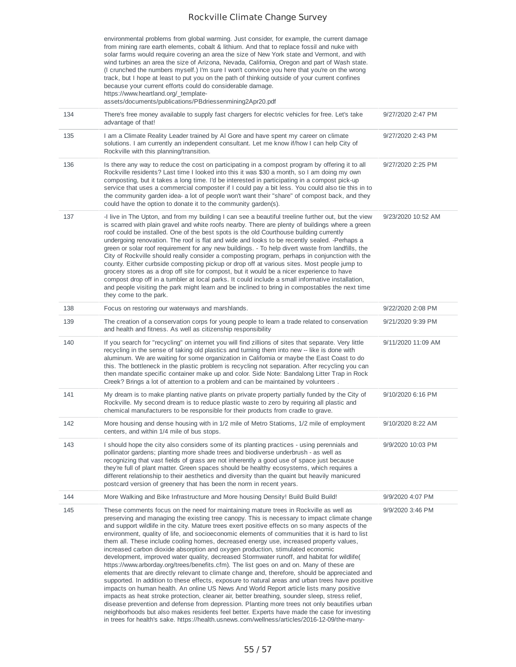environmental problems from global warming. Just consider, for example, the current damage from mining rare earth elements, cobalt & lithium. And that to replace fossil and nuke with solar farms would require covering an area the size of New York state and Vermont, and with wind turbines an area the size of Arizona, Nevada, California, Oregon and part of Wash state. (I crunched the numbers myself.) I'm sure I won't convince you here that you're on the wrong track, but I hope at least to put you on the path of thinking outside of your current confines because your current efforts could do considerable damage. https://www.heartland.org/\_templateassets/documents/publications/PBdriessenmining2Apr20.pdf

| 134 | There's free money available to supply fast chargers for electric vehicles for free. Let's take<br>advantage of that!                                                                                                                                                                                                                                                                                                                                                                                                                                                                                                                                                                                                                                                                                                                                                                                                                                                                                                                                                                                                                                                                                                                                                                                                                                                                                                                                                      | 9/27/2020 2:47 PM  |
|-----|----------------------------------------------------------------------------------------------------------------------------------------------------------------------------------------------------------------------------------------------------------------------------------------------------------------------------------------------------------------------------------------------------------------------------------------------------------------------------------------------------------------------------------------------------------------------------------------------------------------------------------------------------------------------------------------------------------------------------------------------------------------------------------------------------------------------------------------------------------------------------------------------------------------------------------------------------------------------------------------------------------------------------------------------------------------------------------------------------------------------------------------------------------------------------------------------------------------------------------------------------------------------------------------------------------------------------------------------------------------------------------------------------------------------------------------------------------------------------|--------------------|
| 135 | I am a Climate Reality Leader trained by AI Gore and have spent my career on climate<br>solutions. I am currently an independent consultant. Let me know if/how I can help City of<br>Rockville with this planning/transition.                                                                                                                                                                                                                                                                                                                                                                                                                                                                                                                                                                                                                                                                                                                                                                                                                                                                                                                                                                                                                                                                                                                                                                                                                                             | 9/27/2020 2:43 PM  |
| 136 | Is there any way to reduce the cost on participating in a compost program by offering it to all<br>Rockville residents? Last time I looked into this it was \$30 a month, so I am doing my own<br>composting, but it takes a long time. I'd be interested in participating in a compost pick-up<br>service that uses a commercial composter if I could pay a bit less. You could also tie this in to<br>the community garden idea- a lot of people won't want their "share" of compost back, and they<br>could have the option to donate it to the community garden(s).                                                                                                                                                                                                                                                                                                                                                                                                                                                                                                                                                                                                                                                                                                                                                                                                                                                                                                    | 9/27/2020 2:25 PM  |
| 137 | -I live in The Upton, and from my building I can see a beautiful treeline further out, but the view<br>is scarred with plain gravel and white roofs nearby. There are plenty of buildings where a green<br>roof could be installed. One of the best spots is the old Courthouse building currently<br>undergoing renovation. The roof is flat and wide and looks to be recently sealed. -Perhaps a<br>green or solar roof requirement for any new buildings. - To help divert waste from landfills, the<br>City of Rockville should really consider a composting program, perhaps in conjunction with the<br>county. Either curbside composting pickup or drop off at various sites. Most people jump to<br>grocery stores as a drop off site for compost, but it would be a nicer experience to have<br>compost drop off in a tumbler at local parks. It could include a small informative installation,<br>and people visiting the park might learn and be inclined to bring in compostables the next time<br>they come to the park.                                                                                                                                                                                                                                                                                                                                                                                                                                     | 9/23/2020 10:52 AM |
| 138 | Focus on restoring our waterways and marshlands.                                                                                                                                                                                                                                                                                                                                                                                                                                                                                                                                                                                                                                                                                                                                                                                                                                                                                                                                                                                                                                                                                                                                                                                                                                                                                                                                                                                                                           | 9/22/2020 2:08 PM  |
| 139 | The creation of a conservation corps for young people to learn a trade related to conservation<br>and health and fitness. As well as citizenship responsibility                                                                                                                                                                                                                                                                                                                                                                                                                                                                                                                                                                                                                                                                                                                                                                                                                                                                                                                                                                                                                                                                                                                                                                                                                                                                                                            | 9/21/2020 9:39 PM  |
| 140 | If you search for "recycling" on internet you will find zillions of sites that separate. Very little<br>recycling in the sense of taking old plastics and turning them into new -- like is done with<br>aluminum. We are waiting for some organization in California or maybe the East Coast to do<br>this. The bottleneck in the plastic problem is recycling not separation. After recycling you can<br>then mandate specific container make up and color. Side Note: Bandalong Litter Trap in Rock<br>Creek? Brings a lot of attention to a problem and can be maintained by volunteers.                                                                                                                                                                                                                                                                                                                                                                                                                                                                                                                                                                                                                                                                                                                                                                                                                                                                                | 9/11/2020 11:09 AM |
| 141 | My dream is to make planting native plants on private property partially funded by the City of<br>Rockville. My second dream is to reduce plastic waste to zero by requiring all plastic and<br>chemical manufacturers to be responsible for their products from cradle to grave.                                                                                                                                                                                                                                                                                                                                                                                                                                                                                                                                                                                                                                                                                                                                                                                                                                                                                                                                                                                                                                                                                                                                                                                          | 9/10/2020 6:16 PM  |
| 142 | More housing and dense housing with in 1/2 mile of Metro Statioms, 1/2 mile of employment<br>centers, and within 1/4 mile of bus stops.                                                                                                                                                                                                                                                                                                                                                                                                                                                                                                                                                                                                                                                                                                                                                                                                                                                                                                                                                                                                                                                                                                                                                                                                                                                                                                                                    | 9/10/2020 8:22 AM  |
| 143 | I should hope the city also considers some of its planting practices - using perennials and<br>pollinator gardens; planting more shade trees and biodiverse underbrush - as well as<br>recognizing that vast fields of grass are not inherently a good use of space just because<br>they're full of plant matter. Green spaces should be healthy ecosystems, which requires a<br>different relationship to their aesthetics and diversity than the quaint but heavily manicured<br>postcard version of greenery that has been the norm in recent years.                                                                                                                                                                                                                                                                                                                                                                                                                                                                                                                                                                                                                                                                                                                                                                                                                                                                                                                    | 9/9/2020 10:03 PM  |
| 144 | More Walking and Bike Infrastructure and More housing Density! Build Build Build!                                                                                                                                                                                                                                                                                                                                                                                                                                                                                                                                                                                                                                                                                                                                                                                                                                                                                                                                                                                                                                                                                                                                                                                                                                                                                                                                                                                          | 9/9/2020 4:07 PM   |
| 145 | These comments focus on the need for maintaining mature trees in Rockville as well as<br>preserving and managing the existing tree canopy. This is necessary to impact climate change<br>and support wildlife in the city. Mature trees exert positive effects on so many aspects of the<br>environment, quality of life, and socioeconomic elements of communities that it is hard to list<br>them all. These include cooling homes, decreased energy use, increased property values,<br>increased carbon dioxide absorption and oxygen production, stimulated economic<br>development, improved water quality, decreased Stormwater runoff, and habitat for wildlife (<br>https://www.arborday.org/trees/benefits.cfm). The list goes on and on. Many of these are<br>elements that are directly relevant to climate change and, therefore, should be appreciated and<br>supported. In addition to these effects, exposure to natural areas and urban trees have positive<br>impacts on human health. An online US News And World Report article lists many positive<br>impacts as heat stroke protection, cleaner air, better breathing, sounder sleep, stress relief,<br>disease prevention and defense from depression. Planting more trees not only beautifies urban<br>neighborhoods but also makes residents feel better. Experts have made the case for investing<br>in trees for health's sake. https://health.usnews.com/wellness/articles/2016-12-09/the-many- | 9/9/2020 3:46 PM   |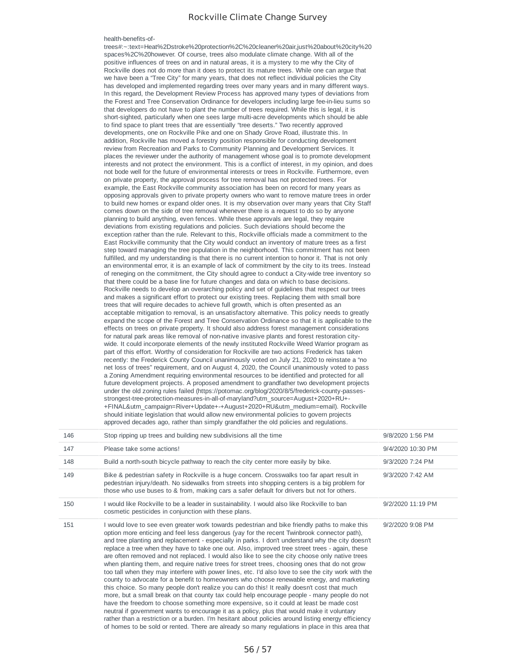#### health-benefits-of-

trees#:~:text=Heat%2Dstroke%20protection%2C%20cleaner%20air,just%20about%20city%20 spaces%2C%20however. Of course, trees also modulate climate change. With all of the positive influences of trees on and in natural areas, it is a mystery to me why the City of Rockville does not do more than it does to protect its mature trees. While one can argue that we have been a "Tree City" for many years, that does not reflect individual policies the City has developed and implemented regarding trees over many years and in many different ways. In this regard, the Development Review Process has approved many types of deviations from the Forest and Tree Conservation Ordinance for developers including large fee-in-lieu sums so that developers do not have to plant the number of trees required. While this is legal, it is short-sighted, particularly when one sees large multi-acre developments which should be able to find space to plant trees that are essentially "tree deserts." Two recently approved developments, one on Rockville Pike and one on Shady Grove Road, illustrate this. In addition, Rockville has moved a forestry position responsible for conducting development review from Recreation and Parks to Community Planning and Development Services. It places the reviewer under the authority of management whose goal is to promote development interests and not protect the environment. This is a conflict of interest, in my opinion, and does not bode well for the future of environmental interests or trees in Rockville. Furthermore, even on private property, the approval process for tree removal has not protected trees. For example, the East Rockville community association has been on record for many years as opposing approvals given to private property owners who want to remove mature trees in order to build new homes or expand older ones. It is my observation over many years that City Staff comes down on the side of tree removal whenever there is a request to do so by anyone planning to build anything, even fences. While these approvals are legal, they require deviations from existing regulations and policies. Such deviations should become the exception rather than the rule. Relevant to this, Rockville officials made a commitment to the East Rockville community that the City would conduct an inventory of mature trees as a first step toward managing the tree population in the neighborhood. This commitment has not been fulfilled, and my understanding is that there is no current intention to honor it. That is not only an environmental error, it is an example of lack of commitment by the city to its trees. Instead of reneging on the commitment, the City should agree to conduct a City-wide tree inventory so that there could be a base line for future changes and data on which to base decisions. Rockville needs to develop an overarching policy and set of guidelines that respect our trees and makes a significant effort to protect our existing trees. Replacing them with small bore trees that will require decades to achieve full growth, which is often presented as an acceptable mitigation to removal, is an unsatisfactory alternative. This policy needs to greatly expand the scope of the Forest and Tree Conservation Ordinance so that it is applicable to the effects on trees on private property. It should also address forest management considerations for natural park areas like removal of non-native invasive plants and forest restoration citywide. It could incorporate elements of the newly instituted Rockville Weed Warrior program as part of this effort. Worthy of consideration for Rockville are two actions Frederick has taken recently: the Frederick County Council unanimously voted on July 21, 2020 to reinstate a "no net loss of trees" requirement, and on August 4, 2020, the Council unanimously voted to pass a Zoning Amendment requiring environmental resources to be identified and protected for all future development projects. A proposed amendment to grandfather two development projects under the old zoning rules failed (https://potomac.org/blog/2020/8/5/frederick-county-passesstrongest-tree-protection-measures-in-all-of-maryland?utm\_source=August+2020+RU+- +FINAL&utm\_campaign=River+Update+-+August+2020+RU&utm\_medium=email). Rockville should initiate legislation that would allow new environmental policies to govern projects approved decades ago, rather than simply grandfather the old policies and regulations.

| 146 | Stop ripping up trees and building new subdivisions all the time                                                                                                                                                                                                                                                                                                                                                                                                                                                                                                                                                                                                                                                                                                                                                                                                                                                                                                                                                                                                                                                                                                                                                                                                                                                                                                                                          | 9/8/2020 1:56 PM  |
|-----|-----------------------------------------------------------------------------------------------------------------------------------------------------------------------------------------------------------------------------------------------------------------------------------------------------------------------------------------------------------------------------------------------------------------------------------------------------------------------------------------------------------------------------------------------------------------------------------------------------------------------------------------------------------------------------------------------------------------------------------------------------------------------------------------------------------------------------------------------------------------------------------------------------------------------------------------------------------------------------------------------------------------------------------------------------------------------------------------------------------------------------------------------------------------------------------------------------------------------------------------------------------------------------------------------------------------------------------------------------------------------------------------------------------|-------------------|
| 147 | Please take some actions!                                                                                                                                                                                                                                                                                                                                                                                                                                                                                                                                                                                                                                                                                                                                                                                                                                                                                                                                                                                                                                                                                                                                                                                                                                                                                                                                                                                 | 9/4/2020 10:30 PM |
| 148 | Build a north-south bicycle pathway to reach the city center more easily by bike.                                                                                                                                                                                                                                                                                                                                                                                                                                                                                                                                                                                                                                                                                                                                                                                                                                                                                                                                                                                                                                                                                                                                                                                                                                                                                                                         | 9/3/2020 7:24 PM  |
| 149 | Bike & pedestrian safety in Rockville is a huge concern. Crosswalks too far apart result in<br>pedestrian injury/death. No sidewalks from streets into shopping centers is a big problem for<br>those who use buses to & from, making cars a safer default for drivers but not for others.                                                                                                                                                                                                                                                                                                                                                                                                                                                                                                                                                                                                                                                                                                                                                                                                                                                                                                                                                                                                                                                                                                                | 9/3/2020 7:42 AM  |
| 150 | I would like Rockville to be a leader in sustainability. I would also like Rockville to ban<br>cosmetic pesticides in conjunction with these plans.                                                                                                                                                                                                                                                                                                                                                                                                                                                                                                                                                                                                                                                                                                                                                                                                                                                                                                                                                                                                                                                                                                                                                                                                                                                       | 9/2/2020 11:19 PM |
| 151 | I would love to see even greater work towards pedestrian and bike friendly paths to make this<br>option more enticing and feel less dangerous (yay for the recent Twinbrook connector path),<br>and tree planting and replacement - especially in parks. I don't understand why the city doesn't<br>replace a tree when they have to take one out. Also, improved tree street trees - again, these<br>are often removed and not replaced. I would also like to see the city choose only native trees<br>when planting them, and require native trees for street trees, choosing ones that do not grow<br>too tall when they may interfere with power lines, etc. I'd also love to see the city work with the<br>county to advocate for a benefit to homeowners who choose renewable energy, and marketing<br>this choice. So many people don't realize you can do this! It really doesn't cost that much<br>more, but a small break on that county tax could help encourage people - many people do not<br>have the freedom to choose something more expensive, so it could at least be made cost<br>neutral if government wants to encourage it as a policy, plus that would make it voluntary<br>rather than a restriction or a burden. I'm hesitant about policies around listing energy efficiency<br>of homes to be sold or rented. There are already so many regulations in place in this area that | 9/2/2020 9:08 PM  |